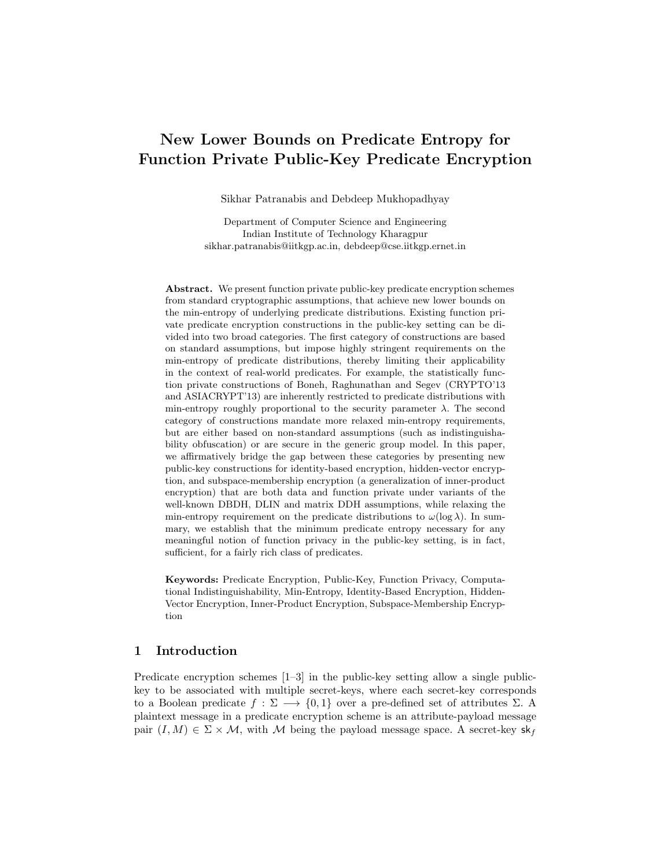# New Lower Bounds on Predicate Entropy for Function Private Public-Key Predicate Encryption

Sikhar Patranabis and Debdeep Mukhopadhyay

Department of Computer Science and Engineering Indian Institute of Technology Kharagpur sikhar.patranabis@iitkgp.ac.in, debdeep@cse.iitkgp.ernet.in

Abstract. We present function private public-key predicate encryption schemes from standard cryptographic assumptions, that achieve new lower bounds on the min-entropy of underlying predicate distributions. Existing function private predicate encryption constructions in the public-key setting can be divided into two broad categories. The first category of constructions are based on standard assumptions, but impose highly stringent requirements on the min-entropy of predicate distributions, thereby limiting their applicability in the context of real-world predicates. For example, the statistically function private constructions of Boneh, Raghunathan and Segev (CRYPTO'13 and ASIACRYPT'13) are inherently restricted to predicate distributions with min-entropy roughly proportional to the security parameter  $\lambda$ . The second category of constructions mandate more relaxed min-entropy requirements, but are either based on non-standard assumptions (such as indistinguishability obfuscation) or are secure in the generic group model. In this paper, we affirmatively bridge the gap between these categories by presenting new public-key constructions for identity-based encryption, hidden-vector encryption, and subspace-membership encryption (a generalization of inner-product encryption) that are both data and function private under variants of the well-known DBDH, DLIN and matrix DDH assumptions, while relaxing the min-entropy requirement on the predicate distributions to  $\omega(\log \lambda)$ . In summary, we establish that the minimum predicate entropy necessary for any meaningful notion of function privacy in the public-key setting, is in fact, sufficient, for a fairly rich class of predicates.

Keywords: Predicate Encryption, Public-Key, Function Privacy, Computational Indistinguishability, Min-Entropy, Identity-Based Encryption, Hidden-Vector Encryption, Inner-Product Encryption, Subspace-Membership Encryption

# 1 Introduction

Predicate encryption schemes [1–3] in the public-key setting allow a single publickey to be associated with multiple secret-keys, where each secret-key corresponds to a Boolean predicate  $f : \Sigma \longrightarrow \{0,1\}$  over a pre-defined set of attributes  $\Sigma$ . A plaintext message in a predicate encryption scheme is an attribute-payload message pair  $(I, M) \in \Sigma \times \mathcal{M}$ , with M being the payload message space. A secret-key sk<sub>f</sub>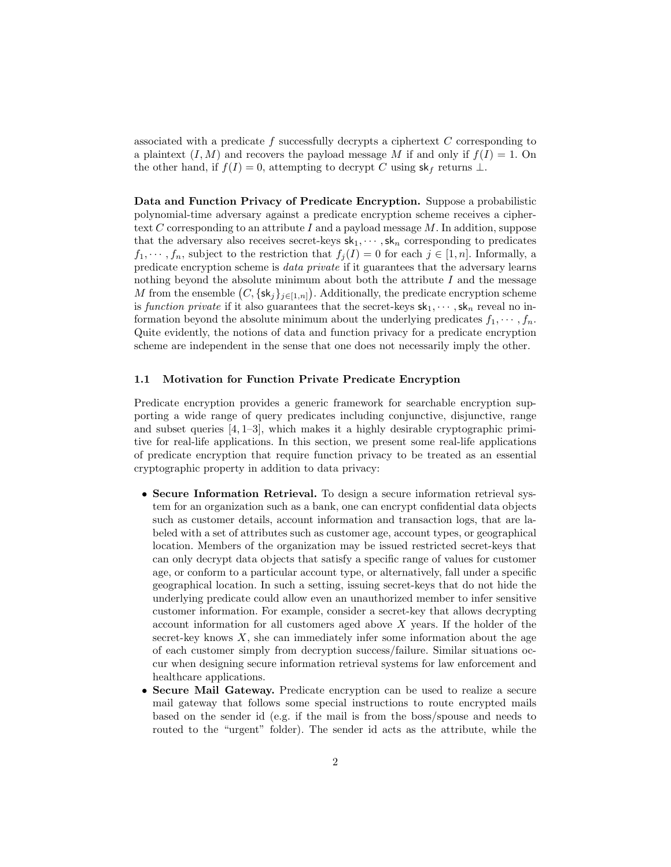associated with a predicate f successfully decrypts a ciphertext  $C$  corresponding to a plaintext  $(I, M)$  and recovers the payload message M if and only if  $f(I) = 1$ . On the other hand, if  $f(I) = 0$ , attempting to decrypt C using  $sk_f$  returns  $\bot$ .

Data and Function Privacy of Predicate Encryption. Suppose a probabilistic polynomial-time adversary against a predicate encryption scheme receives a ciphertext  $C$  corresponding to an attribute  $I$  and a payload message  $M$ . In addition, suppose that the adversary also receives secret-keys  $sk_1, \dots, sk_n$  corresponding to predicates  $f_1, \dots, f_n$ , subject to the restriction that  $f_j(I) = 0$  for each  $j \in [1, n]$ . Informally, a predicate encryption scheme is data private if it guarantees that the adversary learns nothing beyond the absolute minimum about both the attribute  $I$  and the message M from the ensemble  $(C, \{\mathsf{sk}_j\}_{j\in[1,n]})$ . Additionally, the predicate encryption scheme is function private if it also guarantees that the secret-keys  $sk_1, \dots, sk_n$  reveal no information beyond the absolute minimum about the underlying predicates  $f_1, \dots, f_n$ . Quite evidently, the notions of data and function privacy for a predicate encryption scheme are independent in the sense that one does not necessarily imply the other.

#### 1.1 Motivation for Function Private Predicate Encryption

Predicate encryption provides a generic framework for searchable encryption supporting a wide range of query predicates including conjunctive, disjunctive, range and subset queries  $[4, 1-3]$ , which makes it a highly desirable cryptographic primitive for real-life applications. In this section, we present some real-life applications of predicate encryption that require function privacy to be treated as an essential cryptographic property in addition to data privacy:

- Secure Information Retrieval. To design a secure information retrieval system for an organization such as a bank, one can encrypt confidential data objects such as customer details, account information and transaction logs, that are labeled with a set of attributes such as customer age, account types, or geographical location. Members of the organization may be issued restricted secret-keys that can only decrypt data objects that satisfy a specific range of values for customer age, or conform to a particular account type, or alternatively, fall under a specific geographical location. In such a setting, issuing secret-keys that do not hide the underlying predicate could allow even an unauthorized member to infer sensitive customer information. For example, consider a secret-key that allows decrypting account information for all customers aged above  $X$  years. If the holder of the secret-key knows  $X$ , she can immediately infer some information about the age of each customer simply from decryption success/failure. Similar situations occur when designing secure information retrieval systems for law enforcement and healthcare applications.
- Secure Mail Gateway. Predicate encryption can be used to realize a secure mail gateway that follows some special instructions to route encrypted mails based on the sender id (e.g. if the mail is from the boss/spouse and needs to routed to the "urgent" folder). The sender id acts as the attribute, while the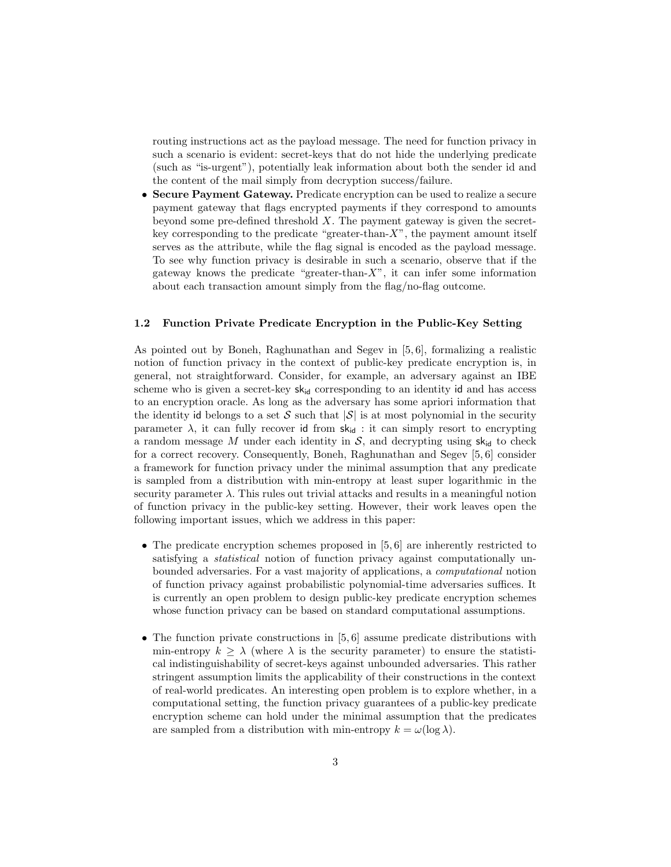routing instructions act as the payload message. The need for function privacy in such a scenario is evident: secret-keys that do not hide the underlying predicate (such as "is-urgent"), potentially leak information about both the sender id and the content of the mail simply from decryption success/failure.

• Secure Payment Gateway. Predicate encryption can be used to realize a secure payment gateway that flags encrypted payments if they correspond to amounts beyond some pre-defined threshold  $X$ . The payment gateway is given the secretkey corresponding to the predicate "greater-than-X", the payment amount itself serves as the attribute, while the flag signal is encoded as the payload message. To see why function privacy is desirable in such a scenario, observe that if the gateway knows the predicate "greater-than- $X$ ", it can infer some information about each transaction amount simply from the flag/no-flag outcome.

#### 1.2 Function Private Predicate Encryption in the Public-Key Setting

As pointed out by Boneh, Raghunathan and Segev in [5, 6], formalizing a realistic notion of function privacy in the context of public-key predicate encryption is, in general, not straightforward. Consider, for example, an adversary against an IBE scheme who is given a secret-key  $sk_{id}$  corresponding to an identity id and has access to an encryption oracle. As long as the adversary has some apriori information that the identity id belongs to a set S such that  $|\mathcal{S}|$  is at most polynomial in the security parameter  $\lambda$ , it can fully recover id from  $sk_{id}$ : it can simply resort to encrypting a random message M under each identity in  $S$ , and decrypting using  $sk_{id}$  to check for a correct recovery. Consequently, Boneh, Raghunathan and Segev [5, 6] consider a framework for function privacy under the minimal assumption that any predicate is sampled from a distribution with min-entropy at least super logarithmic in the security parameter  $\lambda$ . This rules out trivial attacks and results in a meaningful notion of function privacy in the public-key setting. However, their work leaves open the following important issues, which we address in this paper:

- The predicate encryption schemes proposed in  $[5, 6]$  are inherently restricted to satisfying a *statistical* notion of function privacy against computationally unbounded adversaries. For a vast majority of applications, a computational notion of function privacy against probabilistic polynomial-time adversaries suffices. It is currently an open problem to design public-key predicate encryption schemes whose function privacy can be based on standard computational assumptions.
- The function private constructions in  $[5, 6]$  assume predicate distributions with min-entropy  $k \geq \lambda$  (where  $\lambda$  is the security parameter) to ensure the statistical indistinguishability of secret-keys against unbounded adversaries. This rather stringent assumption limits the applicability of their constructions in the context of real-world predicates. An interesting open problem is to explore whether, in a computational setting, the function privacy guarantees of a public-key predicate encryption scheme can hold under the minimal assumption that the predicates are sampled from a distribution with min-entropy  $k = \omega(\log \lambda)$ .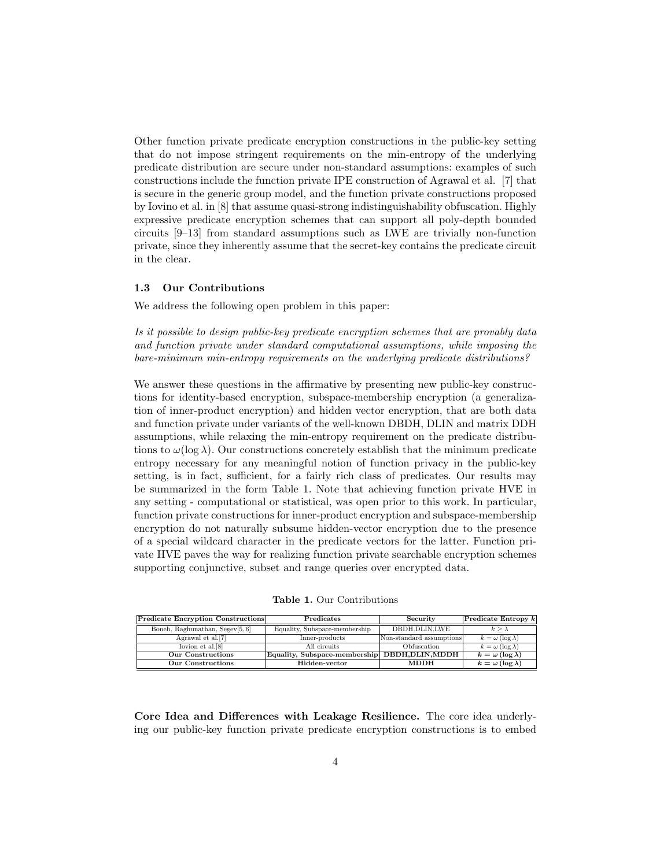Other function private predicate encryption constructions in the public-key setting that do not impose stringent requirements on the min-entropy of the underlying predicate distribution are secure under non-standard assumptions: examples of such constructions include the function private IPE construction of Agrawal et al. [7] that is secure in the generic group model, and the function private constructions proposed by Iovino et al. in [8] that assume quasi-strong indistinguishability obfuscation. Highly expressive predicate encryption schemes that can support all poly-depth bounded circuits [9–13] from standard assumptions such as LWE are trivially non-function private, since they inherently assume that the secret-key contains the predicate circuit in the clear.

#### 1.3 Our Contributions

We address the following open problem in this paper:

Is it possible to design public-key predicate encryption schemes that are provably data and function private under standard computational assumptions, while imposing the bare-minimum min-entropy requirements on the underlying predicate distributions?

We answer these questions in the affirmative by presenting new public-key constructions for identity-based encryption, subspace-membership encryption (a generalization of inner-product encryption) and hidden vector encryption, that are both data and function private under variants of the well-known DBDH, DLIN and matrix DDH assumptions, while relaxing the min-entropy requirement on the predicate distributions to  $\omega(\log \lambda)$ . Our constructions concretely establish that the minimum predicate entropy necessary for any meaningful notion of function privacy in the public-key setting, is in fact, sufficient, for a fairly rich class of predicates. Our results may be summarized in the form Table 1. Note that achieving function private HVE in any setting - computational or statistical, was open prior to this work. In particular, function private constructions for inner-product encryption and subspace-membership encryption do not naturally subsume hidden-vector encryption due to the presence of a special wildcard character in the predicate vectors for the latter. Function private HVE paves the way for realizing function private searchable encryption schemes supporting conjunctive, subset and range queries over encrypted data.

| <b>Table 1.</b> Our Contributions |  |
|-----------------------------------|--|
|-----------------------------------|--|

| Predicate Encryption Constructions | Predicates                                     | Security                 | $ $ Predicate Entropy $k$   |
|------------------------------------|------------------------------------------------|--------------------------|-----------------------------|
| Boneh, Raghunathan, Segev[5, 6]    | Equality, Subspace-membership                  | DBDH.DLIN.LWE            | $k > \lambda$               |
| Agrawal et al.[7]                  | Inner-products                                 | Non-standard assumptions | $k = \omega (\log \lambda)$ |
| Iovion et al. [8]                  | All circuits                                   | Obfuscation              | $k = \omega (\log \lambda)$ |
| Our Constructions                  | Equality, Subspace-membership DBDH, DLIN, MDDH |                          | $k = \omega (\log \lambda)$ |
| <b>Our Constructions</b>           | Hidden-vector                                  | <b>MDDH</b>              | $k = \omega (\log \lambda)$ |

Core Idea and Differences with Leakage Resilience. The core idea underlying our public-key function private predicate encryption constructions is to embed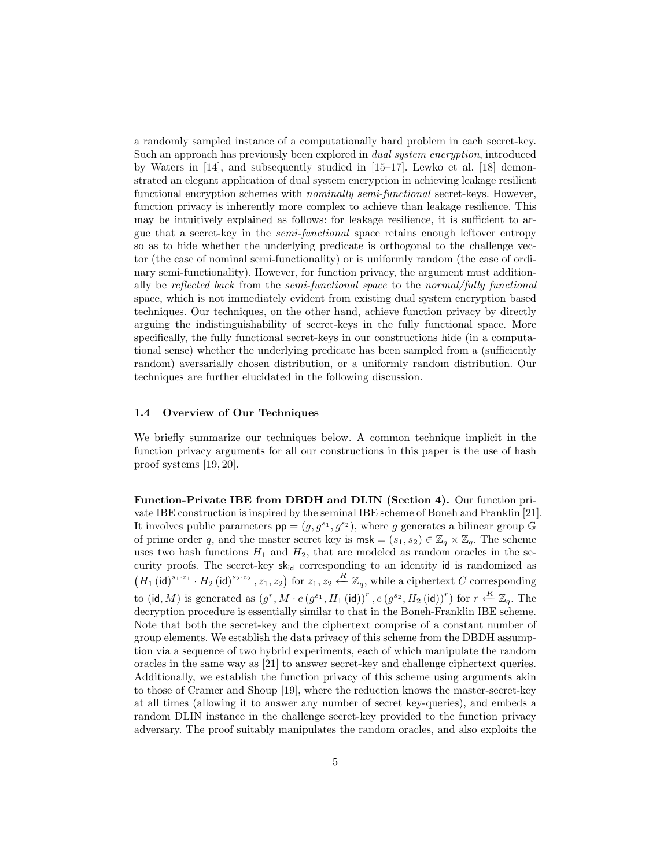a randomly sampled instance of a computationally hard problem in each secret-key. Such an approach has previously been explored in dual system encryption, introduced by Waters in [14], and subsequently studied in [15–17]. Lewko et al. [18] demonstrated an elegant application of dual system encryption in achieving leakage resilient functional encryption schemes with *nominally semi-functional* secret-keys. However, function privacy is inherently more complex to achieve than leakage resilience. This may be intuitively explained as follows: for leakage resilience, it is sufficient to argue that a secret-key in the semi-functional space retains enough leftover entropy so as to hide whether the underlying predicate is orthogonal to the challenge vector (the case of nominal semi-functionality) or is uniformly random (the case of ordinary semi-functionality). However, for function privacy, the argument must additionally be reflected back from the semi-functional space to the normal/fully functional space, which is not immediately evident from existing dual system encryption based techniques. Our techniques, on the other hand, achieve function privacy by directly arguing the indistinguishability of secret-keys in the fully functional space. More specifically, the fully functional secret-keys in our constructions hide (in a computational sense) whether the underlying predicate has been sampled from a (sufficiently random) aversarially chosen distribution, or a uniformly random distribution. Our techniques are further elucidated in the following discussion.

#### 1.4 Overview of Our Techniques

We briefly summarize our techniques below. A common technique implicit in the function privacy arguments for all our constructions in this paper is the use of hash proof systems [19, 20].

Function-Private IBE from DBDH and DLIN (Section 4). Our function private IBE construction is inspired by the seminal IBE scheme of Boneh and Franklin [21]. It involves public parameters  $pp = (g, g^{s_1}, g^{s_2})$ , where g generates a bilinear group G of prime order q, and the master secret key is  $msk = (s_1, s_2) \in \mathbb{Z}_q \times \mathbb{Z}_q$ . The scheme uses two hash functions  $H_1$  and  $H_2$ , that are modeled as random oracles in the security proofs. The secret-key  $sk_{id}$  corresponding to an identity id is randomized as  $(H_1 (\mathsf{id})^{s_1 \cdot z_1} \cdot H_2 (\mathsf{id})^{s_2 \cdot z_2}, z_1, z_2)$  for  $z_1, z_2 \xleftarrow{R} \mathbb{Z}_q$ , while a ciphertext C corresponding to (id, M) is generated as  $(g^r, M \cdot e(g^{s_1}, H_1 \text{ (id)}))^r, e(g^{s_2}, H_2 \text{ (id)})^r)$  for  $r \stackrel{R}{\leftarrow} \mathbb{Z}_q$ . The decryption procedure is essentially similar to that in the Boneh-Franklin IBE scheme. Note that both the secret-key and the ciphertext comprise of a constant number of group elements. We establish the data privacy of this scheme from the DBDH assumption via a sequence of two hybrid experiments, each of which manipulate the random oracles in the same way as [21] to answer secret-key and challenge ciphertext queries. Additionally, we establish the function privacy of this scheme using arguments akin to those of Cramer and Shoup [19], where the reduction knows the master-secret-key at all times (allowing it to answer any number of secret key-queries), and embeds a random DLIN instance in the challenge secret-key provided to the function privacy adversary. The proof suitably manipulates the random oracles, and also exploits the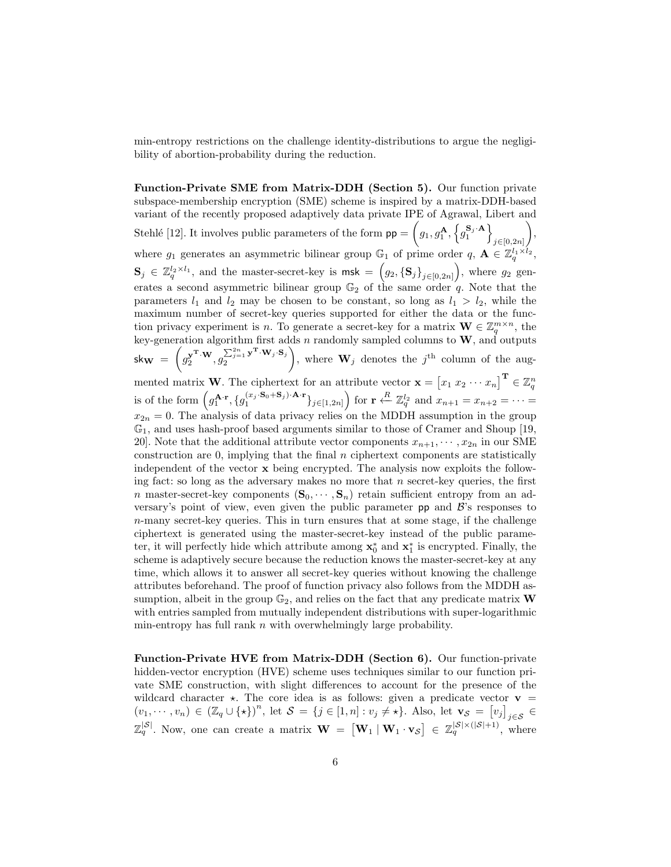min-entropy restrictions on the challenge identity-distributions to argue the negligibility of abortion-probability during the reduction.

Function-Private SME from Matrix-DDH (Section 5). Our function private subspace-membership encryption (SME) scheme is inspired by a matrix-DDH-based variant of the recently proposed adaptively data private IPE of Agrawal, Libert and Stehlé [12]. It involves public parameters of the form  $pp = (g_1, g_1^{\mathbf{A}}, \{g_1^{\mathbf{S}_j \cdot \mathbf{A}}\})$  $j \in [0, 2n]$  $\bigg),$ where  $g_1$  generates an asymmetric bilinear group  $\mathbb{G}_1$  of prime order  $q, \mathbf{A} \in \mathbb{Z}_q^{l_1 \times l_2}$ ,  $\mathbf{S}_j \in \mathbb{Z}_q^{l_2 \times l_1}$ , and the master-secret-key is  $\mathsf{msk} = (g_2, {\{\mathbf{S}_j\}}_{j \in [0,2n]})$ , where  $g_2$  generates a second asymmetric bilinear group  $\mathbb{G}_2$  of the same order q. Note that the parameters  $l_1$  and  $l_2$  may be chosen to be constant, so long as  $l_1 > l_2$ , while the maximum number of secret-key queries supported for either the data or the function privacy experiment is n. To generate a secret-key for a matrix  $\mathbf{W} \in \mathbb{Z}_q^{m \times n}$ , the tion privacy experiment is *n*. To generate a secret-key for a matrix  $\mathbf{w} \in \mathbb{Z}_q$ , the key-generation algorithm first adds *n* randomly sampled columns to **W**, and outputs  $\mathsf{sk}_{\mathbf{W}} \ = \ \bigg( g_2^{\mathbf{y^T \cdot W}}, g_2^{\sum_{j=1}^{2n} \mathbf{y^T \cdot W}_j \cdot \mathbf{S}_j}$ 2 ), where  $\mathbf{W}_j$  denotes the j<sup>th</sup> column of the augmented matrix **W**. The ciphertext for an attribute vector  $\mathbf{x} = \begin{bmatrix} x_1 & x_2 & \cdots & x_n \end{bmatrix}^{\mathbf{T}} \in \mathbb{Z}_q^n$ <br>is of the form  $\left(g_1^{\mathbf{A}\cdot\mathbf{r}}, \{g_1^{(x_j \cdot \mathbf{S}_0 + \mathbf{S}_j) \cdot \mathbf{A} \cdot \mathbf{r}}\}_{j\in[1,2n]} \right)$  for  $\mathbf{r} \stackrel{R}{\$  $x_{2n} = 0$ . The analysis of data privacy relies on the MDDH assumption in the group  $\mathbb{G}_1$ , and uses hash-proof based arguments similar to those of Cramer and Shoup [19, 20]. Note that the additional attribute vector components  $x_{n+1}, \dots, x_{2n}$  in our SME construction are 0, implying that the final  $n$  ciphertext components are statistically independent of the vector x being encrypted. The analysis now exploits the following fact: so long as the adversary makes no more that  $n$  secret-key queries, the first n master-secret-key components  $(\mathbf{S}_0, \dots, \mathbf{S}_n)$  retain sufficient entropy from an adversary's point of view, even given the public parameter  $pp$  and  $\beta$ 's responses to n-many secret-key queries. This in turn ensures that at some stage, if the challenge ciphertext is generated using the master-secret-key instead of the public parameter, it will perfectly hide which attribute among  $\mathbf{x}_0^*$  and  $\mathbf{x}_1^*$  is encrypted. Finally, the scheme is adaptively secure because the reduction knows the master-secret-key at any time, which allows it to answer all secret-key queries without knowing the challenge attributes beforehand. The proof of function privacy also follows from the MDDH assumption, albeit in the group  $\mathbb{G}_2$ , and relies on the fact that any predicate matrix **W** with entries sampled from mutually independent distributions with super-logarithmic min-entropy has full rank  $n$  with overwhelmingly large probability.

Function-Private HVE from Matrix-DDH (Section 6). Our function-private hidden-vector encryption (HVE) scheme uses techniques similar to our function private SME construction, with slight differences to account for the presence of the wildcard character  $\star$ . The core idea is as follows: given a predicate vector  $\mathbf{v} =$  $(v_1,\dots,v_n)\in (\mathbb{Z}_q\cup\{\star\})^n$ , let  $\mathcal{S}=\{j\in[1,n]:v_j\neq\star\}$ . Also, let  $\mathbf{v}_{\mathcal{S}}=[v_j]_{j\in\mathcal{S}}\in$  $\mathbb{Z}_q^{|\mathcal{S}|}$ . Now, one can create a matrix  $\mathbf{W} = [\mathbf{W}_1 | \mathbf{W}_1 \cdot \mathbf{v}_{\mathcal{S}}] \in \mathbb{Z}_q^{|\mathcal{S}| \times (|\mathcal{S}|+1)}$ , where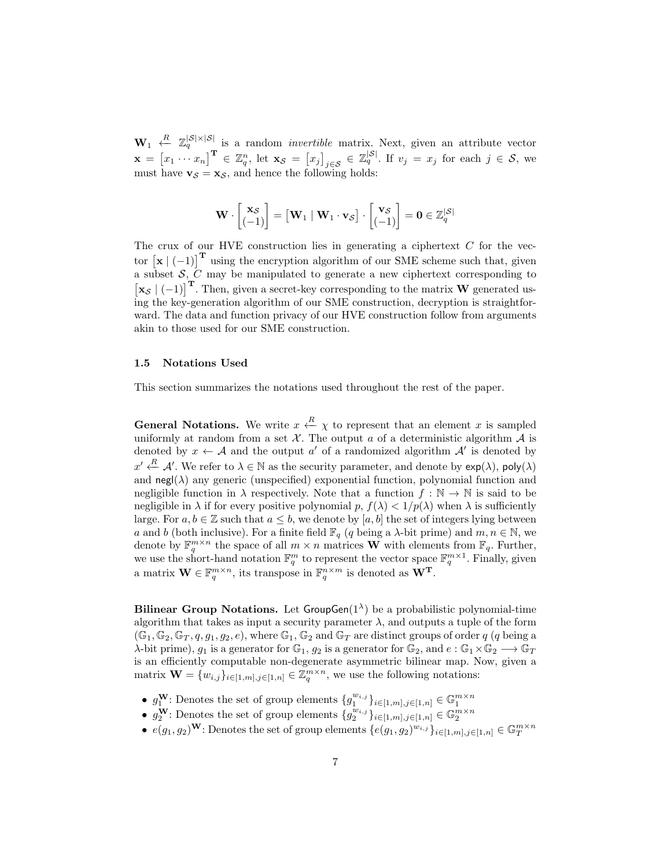$\mathbf{W}_1 \stackrel{R}{\leftarrow} \mathbb{Z}_q^{|\mathcal{S}|\times|\mathcal{S}|}$  is a random *invertible* matrix. Next, given an attribute vector  $\mathbf{x} = \begin{bmatrix} x_1 \cdots x_n \end{bmatrix}^{\mathbf{T}} \in \mathbb{Z}_q^n$ , let  $\mathbf{x}_{\mathcal{S}} = \begin{bmatrix} x_j \end{bmatrix}_{j \in \mathcal{S}} \in \mathbb{Z}_q^{|\mathcal{S}|}$ . If  $v_j = x_j$  for each  $j \in \mathcal{S}$ , we must have  $\mathbf{v}_{\mathcal{S}} = \mathbf{x}_{\mathcal{S}}$ , and hence the following holds:

$$
\mathbf{W} \cdot \begin{bmatrix} \mathbf{x}_{\mathcal{S}} \\ (-1) \end{bmatrix} = \begin{bmatrix} \mathbf{W}_1 \mid \mathbf{W}_1 \cdot \mathbf{v}_{\mathcal{S}} \end{bmatrix} \cdot \begin{bmatrix} \mathbf{v}_{\mathcal{S}} \\ (-1) \end{bmatrix} = \mathbf{0} \in \mathbb{Z}_q^{|\mathcal{S}|}
$$

The crux of our HVE construction lies in generating a ciphertext  $C$  for the vector  $[\mathbf{x} \mid (-1)]^T$  using the encryption algorithm of our SME scheme such that, given a subset  $S, C$  may be manipulated to generate a new ciphertext corresponding to  $\begin{bmatrix} \mathbf{x}_{\mathcal{S}} \end{bmatrix}$  (-1)]<sup>T</sup>. Then, given a secret-key corresponding to the matrix W generated using the key-generation algorithm of our SME construction, decryption is straightforward. The data and function privacy of our HVE construction follow from arguments akin to those used for our SME construction.

#### 1.5 Notations Used

This section summarizes the notations used throughout the rest of the paper.

**General Notations.** We write  $x \stackrel{R}{\leftarrow} \chi$  to represent that an element x is sampled uniformly at random from a set  $\mathcal{X}$ . The output a of a deterministic algorithm  $\mathcal{A}$  is denoted by  $x \leftarrow A$  and the output  $a'$  of a randomized algorithm  $A'$  is denoted by  $x' \stackrel{R}{\leftarrow} \mathcal{A}'$ . We refer to  $\lambda \in \mathbb{N}$  as the security parameter, and denote by  $\exp(\lambda)$ ,  $\text{poly}(\lambda)$ and  $\text{negl}(\lambda)$  any generic (unspecified) exponential function, polynomial function and negligible function in  $\lambda$  respectively. Note that a function  $f : \mathbb{N} \to \mathbb{N}$  is said to be negligible in  $\lambda$  if for every positive polynomial p,  $f(\lambda) < 1/p(\lambda)$  when  $\lambda$  is sufficiently large. For  $a, b \in \mathbb{Z}$  such that  $a \leq b$ , we denote by  $[a, b]$  the set of integers lying between a and b (both inclusive). For a finite field  $\mathbb{F}_q$  (q being a  $\lambda$ -bit prime) and  $m, n \in \mathbb{N}$ , we denote by  $\mathbb{F}_q^{m \times n}$  the space of all  $m \times n$  matrices **W** with elements from  $\mathbb{F}_q$ . Further, we use the short-hand notation  $\mathbb{F}_q^m$  to represent the vector space  $\mathbb{F}_q^{m \times 1}$ . Finally, given a matrix  $\mathbf{W} \in \mathbb{F}_q^{m \times n}$ , its transpose in  $\mathbb{F}_q^{n \times m}$  is denoted as  $\mathbf{W}^{\mathbf{T}}$ .

Bilinear Group Notations. Let GroupGen $(1^{\lambda})$  be a probabilistic polynomial-time algorithm that takes as input a security parameter  $\lambda$ , and outputs a tuple of the form  $(\mathbb{G}_1, \mathbb{G}_2, \mathbb{G}_T, q, q_1, q_2, e)$ , where  $\mathbb{G}_1, \mathbb{G}_2$  and  $\mathbb{G}_T$  are distinct groups of order q (q being a  $\lambda$ -bit prime),  $g_1$  is a generator for  $\mathbb{G}_1$ ,  $g_2$  is a generator for  $\mathbb{G}_2$ , and  $e : \mathbb{G}_1 \times \mathbb{G}_2 \longrightarrow \mathbb{G}_T$ is an efficiently computable non-degenerate asymmetric bilinear map. Now, given a matrix  $\mathbf{W} = \{w_{i,j}\}_{i \in [1,m], j \in [1,n]} \in \mathbb{Z}_q^{m \times n}$ , we use the following notations:

- $g_1^{\mathbf{W}}$ : Denotes the set of group elements  $\{g_1^{w_{i,j}}\}_{i \in [1,m], j \in [1,n]} \in \mathbb{G}_1^{m \times n}$ <br>•  $g_2^{\mathbf{W}}$ : Denotes the set of group elements  $\{g_2^{w_{i,j}}\}_{i \in [1,m], j \in [1,n]} \in \mathbb{G}_2^{m \times n}$
- 
- $e(g_1, g_2)$ <sup>W</sup>: Denotes the set of group elements  $\{e(g_1, g_2)^{w_{i,j}}\}_{i \in [1,m], j \in [1,n]} \in \mathbb{G}_T^{m \times n}$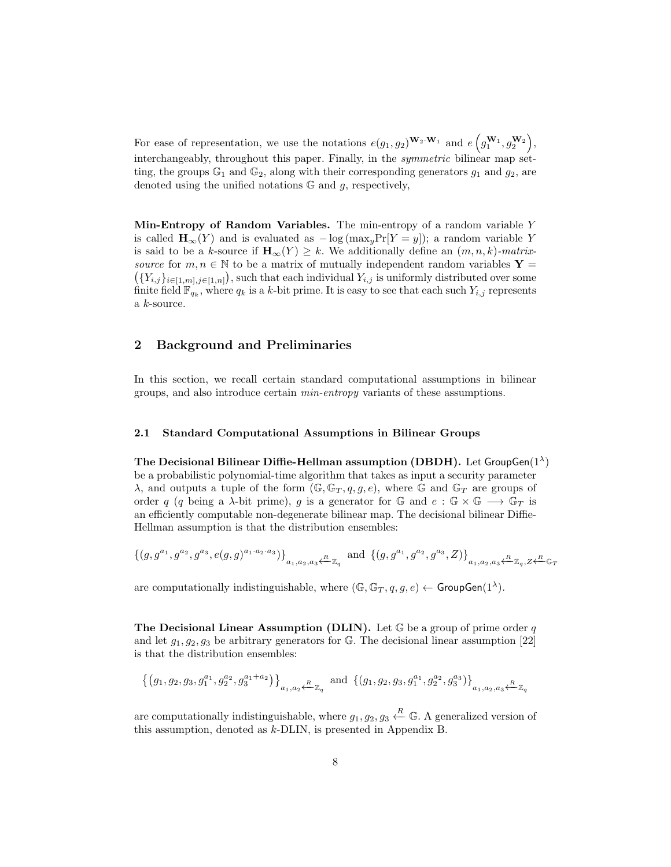For ease of representation, we use the notations  $e(g_1, g_2)^{\mathbf{W}_2 \cdot \mathbf{W}_1}$  and  $e(g_1^{W_1}, g_2^{W_2})$ , interchangeably, throughout this paper. Finally, in the symmetric bilinear map setting, the groups  $\mathbb{G}_1$  and  $\mathbb{G}_2$ , along with their corresponding generators  $g_1$  and  $g_2$ , are denoted using the unified notations  $G$  and  $g$ , respectively,

Min-Entropy of Random Variables. The min-entropy of a random variable  $Y$ is called  $\mathbf{H}_{\infty}(Y)$  and is evaluated as  $-\log(\max_{u} \Pr[Y = y])$ ; a random variable Y is said to be a k-source if  $\mathbf{H}_{\infty}(Y) \geq k$ . We additionally define an  $(m, n, k)$ -matrixsource for  $m, n \in \mathbb{N}$  to be a matrix of mutually independent random variables Y =  $({Y_{i,j}}_{i\in[1,m],j\in[1,n]})$ , such that each individual  $Y_{i,j}$  is uniformly distributed over some finite field  $\mathbb{F}_{q_k}$ , where  $q_k$  is a k-bit prime. It is easy to see that each such  $Y_{i,j}$  represents a k-source.

# 2 Background and Preliminaries

In this section, we recall certain standard computational assumptions in bilinear groups, and also introduce certain min-entropy variants of these assumptions.

#### 2.1 Standard Computational Assumptions in Bilinear Groups

The Decisional Bilinear Diffie-Hellman assumption (DBDH). Let GroupGen $(1^{\lambda})$ be a probabilistic polynomial-time algorithm that takes as input a security parameter  $\lambda$ , and outputs a tuple of the form  $(\mathbb{G}, \mathbb{G}_T, q, g, e)$ , where  $\mathbb{G}$  and  $\mathbb{G}_T$  are groups of order q (q being a  $\lambda$ -bit prime), g is a generator for G and  $e : \mathbb{G} \times \mathbb{G} \longrightarrow \mathbb{G}_T$  is an efficiently computable non-degenerate bilinear map. The decisional bilinear Diffie-Hellman assumption is that the distribution ensembles:

$$
\{(g, g^{a_1}, g^{a_2}, g^{a_3}, e(g,g)^{a_1 \cdot a_2 \cdot a_3})\}_{a_1, a_2, a_3 \xleftarrow{R} \mathbb{Z}_q} \text{ and } \{(g, g^{a_1}, g^{a_2}, g^{a_3}, Z)\}_{a_1, a_2, a_3 \xleftarrow{R} \mathbb{Z}_q, Z \xleftarrow{R} \mathbb{G}_T}
$$

are computationally indistinguishable, where  $(\mathbb{G}, \mathbb{G}_T, q, g, e) \leftarrow \text{GroupGen}(1^{\lambda})$ .

**The Decisional Linear Assumption (DLIN).** Let  $\mathbb{G}$  be a group of prime order q and let  $g_1, g_2, g_3$  be arbitrary generators for G. The decisional linear assumption [22] is that the distribution ensembles:

$$
\left\{ (g_1, g_2, g_3, g_1^{a_1}, g_2^{a_2}, g_3^{a_1+a_2}) \right\}_{a_1, a_2 \leftarrow \mathbb{Z}_q} \text{ and } \left\{ (g_1, g_2, g_3, g_1^{a_1}, g_2^{a_2}, g_3^{a_3}) \right\}_{a_1, a_2, a_3 \leftarrow \mathbb{Z}_q}
$$

are computationally indistinguishable, where  $g_1, g_2, g_3 \stackrel{R}{\leftarrow} \mathbb{G}$ . A generalized version of this assumption, denoted as k-DLIN, is presented in Appendix B.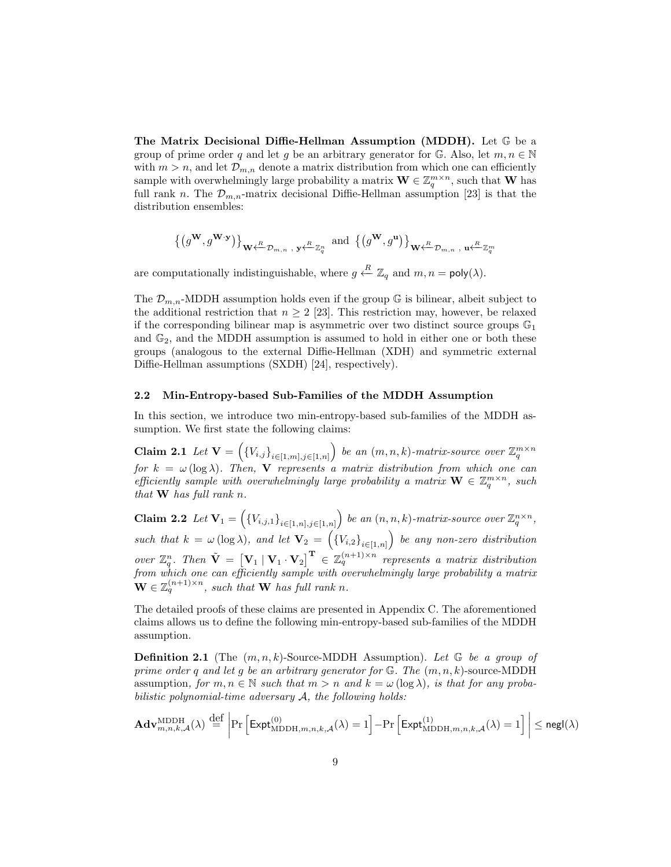The Matrix Decisional Diffie-Hellman Assumption (MDDH). Let G be a group of prime order q and let q be an arbitrary generator for  $\mathbb{G}$ . Also, let  $m, n \in \mathbb{N}$ with  $m > n$ , and let  $\mathcal{D}_{m,n}$  denote a matrix distribution from which one can efficiently sample with overwhelmingly large probability a matrix  $\mathbf{W} \in \mathbb{Z}_q^{m \times n}$ , such that **W** has full rank n. The  $\mathcal{D}_{m,n}$ -matrix decisional Diffie-Hellman assumption [23] is that the distribution ensembles:

$$
\left\{\left(g^{\mathbf{W}},g^{\mathbf{W}\cdot\mathbf{y}}\right)\right\}_{\mathbf{W}\leftarrow\mathcal{D}_{m,n},\;\mathbf{y}\leftarrow\mathbb{Z}_q^n}\;\text{and}\;\left\{\left(g^{\mathbf{W}},g^{\mathbf{u}}\right)\right\}_{\mathbf{W}\leftarrow\mathcal{D}_{m,n},\;\mathbf{u}\leftarrow\mathbb{Z}_q^m}
$$

are computationally indistinguishable, where  $g \stackrel{R}{\leftarrow} \mathbb{Z}_q$  and  $m, n = \text{poly}(\lambda)$ .

The  $\mathcal{D}_{m,n}$ -MDDH assumption holds even if the group G is bilinear, albeit subject to the additional restriction that  $n \geq 2$  [23]. This restriction may, however, be relaxed if the corresponding bilinear map is asymmetric over two distinct source groups  $\mathbb{G}_1$ and  $\mathbb{G}_2$ , and the MDDH assumption is assumed to hold in either one or both these groups (analogous to the external Diffie-Hellman (XDH) and symmetric external Diffie-Hellman assumptions (SXDH) [24], respectively).

#### 2.2 Min-Entropy-based Sub-Families of the MDDH Assumption

In this section, we introduce two min-entropy-based sub-families of the MDDH assumption. We first state the following claims:

Claim 2.1 Let  $\mathbf{V} = \left( \{V_{i,j}\}_{i \in [1,m],j \in [1,n]} \right)$  be an  $(m,n,k)$ -matrix-source over  $\mathbb{Z}_q^{m \times n}$ for  $k = \omega(\log \lambda)$ . Then, V represents a matrix distribution from which one can efficiently sample with overwhelmingly large probability a matrix  $\mathbf{W} \in \mathbb{Z}_q^{m \times n}$ , such that  $W$  has full rank n.

Claim 2.2 Let  $\mathbf{V}_1 = \left( \{V_{i,j,1}\}_{i \in [1,n],j \in [1,n]} \right)$  be an  $(n,n,k)$ -matrix-source over  $\mathbb{Z}_q^{n \times n}$ , such that  $k = \omega(\log \lambda)$ , and let  $\mathbf{V}_2 = (\{V_{i,2}\}_{i \in [1,n]})$  be any non-zero distribution over  $\mathbb{Z}_q^n$ . Then  $\tilde{\mathbf{V}} = [\mathbf{V}_1 | \mathbf{V}_1 \cdot \mathbf{V}_2]^{\mathbf{T}} \in \mathbb{Z}_q^{(n+1)\times n}$  represents a matrix distribution from which one can efficiently sample with overwhelmingly large probability a matrix  $\mathbf{W} \in \mathbb{Z}_q^{(n+1)\times n}$ , such that **W** has full rank n.

The detailed proofs of these claims are presented in Appendix C. The aforementioned claims allows us to define the following min-entropy-based sub-families of the MDDH assumption.

**Definition 2.1** (The  $(m, n, k)$ -Source-MDDH Assumption). Let  $\mathbb{G}$  be a group of prime order q and let q be an arbitrary generator for  $\mathbb{G}$ . The  $(m, n, k)$ -source-MDDH assumption, for  $m, n \in \mathbb{N}$  such that  $m > n$  and  $k = \omega(\log \lambda)$ , is that for any probabilistic polynomial-time adversary  $A$ , the following holds:

$$
\mathbf{Adv}_{m,n,k,\mathcal{A}}^{\mathrm{MDDH}}(\lambda) \stackrel{{\mathrm {\footnotesize def}}}{=} \left|\Pr\left[\mathsf{Expt}_{\mathrm{MDDH},m,n,k,\mathcal{A}}^{(0)}(\lambda) = 1\right] - \Pr\left[\mathsf{Expt}_{\mathrm{MDDH},m,n,k,\mathcal{A}}^{(1)}(\lambda) = 1\right]\right| \leq {\mathrm{\textsf{negl}}}(\lambda)
$$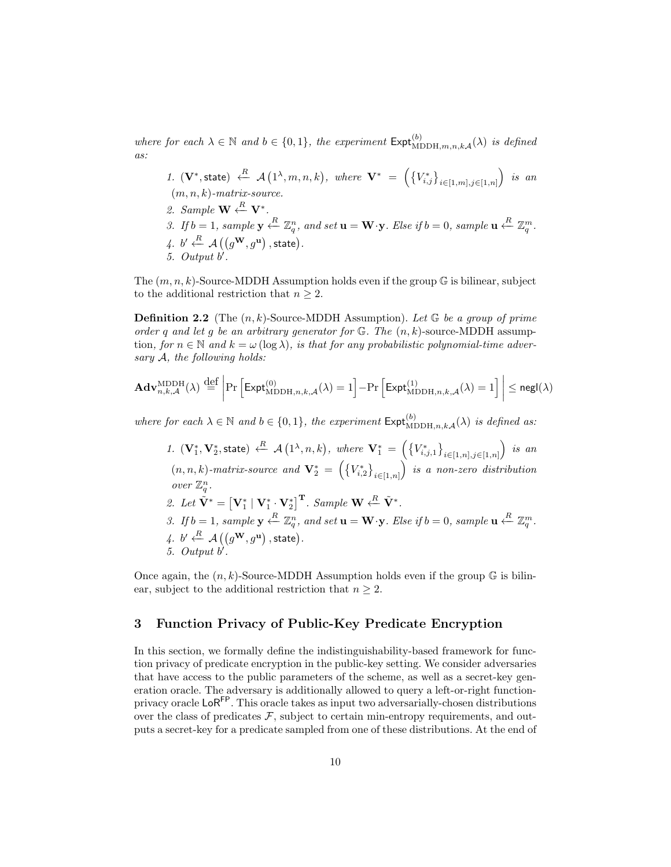where for each  $\lambda \in \mathbb{N}$  and  $b \in \{0,1\}$ , the experiment  $\text{Expt}_{\text{MDDH},m,n,k,\mathcal{A}}^{(b)}(\lambda)$  is defined as:

1.  $(\mathbf{V}^*,$ state)  $\stackrel{R}{\leftarrow}$   $\mathcal{A}(1^{\lambda},m,n,k)$ , where  $\mathbf{V}^* = (\{V_{i,j}^*\}_{i \in [1,m],j \in [1,n]})$  is an  $(m, n, k)$ -matrix-source. 2. Sample  $\mathbf{W} \stackrel{R}{\leftarrow} \mathbf{V}^*$ . 3. If  $b = 1$ , sample  $y \stackrel{R}{\leftarrow} \mathbb{Z}_q^n$ , and set  $u = W \cdot y$ . Else if  $b = 0$ , sample  $u \stackrel{R}{\leftarrow} \mathbb{Z}_q^m$ .  $\mathcal{A}, b' \stackrel{R}{\leftarrow} \mathcal{A}\left(\left(g^{\mathbf{W}}, g^{\mathbf{u}}\right), \textsf{state}\right).$ 5. Output  $b'$ .

The  $(m, n, k)$ -Source-MDDH Assumption holds even if the group  $\mathbb G$  is bilinear, subject to the additional restriction that  $n \geq 2$ .

**Definition 2.2** (The  $(n, k)$ -Source-MDDH Assumption). Let  $\mathbb{G}$  be a group of prime order q and let g be an arbitrary generator for  $\mathbb{G}$ . The  $(n, k)$ -source-MDDH assumption, for  $n \in \mathbb{N}$  and  $k = \omega(\log \lambda)$ , is that for any probabilistic polynomial-time adversary A, the following holds:

$$
\mathbf{Adv}_{n,k,\mathcal{A}}^{\mathrm{MDDH}}(\lambda) \stackrel{\mathrm{def}}{=} \left| \Pr\left[ \mathsf{Expt}_{\mathrm{MDDH},n,k,\mathcal{A}}^{(0)}(\lambda) = 1 \right] - \Pr\left[ \mathsf{Expt}_{\mathrm{MDDH},n,k,\mathcal{A}}^{(1)}(\lambda) = 1 \right] \right| \le \mathsf{negl}(\lambda)
$$

where for each  $\lambda \in \mathbb{N}$  and  $b \in \{0,1\}$ , the experiment  $\mathsf{Expt}_{\mathrm{MDDH},n,k\mathcal{A}}^{(b)}(\lambda)$  is defined as:

1.  $(\mathbf{V}_1^*, \mathbf{V}_2^*,$ state)  $\stackrel{R}{\leftarrow}$   $\mathcal{A}(1^{\lambda}, n, k)$ , where  $\mathbf{V}_1^* = (\{V_{i,j,1}^*\}_{i \in [1,n], j \in [1,n]})$  is an  $(n, n, k)$ -matrix-source and  $\mathbf{V}_2^* = \left( \left\{ V_{i,2}^* \right\}_{i \in [1,n]} \right)$  is a non-zero distribution over  $\mathbb{Z}_q^n$ . 2. Let  $\tilde{\mathbf{V}}^* = \begin{bmatrix} \mathbf{V}_1^* & \mathbf{V}_1^* & \mathbf{V}_2^* \end{bmatrix}^{\mathbf{T}}$ . Sample  $\mathbf{W} \stackrel{R}{\leftarrow} \tilde{\mathbf{V}}^*$ . 3. If  $b = 1$ , sample  $y \stackrel{R}{\leftarrow} \mathbb{Z}_q^n$ , and set  $u = W \cdot y$ . Else if  $b = 0$ , sample  $u \stackrel{R}{\leftarrow} \mathbb{Z}_q^m$ .  $\mathcal{A}, b' \stackrel{R}{\leftarrow} \mathcal{A}\left(\left(g^{\mathbf{W}}, g^{\mathbf{u}}\right), \textsf{state}\right).$ 5. Output  $b'$ .

Once again, the  $(n, k)$ -Source-MDDH Assumption holds even if the group  $\mathbb{G}$  is bilinear, subject to the additional restriction that  $n \geq 2$ .

#### 3 Function Privacy of Public-Key Predicate Encryption

In this section, we formally define the indistinguishability-based framework for function privacy of predicate encryption in the public-key setting. We consider adversaries that have access to the public parameters of the scheme, as well as a secret-key generation oracle. The adversary is additionally allowed to query a left-or-right functionprivacy oracle LoRFP. This oracle takes as input two adversarially-chosen distributions over the class of predicates  $\mathcal{F}$ , subject to certain min-entropy requirements, and outputs a secret-key for a predicate sampled from one of these distributions. At the end of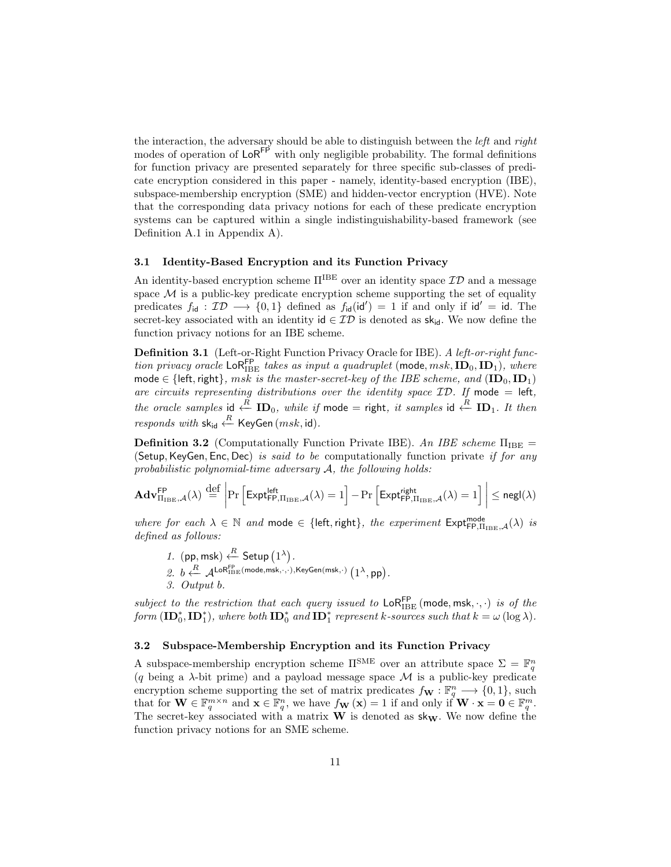the interaction, the adversary should be able to distinguish between the *left* and *right* modes of operation of  $\textsf{LoR}^{\textsf{FP}}$  with only negligible probability. The formal definitions for function privacy are presented separately for three specific sub-classes of predicate encryption considered in this paper - namely, identity-based encryption (IBE), subspace-membership encryption (SME) and hidden-vector encryption (HVE). Note that the corresponding data privacy notions for each of these predicate encryption systems can be captured within a single indistinguishability-based framework (see Definition A.1 in Appendix A).

#### 3.1 Identity-Based Encryption and its Function Privacy

An identity-based encryption scheme  $\Pi^{\text{B}\text{E}}$  over an identity space  $\mathcal{ID}$  and a message space  $M$  is a public-key predicate encryption scheme supporting the set of equality predicates  $f_{\text{id}} : \mathcal{ID} \longrightarrow \{0,1\}$  defined as  $f_{\text{id}}(\text{id}') = 1$  if and only if  $\text{id}' = \text{id}$ . The secret-key associated with an identity id  $\in \mathcal{ID}$  is denoted as sk<sub>id</sub>. We now define the function privacy notions for an IBE scheme.

Definition 3.1 (Left-or-Right Function Privacy Oracle for IBE). A left-or-right function privacy oracle LoR<sup>FP</sup> takes as input a quadruplet (mode,  $msk, {\bf ID}_0, {\bf ID}_1)$ , where mode  $\in$  {left, right}, msk is the master-secret-key of the IBE scheme, and  $(\mathbf{ID}_0, \mathbf{ID}_1)$ are circuits representing distributions over the identity space  $ID$ . If mode = left, the oracle samples id  $\stackrel{R}{\leftarrow}$  ID<sub>0</sub>, while if mode = right, it samples id  $\stackrel{R}{\leftarrow}$  ID<sub>1</sub>. It then  $\emph{responds with }$  sk<sub>id</sub>  $\stackrel{R}{\leftarrow}$  KeyGen  $(\emph{msk}, \emph{id}).$ 

**Definition 3.2** (Computationally Function Private IBE). An IBE scheme  $\Pi_{\text{IBE}} =$ (Setup, KeyGen, Enc, Dec) is said to be computationally function private if for any probabilistic polynomial-time adversary  $A$ , the following holds:

$$
\mathbf{Adv}_{\Pi_{\mathrm{IDE}},\mathcal{A}}^{\mathsf{FP}}(\lambda) \stackrel{{\mathrm {\footnotesize def}}}{=} \left|\Pr\left[\mathsf{Expt}_{\mathsf{FP},\Pi_{\mathrm{IDE}},\mathcal{A}}^{\mathsf{left}}(\lambda)=1\right]-\Pr\left[\mathsf{Expt}_{\mathsf{FP},\Pi_{\mathrm{IDE}},\mathcal{A}}^{\mathsf{right}}(\lambda)=1\right]\right|\le {\mathsf{negl}}(\lambda)
$$

where for each  $\lambda \in \mathbb{N}$  and mode  $\in \{\text{left}, \text{right}\},$  the experiment  $\text{Expt}_{\text{FP},\Pi_{\text{IDE}},\mathcal{A}}^{\text{mode}}(\lambda)$  is defined as follows:

1. (pp, msk)  $\stackrel{R}{\leftarrow}$  Setup  $(1^{\lambda})$ . 2.  $b \stackrel{R}{\longleftarrow} \mathcal{A}^{\text{LoR}}{}^{\text{FP}}_{\text{IBE}}(\text{mode},\text{msk},\cdot,\cdot),\text{KeyGen}(\text{msk},\cdot)\left(1^{\lambda},\text{pp}\right).$ 3. Output b.

subject to the restriction that each query issued to  $\textsf{LoR}_{\text{IBE}}^{\textsf{FP}}$  (mode, msk,  $\cdot, \cdot$ ) is of the form  $(\mathbf{ID}_0^*, \mathbf{ID}_1^*)$ , where both  $\mathbf{ID}_0^*$  and  $\mathbf{ID}_1^*$  represent k-sources such that  $k = \omega(\log \lambda)$ .

#### 3.2 Subspace-Membership Encryption and its Function Privacy

A subspace-membership encryption scheme  $\Pi^{\text{SME}}$  over an attribute space  $\Sigma = \mathbb{F}_q^n$ (q being a  $\lambda$ -bit prime) and a payload message space M is a public-key predicate encryption scheme supporting the set of matrix predicates  $f_{\mathbf{W}} : \mathbb{F}_q^n \longrightarrow \{0, 1\}$ , such that for  $\mathbf{W} \in \mathbb{F}_q^{m \times n}$  and  $\mathbf{x} \in \mathbb{F}_q^n$ , we have  $f_{\mathbf{W}}(\mathbf{x}) = 1$  if and only if  $\mathbf{W} \cdot \mathbf{x} = \mathbf{0} \in \mathbb{F}_q^m$ . The secret-key associated with a matrix  $W$  is denoted as  $sk_W$ . We now define the function privacy notions for an SME scheme.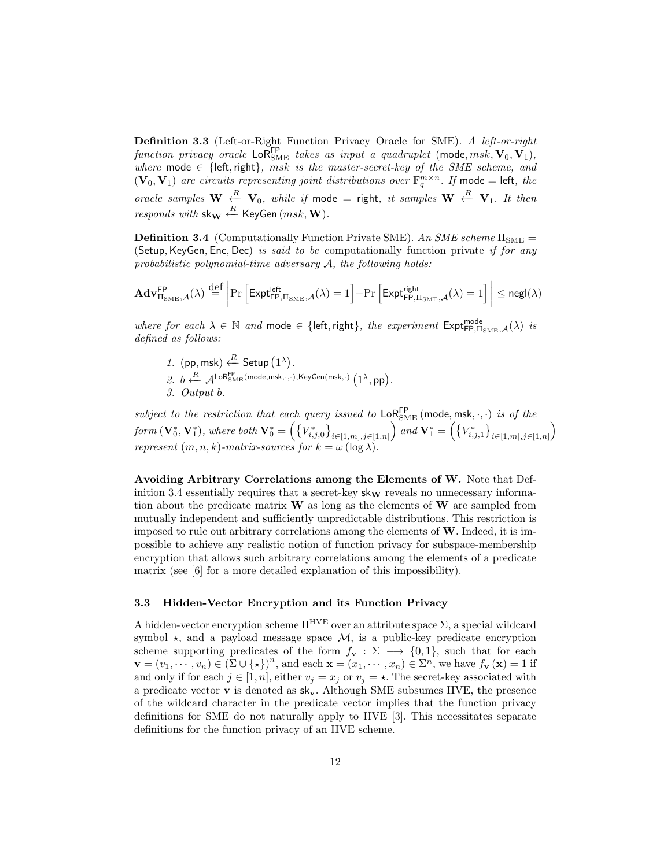Definition 3.3 (Left-or-Right Function Privacy Oracle for SME). A left-or-right function privacy oracle  $\textsf{LoR}_{\text{SME}}^{\textsf{FP}}$  takes as input a quadruplet (mode,  $msk, \mathbf{V}_0, \mathbf{V}_1$ ), where mode  $\in$  {left, right}, msk is the master-secret-key of the SME scheme, and  $(\mathbf{V}_0, \mathbf{V}_1)$  are circuits representing joint distributions over  $\mathbb{F}_q^{m \times n}$ . If mode = left, the oracle samples  $\mathbf{W} \stackrel{R}{\leftarrow} \mathbf{V}_0$ , while if mode = right, it samples  $\mathbf{W} \stackrel{R}{\leftarrow} \mathbf{V}_1$ . It then  $\emph{responds with $\mathbf{sk_{W}} \stackrel{R}{\leftarrow}$ KeyGen}$   $\emph{(msk, W)}.$ 

**Definition 3.4** (Computationally Function Private SME). An SME scheme  $\Pi_{\text{SME}} =$ (Setup, KeyGen, Enc, Dec) is said to be computationally function private if for any probabilistic polynomial-time adversary  $A$ , the following holds:

$$
\mathbf{Adv}_{\Pi_{\mathrm{SME},\mathcal{A}}^{\mathsf{FP}}(\lambda)}^{\mathsf{FP}}\overset{\mathrm{def}}{=}\left|\Pr\left[\mathsf{Expt}_{\mathsf{FP},\Pi_{\mathrm{SME}},\mathcal{A}}^{\mathsf{left}}(\lambda)=1\right]-\Pr\left[\mathsf{Expt}_{\mathsf{FP},\Pi_{\mathrm{SME}},\mathcal{A}}^{\mathsf{right}}(\lambda)=1\right]\right|\leq \mathsf{negl}(\lambda)
$$

where for each  $\lambda \in \mathbb{N}$  and mode  $\in$  {left, right}, the experiment  $\text{Expt}^{\text{mode}}_{\text{FP},\Pi_{\text{SME}},\mathcal{A}}(\lambda)$  is defined as follows:

1. (pp, msk)  $\stackrel{R}{\leftarrow}$  Setup  $(1^{\lambda})$ . 2.  $b \stackrel{R}{\longleftarrow} \mathcal{A}^{\mathsf{LoR}_{\mathsf{SME}}^{\mathsf{FP}}}(\mathsf{mode},\mathsf{msk},\cdot,\cdot),\mathsf{KeyGen}(\mathsf{msk},\cdot)\left(1^\lambda,\mathsf{pp}\right).$ 3. Output b.

subject to the restriction that each query issued to  $\textsf{LoR}_{\text{SME}}^{\textsf{FP}}$  (mode, msk,  $\cdot, \cdot$ ) is of the  $\mathit{form}\ (\mathbf{V}_0^*,\mathbf{V}_1^*),\ \mathit{where}\ \mathit{both}\ \mathbf{V}_0^* = \Big(\big\{V_{i,j,0}^*\big\}_{i\in[1,m],j\in[1,n]}\Big)\ \mathit{and}\ \mathbf{V}_1^* = \Big(\big\{V_{i,j,1}^*\big\}_{i\in[1,m],j\in[1,n]}\Big)$ represent  $(m, n, k)$ -matrix-sources for  $k = \omega(\log \lambda)$ .

Avoiding Arbitrary Correlations among the Elements of W. Note that Definition 3.4 essentially requires that a secret-key  $\mathsf{sk}_\mathbf{W}$  reveals no unnecessary information about the predicate matrix  $W$  as long as the elements of  $W$  are sampled from mutually independent and sufficiently unpredictable distributions. This restriction is imposed to rule out arbitrary correlations among the elements of  $W$ . Indeed, it is impossible to achieve any realistic notion of function privacy for subspace-membership encryption that allows such arbitrary correlations among the elements of a predicate matrix (see [6] for a more detailed explanation of this impossibility).

#### 3.3 Hidden-Vector Encryption and its Function Privacy

A hidden-vector encryption scheme  $\Pi^{\text{HVE}}$  over an attribute space  $\Sigma$ , a special wildcard symbol  $\star$ , and a payload message space  $\mathcal{M}$ , is a public-key predicate encryption scheme supporting predicates of the form  $f_{\mathbf{v}} : \Sigma \longrightarrow \{0,1\}$ , such that for each  $\mathbf{v} = (v_1, \dots, v_n) \in (\Sigma \cup {\{\star\}})^n$ , and each  $\mathbf{x} = (x_1, \dots, x_n) \in \Sigma^n$ , we have  $f_{\mathbf{v}}(\mathbf{x}) = 1$  if and only if for each  $j \in [1, n]$ , either  $v_j = x_j$  or  $v_j = \star$ . The secret-key associated with a predicate vector  $\bf{v}$  is denoted as  $s\bf{k}_{v}$ . Although SME subsumes HVE, the presence of the wildcard character in the predicate vector implies that the function privacy definitions for SME do not naturally apply to HVE [3]. This necessitates separate definitions for the function privacy of an HVE scheme.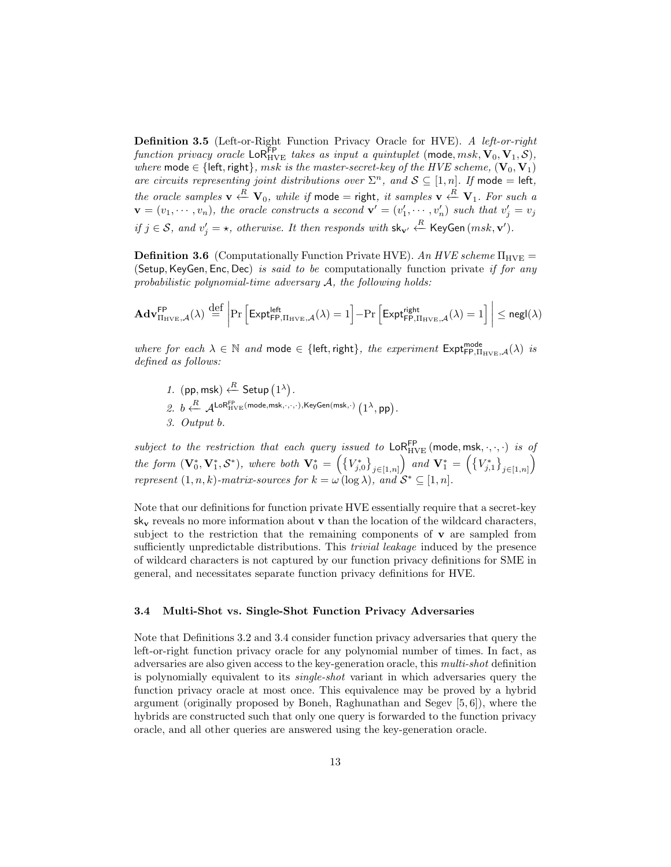Definition 3.5 (Left-or-Right Function Privacy Oracle for HVE). A left-or-right function privacy oracle  $\textsf{LoR}_{HVE}^{FP}$  takes as input a quintuplet (mode,  $msk, \mathbf{V}_0, \mathbf{V}_1, \mathcal{S}$ ), where mode  $\in$  {left, right}, msk is the master-secret-key of the HVE scheme,  $(\mathbf{V}_0, \mathbf{V}_1)$ are circuits representing joint distributions over  $\Sigma<sup>n</sup>$ , and  $S \subseteq [1, n]$ . If mode = left, the oracle samples  $\mathbf{v} \stackrel{R}{\leftarrow} \mathbf{V}_0$ , while if mode = right, it samples  $\mathbf{v} \stackrel{R}{\leftarrow} \mathbf{V}_1$ . For such a  $\mathbf{v} = (v_1, \dots, v_n)$ , the oracle constructs a second  $\mathbf{v}' = (v'_1, \dots, v'_n)$  such that  $v'_j = v_j$ if  $j \in S$ , and  $v'_j = \star$ , otherwise. It then responds with sk<sub>v'</sub>  $\stackrel{R}{\leftarrow}$  KeyGen (msk, v').

**Definition 3.6** (Computationally Function Private HVE). An HVE scheme  $\Pi_{HVE}$  = (Setup, KeyGen, Enc, Dec) is said to be computationally function private if for any probabilistic polynomial-time adversary  $A$ , the following holds:

$$
\mathbf{Adv}_{\Pi_{HVE},\mathcal{A}}^{\mathsf{FP}}(\lambda) \stackrel{{\mathrm {\footnotesize def}}}{=} \left|\Pr\left[\mathsf{Expt}_{\mathsf{FP},\Pi_{HVE},\mathcal{A}}^{\mathsf{left}}(\lambda)=1\right]-\Pr\left[\mathsf{Expt}_{\mathsf{FP},\Pi_{HVE},\mathcal{A}}^{\mathsf{right}}(\lambda)=1\right]\right|\le {\mathsf{negl}}(\lambda)
$$

where for each  $\lambda \in \mathbb{N}$  and mode  $\in$  {left, right}, the experiment  $\mathsf{Expt}^{\mathsf{mode}}_{\mathsf{FP},\Pi_{\text{HVE}},\mathcal{A}}(\lambda)$  is defined as follows:

1. (pp, msk)  $\stackrel{R}{\leftarrow}$  Setup  $(1^{\lambda})$ . 2.  $b \stackrel{R}{\longleftarrow} \mathcal{A}^{\mathsf{LoR}_{\mathrm{HVE}}^{\mathsf{FP}}}(\mathsf{mode},\mathsf{msk},\cdot,\cdot,\cdot),\mathsf{KeyGen}(\mathsf{msk},\cdot)\left(1^{\lambda},\mathsf{pp}\right).$ 3. Output b.

subject to the restriction that each query issued to  $\textsf{LoR}_{HVE}^{\textsf{FP}}$  (mode, msk,  $\cdot, \cdot, \cdot$ ) is of the form  $(\mathbf{V}_0^*, \mathbf{V}_1^*, \mathcal{S}^*)$ , where both  $\mathbf{V}_0^* = \left( \{ V_{j,0}^* \}_{j \in [1,n]} \right)$  and  $\mathbf{V}_1^* = \left( \{ V_{j,1}^* \}_{j \in [1,n]} \right)$ represent  $(1, n, k)$ -matrix-sources for  $k = \omega(\log \lambda)$ , and  $S^* \subseteq [1, n]$ .

Note that our definitions for function private HVE essentially require that a secret-key  $s_{\mathbf{k_{v}}}$  reveals no more information about  $\mathbf{v}$  than the location of the wildcard characters, subject to the restriction that the remaining components of  $\bf{v}$  are sampled from sufficiently unpredictable distributions. This *trivial leakage* induced by the presence of wildcard characters is not captured by our function privacy definitions for SME in general, and necessitates separate function privacy definitions for HVE.

#### 3.4 Multi-Shot vs. Single-Shot Function Privacy Adversaries

Note that Definitions 3.2 and 3.4 consider function privacy adversaries that query the left-or-right function privacy oracle for any polynomial number of times. In fact, as adversaries are also given access to the key-generation oracle, this multi-shot definition is polynomially equivalent to its single-shot variant in which adversaries query the function privacy oracle at most once. This equivalence may be proved by a hybrid argument (originally proposed by Boneh, Raghunathan and Segev [5, 6]), where the hybrids are constructed such that only one query is forwarded to the function privacy oracle, and all other queries are answered using the key-generation oracle.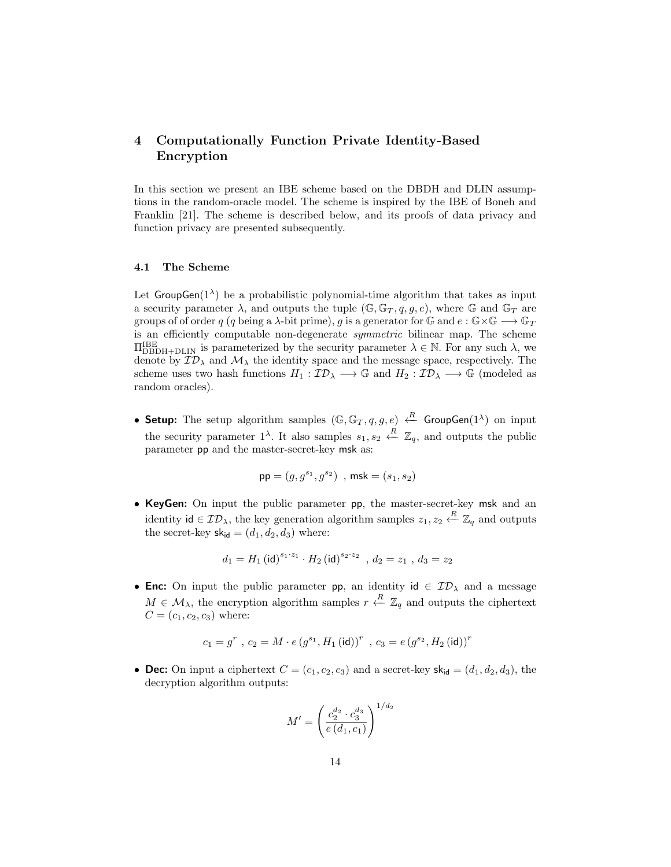# 4 Computationally Function Private Identity-Based Encryption

In this section we present an IBE scheme based on the DBDH and DLIN assumptions in the random-oracle model. The scheme is inspired by the IBE of Boneh and Franklin [21]. The scheme is described below, and its proofs of data privacy and function privacy are presented subsequently.

#### 4.1 The Scheme

Let  $GroupGen(1^{\lambda})$  be a probabilistic polynomial-time algorithm that takes as input a security parameter  $\lambda$ , and outputs the tuple  $(\mathbb{G}, \mathbb{G}_T, q, q, e)$ , where  $\mathbb{G}$  and  $\mathbb{G}_T$  are groups of of order q (q being a  $\lambda$ -bit prime), g is a generator for  $\mathbb{G}$  and  $e : \mathbb{G} \times \mathbb{G} \longrightarrow \mathbb{G}_T$ is an efficiently computable non-degenerate symmetric bilinear map. The scheme  $\Pi_{\mathrm{DBDH+DLIN}}^{\mathrm{IBE}}$  is parameterized by the security parameter  $\lambda \in \mathbb{N}$ . For any such  $\lambda$ , we denote by  $\mathcal{ID}_\lambda$  and  $\mathcal{M}_\lambda$  the identity space and the message space, respectively. The scheme uses two hash functions  $H_1: \mathcal{ID}_\lambda \longrightarrow \mathbb{G}$  and  $H_2: \mathcal{ID}_\lambda \longrightarrow \mathbb{G}$  (modeled as random oracles).

• Setup: The setup algorithm samples  $(\mathbb{G}, \mathbb{G}_T, q, g, e) \stackrel{R}{\leftarrow}$  GroupGen $(1^{\lambda})$  on input the security parameter  $1^{\lambda}$ . It also samples  $s_1, s_2 \stackrel{R}{\leftarrow} \mathbb{Z}_q$ , and outputs the public parameter pp and the master-secret-key msk as:

$$
{\sf pp}=(g,g^{s_1},g^{s_2})\;\;,\,{\sf msk}=(s_1,s_2)
$$

• KeyGen: On input the public parameter pp, the master-secret-key msk and an identity id  $\in \mathcal{ID}_\lambda$ , the key generation algorithm samples  $z_1, z_2 \stackrel{R}{\leftarrow} \mathbb{Z}_q$  and outputs the secret-key  $sk_{\text{id}} = (d_1, d_2, d_3)$  where:

$$
d_1 = H_1 (\mathsf{id})^{s_1 \cdot z_1} \cdot H_2 (\mathsf{id})^{s_2 \cdot z_2} \;\; , \, d_2 = z_1 \;, \, d_3 = z_2
$$

• Enc: On input the public parameter pp, an identity  $id \in \mathcal{ID}_{\lambda}$  and a message  $M \in \mathcal{M}_{\lambda}$ , the encryption algorithm samples  $r \stackrel{R}{\leftarrow} \mathbb{Z}_q$  and outputs the ciphertext  $C = (c_1, c_2, c_3)$  where:

$$
c_1=g^r\text{ , }c_2=M\cdot e\left(g^{s_1},H_1\left(\text{id}\right)\right)^r\text{ , }c_3=e\left(g^{s_2},H_2\left(\text{id}\right)\right)^r
$$

• Dec: On input a ciphertext  $C = (c_1, c_2, c_3)$  and a secret-key  $sk_{id} = (d_1, d_2, d_3)$ , the decryption algorithm outputs:

$$
M' = \left(\frac{c_2^{d_2} \cdot c_3^{d_3}}{e\left(d_1, c_1\right)}\right)^{1/d_2}
$$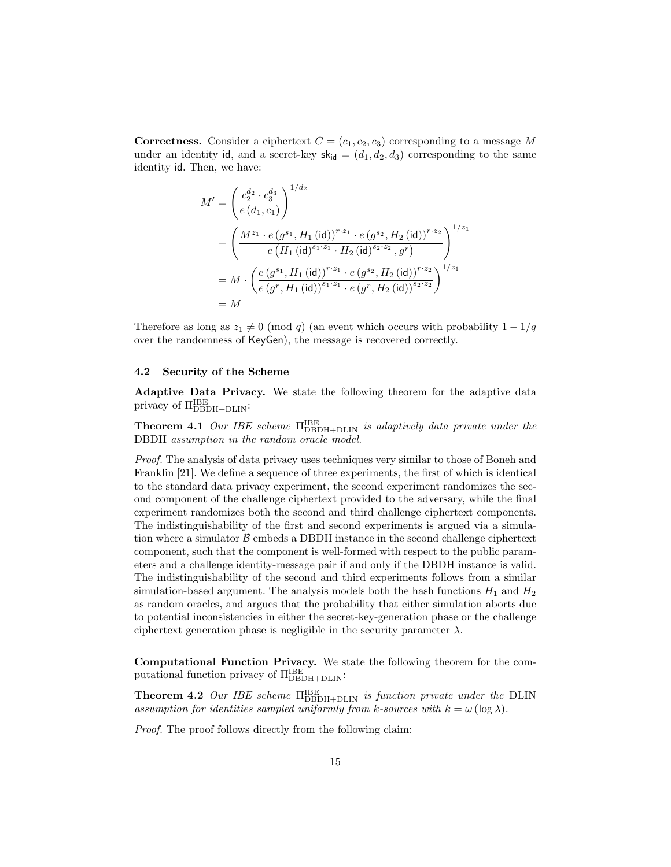**Correctness.** Consider a ciphertext  $C = (c_1, c_2, c_3)$  corresponding to a message M under an identity id, and a secret-key  $sk_{id} = (d_1, d_2, d_3)$  corresponding to the same identity id. Then, we have:

$$
M' = \left(\frac{c_2^{d_2} \cdot c_3^{d_3}}{e(d_1, c_1)}\right)^{1/d_2}
$$
  
= 
$$
\left(\frac{M^{z_1} \cdot e(g^{s_1}, H_1(\text{id}))^{r \cdot z_1} \cdot e(g^{s_2}, H_2(\text{id}))^{r \cdot z_2}}{e(H_1(\text{id})^{s_1 \cdot z_1} \cdot H_2(\text{id})^{s_2 \cdot z_2}, g^r)}\right)^{1/z_1}
$$
  
= 
$$
M \cdot \left(\frac{e(g^{s_1}, H_1(\text{id}))^{r \cdot z_1} \cdot e(g^{s_2}, H_2(\text{id}))^{r \cdot z_2}}{e(g^r, H_1(\text{id}))^{s_1 \cdot z_1} \cdot e(g^r, H_2(\text{id}))^{s_2 \cdot z_2}}\right)^{1/z_1}
$$
  
= 
$$
M
$$

Therefore as long as  $z_1 \neq 0 \pmod{q}$  (an event which occurs with probability  $1 - 1/q$ over the randomness of KeyGen), the message is recovered correctly.

#### 4.2 Security of the Scheme

Adaptive Data Privacy. We state the following theorem for the adaptive data privacy of Π<sup>IBE</sup><br>
<sub>DBDH+DLIN</sub>:

**Theorem 4.1** Our IBE scheme  $\Pi_{\rm DBDH+DLIN}^{\rm IBE}$  is adaptively data private under the DBDH assumption in the random oracle model.

Proof. The analysis of data privacy uses techniques very similar to those of Boneh and Franklin [21]. We define a sequence of three experiments, the first of which is identical to the standard data privacy experiment, the second experiment randomizes the second component of the challenge ciphertext provided to the adversary, while the final experiment randomizes both the second and third challenge ciphertext components. The indistinguishability of the first and second experiments is argued via a simulation where a simulator  $\beta$  embeds a DBDH instance in the second challenge ciphertext component, such that the component is well-formed with respect to the public parameters and a challenge identity-message pair if and only if the DBDH instance is valid. The indistinguishability of the second and third experiments follows from a similar simulation-based argument. The analysis models both the hash functions  $H_1$  and  $H_2$ as random oracles, and argues that the probability that either simulation aborts due to potential inconsistencies in either the secret-key-generation phase or the challenge ciphertext generation phase is negligible in the security parameter  $\lambda$ .

Computational Function Privacy. We state the following theorem for the computational function privacy of  $\Pi_{\rm DBDH+DLIN}^{\rm IBE}$ :

**Theorem 4.2** Our IBE scheme  $\Pi_{\rm DBDH+DLIN}^{\rm IBE}$  is function private under the DLIN assumption for identities sampled uniformly from k-sources with  $k = \omega(\log \lambda)$ .

Proof. The proof follows directly from the following claim: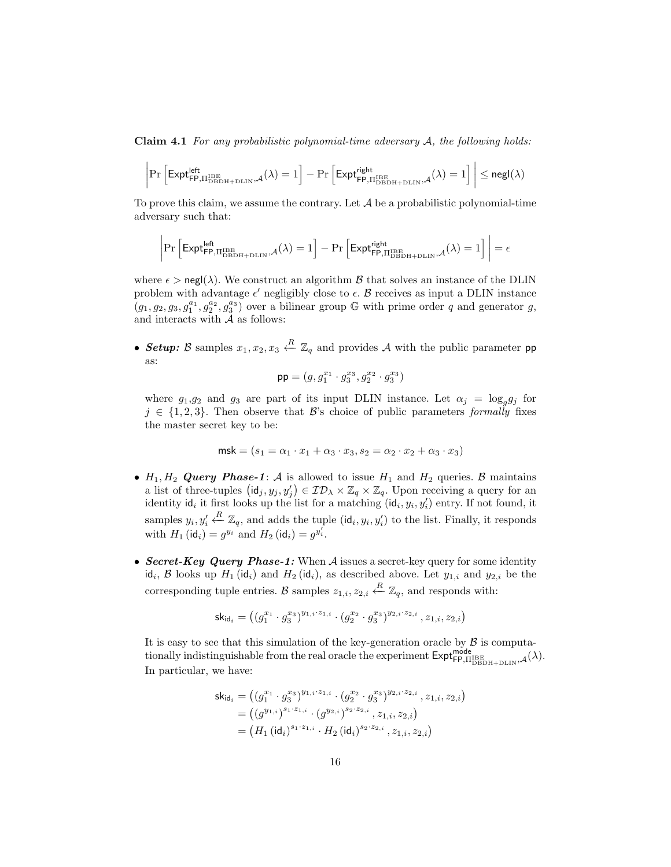**Claim 4.1** For any probabilistic polynomial-time adversary  $A$ , the following holds:

$$
\left|\Pr\left[\mathsf{Expt}^{\mathsf{left}}_{\mathsf{FP},\Pi^{\mathsf{IBE}}_{\mathsf{DBDH}+\mathsf{DLIN}},\mathcal{A}}(\lambda)=1\right]-\Pr\left[\mathsf{Expt}^{\mathsf{right}}_{\mathsf{FP},\Pi^{\mathsf{IBE}}_{\mathsf{DBDH}+\mathsf{DLIN}},\mathcal{A}}(\lambda)=1\right]\right|\leq \mathsf{negl}(\lambda)
$$

To prove this claim, we assume the contrary. Let  $A$  be a probabilistic polynomial-time adversary such that:

 $\overline{\phantom{a}}$  $\overline{\phantom{a}}$  $\overline{\phantom{a}}$  $\mid$ 

$$
\Pr\left[\text{Expt}_{\text{FP},\Pi_{\text{DBDH}+\text{DLIN}}^{ \text{IBE}},\mathcal{A}}(\lambda)=1\right]-\Pr\left[\text{Expt}_{\text{FP},\Pi_{\text{DBDH}+\text{DLIN}}^{ \text{light}},\mathcal{A}}^{ \text{right}}(\lambda)=1\right]\bigg| = \epsilon
$$

where  $\epsilon > \text{negl}(\lambda)$ . We construct an algorithm  $\beta$  that solves an instance of the DLIN problem with advantage  $\epsilon'$  negligibly close to  $\epsilon$ . B receives as input a DLIN instance  $(g_1, g_2, g_3, g_1^{a_1}, g_2^{a_2}, g_3^{a_3})$  over a bilinear group G with prime order q and generator g, and interacts with  $\tilde{\mathcal{A}}$  as follows:

• Setup: B samples  $x_1, x_2, x_3 \stackrel{R}{\leftarrow} \mathbb{Z}_q$  and provides A with the public parameter pp as:

$$
\mathsf{pp} = (g, g_1^{x_1} \cdot g_3^{x_3}, g_2^{x_2} \cdot g_3^{x_3})
$$

where  $g_1, g_2$  and  $g_3$  are part of its input DLIN instance. Let  $\alpha_j = \log_g g_j$  for  $j \in \{1, 2, 3\}$ . Then observe that B's choice of public parameters formally fixes the master secret key to be:

$$
\mathsf{msk} = (s_1 = \alpha_1 \cdot x_1 + \alpha_3 \cdot x_3, s_2 = \alpha_2 \cdot x_2 + \alpha_3 \cdot x_3)
$$

- $H_1, H_2$  Query Phase-1: A is allowed to issue  $H_1$  and  $H_2$  queries. B maintains a list of three-tuples  $(\mathsf{id}_j, y_j, y'_j) \in \mathcal{ID}_\lambda \times \mathbb{Z}_q \times \mathbb{Z}_q$ . Upon receiving a query for an identity  $\mathsf{id}_i$  it first looks up the list for a matching  $(\mathsf{id}_i, y_i, y'_i)$  entry. If not found, it samples  $y_i, y'_i$ <sup>*R*</sup>  $\mathbb{Z}_q$ , and adds the tuple (id<sub>i</sub>, y<sub>i</sub>, y'<sub>i</sub>) to the list. Finally, it responds with  $H_1(\text{id}_i) = g^{y_i}$  and  $H_2(\text{id}_i) = g^{y'_i}$ .
- Secret-Key Query Phase-1: When  $A$  issues a secret-key query for some identity id<sub>i</sub>, B looks up  $H_1$  (id<sub>i</sub>) and  $H_2$  (id<sub>i</sub>), as described above. Let  $y_{1,i}$  and  $y_{2,i}$  be the corresponding tuple entries. B samples  $z_{1,i}, z_{2,i} \stackrel{R}{\leftarrow} \mathbb{Z}_q$ , and responds with:

$$
\mathsf{sk}_{\mathsf{id}_i} = \left( (g_1^{x_1} \cdot g_3^{x_3})^{y_{1,i} \cdot z_{1,i}} \cdot (g_2^{x_2} \cdot g_3^{x_3})^{y_{2,i} \cdot z_{2,i}} \, , z_{1,i}, z_{2,i} \right)
$$

It is easy to see that this simulation of the key-generation oracle by  $\beta$  is computationally indistinguishable from the real oracle the experiment  $\textsf{Expt}_{\textsf{FP},\Pi_{\textsf{DBDH+DLIN}}^{\textsf{mode}}},\mathcal{A}(\lambda).$ In particular, we have:

$$
\begin{aligned} \mathsf{sk}_{\mathsf{id}_i} &= \left( (g_1^{x_1} \cdot g_3^{x_3})^{y_{1,i} \cdot z_{1,i}} \cdot (g_2^{x_2} \cdot g_3^{x_3})^{y_{2,i} \cdot z_{2,i}} \, , z_{1,i}, z_{2,i} \right) \\ &= \left( (g^{y_{1,i}})^{s_1 \cdot z_{1,i}} \cdot (g^{y_{2,i}})^{s_2 \cdot z_{2,i}} \, , z_{1,i}, z_{2,i} \right) \\ &= \left( H_1 \left( \mathsf{id}_i \right)^{s_1 \cdot z_{1,i}} \cdot H_2 \left( \mathsf{id}_i \right)^{s_2 \cdot z_{2,i}} \, , z_{1,i}, z_{2,i} \right) \end{aligned}
$$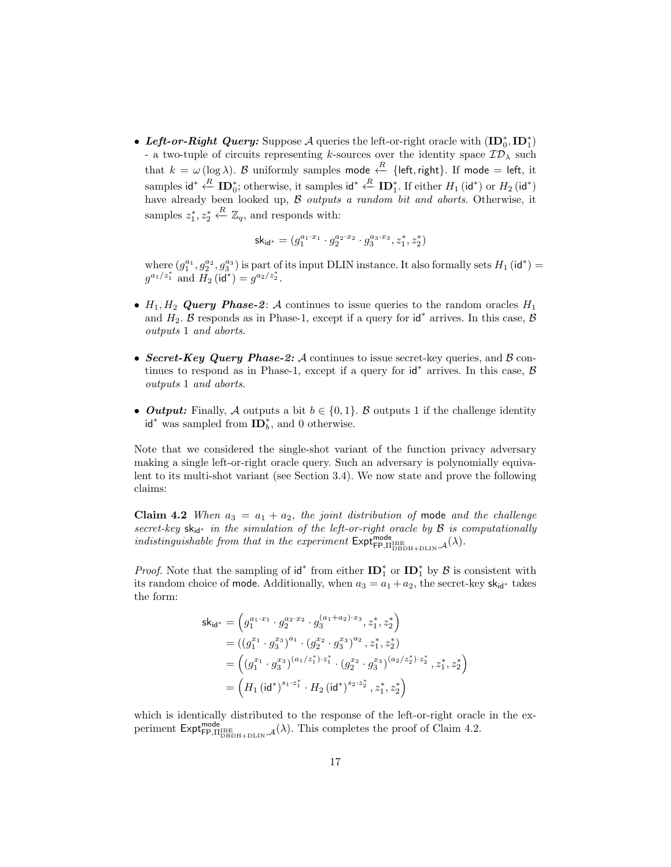• Left-or-Right Query: Suppose A queries the left-or-right oracle with  $(ID_0^*, ID_1^*)$ - a two-tuple of circuits representing k-sources over the identity space  $\mathcal{ID}_\lambda$  such that  $k = \omega (\log \lambda)$ . B uniformly samples mode  $\leftarrow^{R}$  {left, right}. If mode = left, it samples id<sup>\*</sup>  $\stackrel{R}{\leftarrow}$  ID<sub>0</sub><sup>\*</sup>; otherwise, it samples id<sup>\*</sup>  $\stackrel{R}{\leftarrow}$  ID<sup>\*</sup><sub>1</sub>. If either  $H_1$  (id<sup>\*</sup>) or  $H_2$  (id<sup>\*</sup>) have already been looked up, B outputs a random bit and aborts. Otherwise, it samples  $z_1^*, z_2^*$  $\stackrel{R}{\leftarrow} \mathbb{Z}_q$ , and responds with:

$$
\mathsf{sk}_{\mathsf{id}^*} = (g_1^{a_1 \cdot x_1} \cdot g_2^{a_2 \cdot x_2} \cdot g_3^{a_3 \cdot x_3}, z_1^*, z_2^*)
$$

where  $(g_1^{a_1}, g_2^{a_2}, g_3^{a_3})$  is part of its input DLIN instance. It also formally sets  $H_1$  (id<sup>\*</sup>) =  $g^{a_1/z_1^*}$  and  $H_2$  (id<sup>\*</sup>) =  $g^{a_2/z_2^*}$ .

- $H_1, H_2$  Query Phase-2: A continues to issue queries to the random oracles  $H_1$ and  $H_2$ . B responds as in Phase-1, except if a query for  $\mathsf{id}^*$  arrives. In this case, B outputs 1 and aborts.
- Secret-Key Query Phase-2: A continues to issue secret-key queries, and  $\beta$  continues to respond as in Phase-1, except if a query for  $\mathsf{id}^*$  arrives. In this case,  $\mathcal B$ outputs 1 and aborts.
- Output: Finally, A outputs a bit  $b \in \{0,1\}$ . B outputs 1 if the challenge identity  $id^*$  was sampled from  $ID_b^*$ , and 0 otherwise.

Note that we considered the single-shot variant of the function privacy adversary making a single left-or-right oracle query. Such an adversary is polynomially equivalent to its multi-shot variant (see Section 3.4). We now state and prove the following claims:

Claim 4.2 When  $a_3 = a_1 + a_2$ , the joint distribution of mode and the challenge secret-key  $sk_{id*}$  in the simulation of the left-or-right oracle by  $B$  is computationally indistinguishable from that in the experiment  $\text{Expt}_{\text{FP},\Pi_{\text{DBDH+DLIN}}^{\text{mode}},\mathcal{A}}(\lambda)$ .

*Proof.* Note that the sampling of  $\mathbf{id}^*$  from either  $\mathbf{ID}_1^*$  or  $\mathbf{ID}_1^*$  by  $\mathcal{B}$  is consistent with its random choice of mode. Additionally, when  $a_3 = a_1 + a_2$ , the secret-key sk<sub>id<sup>∗</sup></sub> takes the form:

$$
\begin{aligned} \mathsf{sk}_{\mathsf{id}^*} &= \left( g_1^{a_1 \cdot x_1} \cdot g_2^{a_2 \cdot x_2} \cdot g_3^{(a_1 + a_2) \cdot x_3}, z_1^*, z_2^* \right) \\ &= ( (g_1^{x_1} \cdot g_3^{x_3} )^{a_1} \cdot (g_2^{x_2} \cdot g_3^{x_3} )^{a_2}, z_1^*, z_2^* ) \\ &= \left( (g_1^{x_1} \cdot g_3^{x_3} )^{(a_1/z_1^*) \cdot z_1^*} \cdot (g_2^{x_2} \cdot g_3^{x_3} )^{(a_2/z_2^*) \cdot z_2^*}, z_1^*, z_2^* \right) \\ &= \left( H_1 \left( \mathsf{id}^* \right)^{s_1 \cdot z_1^*} \cdot H_2 \left( \mathsf{id}^* \right)^{s_2 \cdot z_2^*}, z_1^*, z_2^* \right) \end{aligned}
$$

which is identically distributed to the response of the left-or-right oracle in the experiment  $\text{Expt}_{\text{FP},\Pi_{\text{DBBH+DLIN}}^{mode}}^{\text{mode}}$ ,  $\mathcal{A}(\lambda)$ . This completes the proof of Claim 4.2.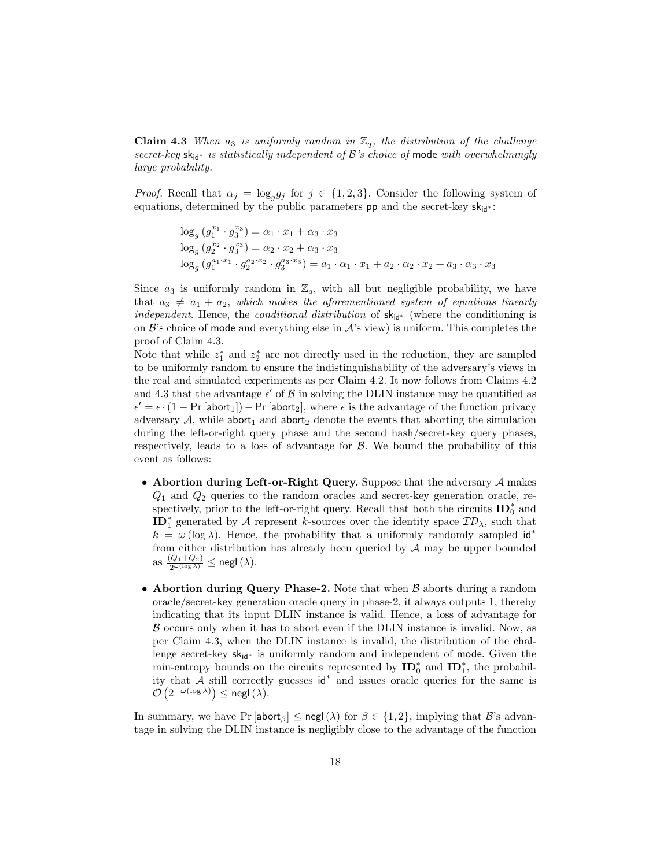**Claim 4.3** When  $a_3$  is uniformly random in  $\mathbb{Z}_q$ , the distribution of the challenge secret-key sk<sub>id<sup>∗</sup></sub> is statistically independent of B's choice of mode with overwhelmingly large probability.

*Proof.* Recall that  $\alpha_j = \log_g g_j$  for  $j \in \{1, 2, 3\}$ . Consider the following system of equations, determined by the public parameters **pp** and the secret-key  $sk_{id}$  :

$$
log_g (g_1^{x_1} \cdot g_3^{x_3}) = \alpha_1 \cdot x_1 + \alpha_3 \cdot x_3
$$
  
\n
$$
log_g (g_2^{x_2} \cdot g_3^{x_3}) = \alpha_2 \cdot x_2 + \alpha_3 \cdot x_3
$$
  
\n
$$
log_g (g_1^{a_1 \cdot x_1} \cdot g_2^{a_2 \cdot x_2} \cdot g_3^{a_3 \cdot x_3}) = a_1 \cdot \alpha_1 \cdot x_1 + a_2 \cdot \alpha_2 \cdot x_2 + a_3 \cdot \alpha_3 \cdot x_3
$$

Since  $a_3$  is uniformly random in  $\mathbb{Z}_q$ , with all but negligible probability, we have that  $a_3 \neq a_1 + a_2$ , which makes the aforementioned system of equations linearly independent. Hence, the conditional distribution of  $sk_{id}$ <sup>\*</sup> (where the conditioning is on  $\mathcal{B}$ 's choice of mode and everything else in  $\mathcal{A}$ 's view) is uniform. This completes the proof of Claim 4.3.

Note that while  $z_1^*$  and  $z_2^*$  are not directly used in the reduction, they are sampled to be uniformly random to ensure the indistinguishability of the adversary's views in the real and simulated experiments as per Claim 4.2. It now follows from Claims 4.2 and 4.3 that the advantage  $\epsilon'$  of  $\beta$  in solving the DLIN instance may be quantified as  $\epsilon' = \epsilon \cdot (1 - \Pr[\text{abort}_1]) - \Pr[\text{abort}_2]$ , where  $\epsilon$  is the advantage of the function privacy adversary  $A$ , while abort<sub>1</sub> and abort<sub>2</sub> denote the events that aborting the simulation during the left-or-right query phase and the second hash/secret-key query phases, respectively, leads to a loss of advantage for  $\beta$ . We bound the probability of this event as follows:

- Abortion during Left-or-Right Query. Suppose that the adversary  $A$  makes  $Q_1$  and  $Q_2$  queries to the random oracles and secret-key generation oracle, respectively, prior to the left-or-right query. Recall that both the circuits  $\mathbf{ID}^*_0$  and  $\text{ID}_1^*$  generated by A represent k-sources over the identity space  $\mathcal{ID}_\lambda$ , such that  $k = \omega \, (\log \lambda)$ . Hence, the probability that a uniformly randomly sampled id<sup>\*</sup> from either distribution has already been queried by  $A$  may be upper bounded as  $\frac{(Q_1+Q_2)}{2^{\omega(\log \lambda)}} \leq \mathsf{negl}(\lambda).$
- Abortion during Query Phase-2. Note that when  $\beta$  aborts during a random oracle/secret-key generation oracle query in phase-2, it always outputs 1, thereby indicating that its input DLIN instance is valid. Hence, a loss of advantage for  $\beta$  occurs only when it has to abort even if the DLIN instance is invalid. Now, as per Claim 4.3, when the DLIN instance is invalid, the distribution of the challenge secret-key skid<sup>∗</sup> is uniformly random and independent of mode. Given the min-entropy bounds on the circuits represented by  $\mathbf{ID}_0^*$  and  $\mathbf{ID}_1^*$ , the probability that A still correctly guesses id<sup>∗</sup> and issues oracle queries for the same is  $\mathcal{O}\left(2^{-\omega(\log \lambda)}\right) \leq$  negl $(\lambda)$ .

In summary, we have  $Pr[\text{abort}_{\beta}] \leq \text{negl}(\lambda)$  for  $\beta \in \{1,2\}$ , implying that  $\mathcal{B}$ 's advantage in solving the DLIN instance is negligibly close to the advantage of the function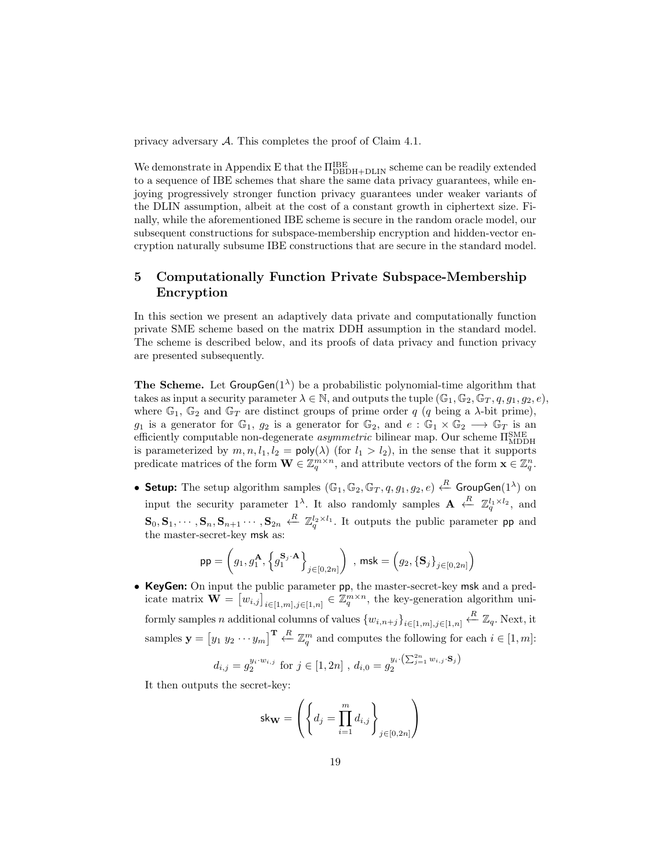privacy adversary A. This completes the proof of Claim 4.1.

We demonstrate in Appendix E that the  $\Pi_{\rm DBDH+DLIN}^{\rm IBE}$  scheme can be readily extended to a sequence of IBE schemes that share the same data privacy guarantees, while enjoying progressively stronger function privacy guarantees under weaker variants of the DLIN assumption, albeit at the cost of a constant growth in ciphertext size. Finally, while the aforementioned IBE scheme is secure in the random oracle model, our subsequent constructions for subspace-membership encryption and hidden-vector encryption naturally subsume IBE constructions that are secure in the standard model.

# 5 Computationally Function Private Subspace-Membership Encryption

In this section we present an adaptively data private and computationally function private SME scheme based on the matrix DDH assumption in the standard model. The scheme is described below, and its proofs of data privacy and function privacy are presented subsequently.

**The Scheme.** Let  $GroupGen(1^{\lambda})$  be a probabilistic polynomial-time algorithm that takes as input a security parameter  $\lambda \in \mathbb{N}$ , and outputs the tuple  $(\mathbb{G}_1, \mathbb{G}_2, \mathbb{G}_T, q, q_1, q_2, e)$ , where  $\mathbb{G}_1$ ,  $\mathbb{G}_2$  and  $\mathbb{G}_T$  are distinct groups of prime order q (q being a  $\lambda$ -bit prime), g<sub>1</sub> is a generator for  $\mathbb{G}_1$ ,  $g_2$  is a generator for  $\mathbb{G}_2$ , and  $e : \mathbb{G}_1 \times \mathbb{G}_2 \longrightarrow \mathbb{G}_T$  is an efficiently computable non-degenerate  $\emph{asymmetric}$  bilinear map. Our scheme  $\Pi_\text{MDDH}^\text{SME}$ is parameterized by  $m, n, l_1, l_2 = \text{poly}(\lambda)$  (for  $l_1 > l_2$ ), in the sense that it supports predicate matrices of the form  $\mathbf{W} \in \mathbb{Z}_q^{m \times n}$ , and attribute vectors of the form  $\mathbf{x} \in \mathbb{Z}_q^n$ .

• Setup: The setup algorithm samples  $(\mathbb{G}_1, \mathbb{G}_2, \mathbb{G}_T, q, g_1, g_2, e) \stackrel{R}{\leftarrow}$  GroupGen $(1^{\lambda})$  on input the security parameter  $1^{\lambda}$ . It also randomly samples  $A \stackrel{R}{\leftarrow} \mathbb{Z}_q^{l_1 \times l_2}$ , and  $\mathbf{S}_0, \mathbf{S}_1, \cdots, \mathbf{S}_n, \mathbf{S}_{n+1} \cdots, \mathbf{S}_{2n} \stackrel{R}{\leftarrow} \mathbb{Z}_q^{l_2 \times l_1}$ . It outputs the public parameter pp and the master-secret-key msk as:

$$
\mathsf{pp} = \left(g_1, g_1^{\mathbf{A}}, \left\{g_1^{\mathbf{S}_j \cdot \mathbf{A}}\right\}_{j \in [0, 2n]}\right) \text{ , } \mathsf{msk} = \left(g_2, \left\{\mathbf{S}_j\right\}_{j \in [0, 2n]}\right)
$$

• KeyGen: On input the public parameter pp, the master-secret-key msk and a predicate matrix  $\mathbf{W} = [w_{i,j}]_{i \in [1,m], j \in [1,n]} \in \mathbb{Z}_q^{m \times n}$ , the key-generation algorithm uniformly samples n additional columns of values  ${w_{i,n+j}}_{i\in{1,m},j\in{1,n}} \overset{R}{\leftarrow} \mathbb{Z}_q$ . Next, it samples  $\mathbf{y} = \begin{bmatrix} y_1 & y_2 & \cdots & y_m \end{bmatrix}^{\mathbf{T}} \stackrel{R}{\leftarrow} \mathbb{Z}_q^m$  and computes the following for each  $i \in [1, m]$ :

$$
d_{i,j} = g_2^{y_i \cdot w_{i,j}}
$$
 for  $j \in [1, 2n]$ ,  $d_{i,0} = g_2^{y_i \cdot (\sum_{j=1}^{2n} w_{i,j} \cdot \mathbf{S}_j)}$ 

It then outputs the secret-key:

$$
\mathsf{sk}_{\mathbf{W}} = \left( \left\{ d_j = \prod_{i=1}^m d_{i,j} \right\}_{j \in [0, 2n]} \right)
$$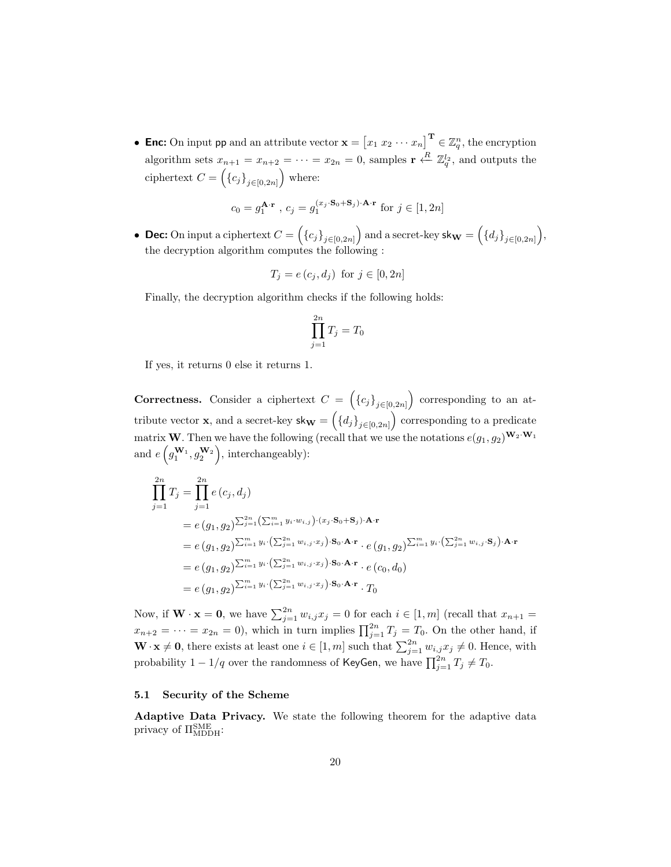• Enc: On input pp and an attribute vector  $\mathbf{x} = \begin{bmatrix} x_1 & x_2 & \cdots & x_n \end{bmatrix}^{\mathrm{T}} \in \mathbb{Z}_q^n$ , the encryption algorithm sets  $x_{n+1} = x_{n+2} = \cdots = x_{2n} = 0$ , samples  $\mathbf{r} \leftarrow R \mathbb{Z}_q^{l_2}$ , and outputs the ciphertext  $C = (\{c_j\}_{j \in [0,2n]})$  where:

$$
c_0 = g_1^{\mathbf{A} \cdot \mathbf{r}}
$$
,  $c_j = g_1^{(x_j \cdot \mathbf{S}_0 + \mathbf{S}_j) \cdot \mathbf{A} \cdot \mathbf{r}}$  for  $j \in [1, 2n]$ 

• Dec: On input a ciphertext  $C = \left(\{c_j\}_{j\in [0,2n]}\right)$  and a secret-key sk $\mathbf{w} = \left(\{d_j\}_{j\in [0,2n]}\right)$ , the decryption algorithm computes the following :

$$
T_j = e(c_j, d_j) \text{ for } j \in [0, 2n]
$$

Finally, the decryption algorithm checks if the following holds:

$$
\prod_{j=1}^{2n} T_j = T_0
$$

If yes, it returns 0 else it returns 1.

Correctness. Consider a ciphertext  $C = (\{c_j\}_{j \in [0,2n]})$  corresponding to an attribute vector **x**, and a secret-key  $\mathsf{sk}_{\mathbf{W}} = (\{d_j\}_{j \in [0,2n]})$  corresponding to a predicate matrix W. Then we have the following (recall that we use the notations  $e(g_1, g_2)^{\mathbf{W}_2 \cdot \mathbf{W}_1}$ and  $e(g_1^{\mathbf{W}_1}, g_2^{\mathbf{W}_2}),$  interchangeably):

$$
\prod_{j=1}^{2n} T_j = \prod_{j=1}^{2n} e(c_j, d_j)
$$
\n
$$
= e(g_1, g_2)^{\sum_{j=1}^{2n} (\sum_{i=1}^m y_i \cdot w_{i,j}) \cdot (x_j \cdot S_0 + S_j) \cdot A \cdot r}
$$
\n
$$
= e(g_1, g_2)^{\sum_{i=1}^m y_i \cdot (\sum_{j=1}^{2n} w_{i,j} \cdot x_j) \cdot S_0 \cdot A \cdot r} \cdot e(g_1, g_2)^{\sum_{i=1}^m y_i \cdot (\sum_{j=1}^{2n} w_{i,j} \cdot S_j) \cdot A \cdot r}
$$
\n
$$
= e(g_1, g_2)^{\sum_{i=1}^m y_i \cdot (\sum_{j=1}^{2n} w_{i,j} \cdot x_j) \cdot S_0 \cdot A \cdot r} \cdot e(c_0, d_0)
$$
\n
$$
= e(g_1, g_2)^{\sum_{i=1}^m y_i \cdot (\sum_{j=1}^{2n} w_{i,j} \cdot x_j) \cdot S_0 \cdot A \cdot r} \cdot T_0
$$

Now, if  $\mathbf{W} \cdot \mathbf{x} = \mathbf{0}$ , we have  $\sum_{j=1}^{2n} w_{i,j} x_j = 0$  for each  $i \in [1, m]$  (recall that  $x_{n+1} =$  $x_{n+2} = \cdots = x_{2n} = 0$ , which in turn implies  $\prod_{j=1}^{2n} T_j = T_0$ . On the other hand, if  $\mathbf{W} \cdot \mathbf{x} \neq \mathbf{0}$ , there exists at least one  $i \in [1, m]$  such that  $\sum_{j=1}^{2n} w_{i,j} x_j \neq 0$ . Hence, with probability  $1 - 1/q$  over the randomness of KeyGen, we have  $\prod_{j=1}^{2n} T_j \neq T_0$ .

#### 5.1 Security of the Scheme

Adaptive Data Privacy. We state the following theorem for the adaptive data privacy of  $\Pi_{\text{MDDH}}^{\text{SME}}$ :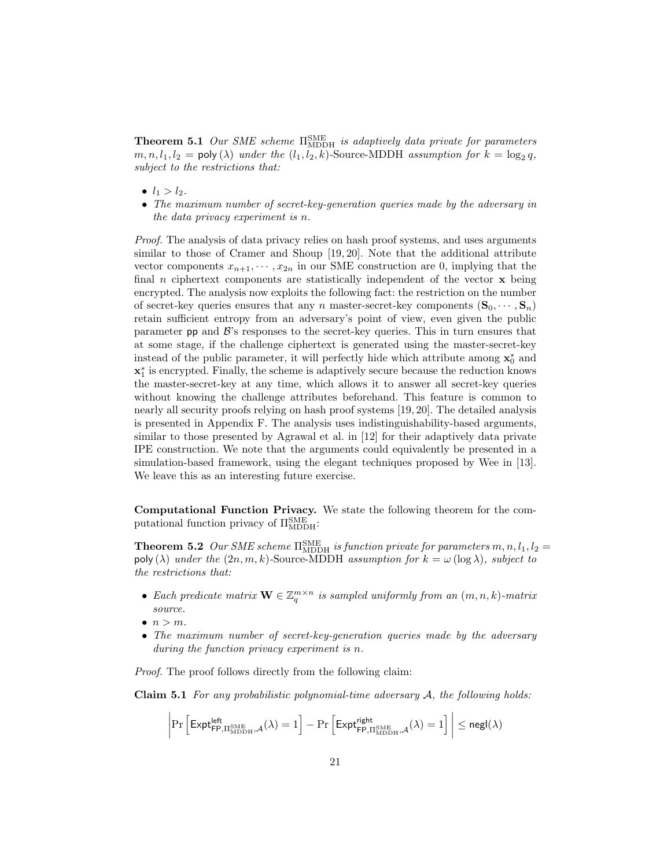**Theorem 5.1** Our SME scheme  $\Pi_{\text{MDDH}}^{\text{SME}}$  is adaptively data private for parameters  $m, n, l_1, l_2 = \text{poly}(\lambda)$  under the  $(l_1, l_2, k)$ -Source-MDDH assumption for  $k = \log_2 q$ , subject to the restrictions that:

- $l_1 > l_2$ .
- The maximum number of secret-key-generation queries made by the adversary in the data privacy experiment is n.

Proof. The analysis of data privacy relies on hash proof systems, and uses arguments similar to those of Cramer and Shoup [19, 20]. Note that the additional attribute vector components  $x_{n+1}, \dots, x_{2n}$  in our SME construction are 0, implying that the final n ciphertext components are statistically independent of the vector  $\bf{x}$  being encrypted. The analysis now exploits the following fact: the restriction on the number of secret-key queries ensures that any n master-secret-key components  $(\mathbf{S}_0, \dots, \mathbf{S}_n)$ retain sufficient entropy from an adversary's point of view, even given the public parameter  $pp$  and  $\mathcal{B}'s$  responses to the secret-key queries. This in turn ensures that at some stage, if the challenge ciphertext is generated using the master-secret-key instead of the public parameter, it will perfectly hide which attribute among  $\mathbf{x}_0^*$  and  $\mathbf{x}_1^*$  is encrypted. Finally, the scheme is adaptively secure because the reduction knows the master-secret-key at any time, which allows it to answer all secret-key queries without knowing the challenge attributes beforehand. This feature is common to nearly all security proofs relying on hash proof systems [19, 20]. The detailed analysis is presented in Appendix F. The analysis uses indistinguishability-based arguments, similar to those presented by Agrawal et al. in [12] for their adaptively data private IPE construction. We note that the arguments could equivalently be presented in a simulation-based framework, using the elegant techniques proposed by Wee in [13]. We leave this as an interesting future exercise.

Computational Function Privacy. We state the following theorem for the computational function privacy of  $\Pi_{\text{MDDH}}^{\text{SME}}$ :

**Theorem 5.2** Our SME scheme  $\Pi_{\text{MDDH}}^{\text{SME}}$  is function private for parameters  $m, n, l_1, l_2 =$ poly ( $\lambda$ ) under the  $(2n, m, k)$ -Source-MDDH assumption for  $k = \omega \left(\log \lambda\right)$ , subject to the restrictions that:

- Each predicate matrix  $\mathbf{W} \in \mathbb{Z}_q^{m \times n}$  is sampled uniformly from an  $(m, n, k)$ -matrix source.
- $\bullet$   $n > m$ .
- The maximum number of secret-key-generation queries made by the adversary during the function privacy experiment is n.

Proof. The proof follows directly from the following claim:

**Claim 5.1** For any probabilistic polynomial-time adversary  $A$ , the following holds:

$$
\left|\Pr\left[\mathsf{Expt}^{\mathsf{left}}_{\mathsf{FP},\Pi^\mathsf{SME}_{\mathsf{MDDH}},\mathcal{A}}(\lambda)=1\right]-\Pr\left[\mathsf{Expt}^{\mathsf{right}}_{\mathsf{FP},\Pi^\mathsf{SME}_{\mathsf{MDDH}},\mathcal{A}}(\lambda)=1\right]\right|\leq \mathsf{negl}(\lambda)
$$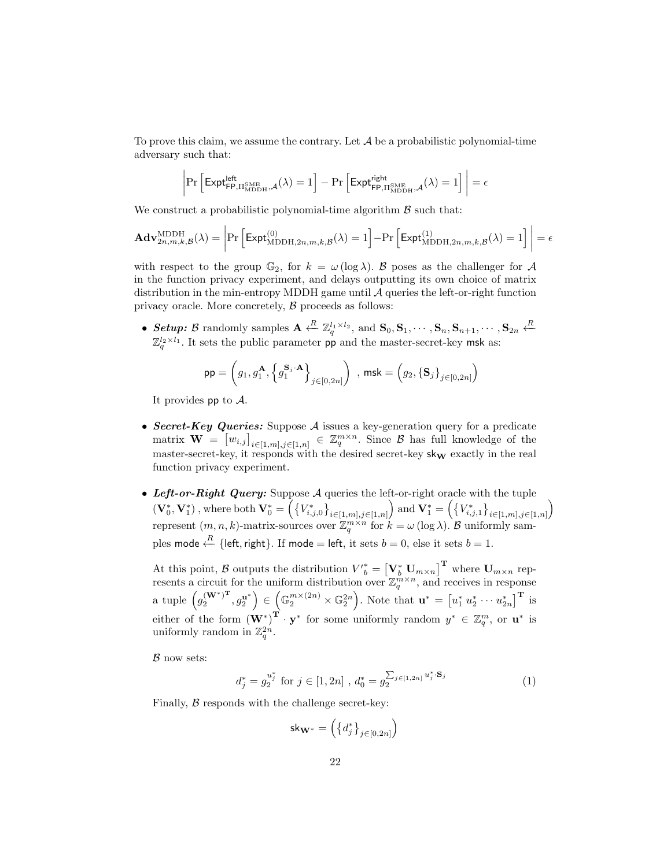To prove this claim, we assume the contrary. Let  $\mathcal A$  be a probabilistic polynomial-time adversary such that:

$$
\left|\Pr\left[\mathsf{Expt}^{\mathsf{left}}_{\mathsf{FP},\Pi^\mathrm{SME}_{\mathrm{MDDH}},\mathcal{A}}(\lambda)=1\right]-\Pr\left[\mathsf{Expt}^{\mathsf{right}}_{\mathsf{FP},\Pi^\mathrm{SME}_{\mathrm{MDDH}},\mathcal{A}}(\lambda)=1\right]\right|=\epsilon
$$

We construct a probabilistic polynomial-time algorithm  $\beta$  such that:

$$
\mathbf{Adv}_{2n,m,k,\mathcal{B}}^{\mathrm{MDDH}}(\lambda) = \left| \Pr\left[ \mathsf{Expt}_{\mathrm{MDDH},2n,m,k,\mathcal{B}}^{(0)}(\lambda) = 1 \right] - \Pr\left[ \mathsf{Expt}_{\mathrm{MDDH},2n,m,k,\mathcal{B}}^{(1)}(\lambda) = 1 \right] \right| = \epsilon
$$

with respect to the group  $\mathbb{G}_2$ , for  $k = \omega(\log \lambda)$ . B poses as the challenger for A in the function privacy experiment, and delays outputting its own choice of matrix distribution in the min-entropy MDDH game until  $A$  queries the left-or-right function privacy oracle. More concretely, B proceeds as follows:

• Setup: B randomly samples  $\mathbf{A} \leftarrow^R \mathbb{Z}_q^{l_1 \times l_2}$ , and  $\mathbf{S}_0, \mathbf{S}_1, \cdots, \mathbf{S}_n, \mathbf{S}_{n+1}, \cdots, \mathbf{S}_{2n} \leftarrow^R$  $\mathbb{Z}_q^{l_2 \times l_1}$ . It sets the public parameter pp and the master-secret-key msk as:

$$
\mathsf{pp} = \left(g_1, g_1^{\mathbf{A}}, \left\{g_1^{\mathbf{S}_j \cdot \mathbf{A}}\right\}_{j \in [0, 2n]}\right) \text{ , } \mathsf{msk} = \left(g_2, \left\{\mathbf{S}_j\right\}_{j \in [0, 2n]}\right)
$$

It provides pp to  $\mathcal{A}$ .

- Secret-Key Queries: Suppose  $A$  issues a key-generation query for a predicate matrix  $\mathbf{W} = [w_{i,j}]_{i \in [1,m],j \in [1,n]} \in \mathbb{Z}_q^{m \times n}$ . Since  $\beta$  has full knowledge of the master-secret-key, it responds with the desired secret-key  $\mathsf{sk}_\mathbf{W}$  exactly in the real function privacy experiment.
- Left-or-Right Query: Suppose  $A$  queries the left-or-right oracle with the tuple  $(\mathbf{V}_0^*, \mathbf{V}_1^*)$ , where both  $\mathbf{V}_0^* = \left( \left\{ V_{i,j,0}^* \right\}_{i \in [1,m],j \in [1,n]} \right)$  and  $\mathbf{V}_1^* = \left( \left\{ V_{i,j,1}^* \right\}_{i \in [1,m],j \in [1,n]} \right)$ represent  $(m, n, k)$ -matrix-sources over  $\mathbb{Z}_q^{m \times n}$  for  $k = \omega(\log \lambda)$ . B uniformly samples mode  $\leftarrow^R$  {left, right}. If mode = left, it sets  $b = 0$ , else it sets  $b = 1$ .

At this point, B outputs the distribution  $V_{b}^{*} = \left[ \mathbf{V}_{b}^{*} \mathbf{U}_{m \times n} \right]^{\mathbf{T}}$  where  $\mathbf{U}_{m \times n}$  represents a circuit for the uniform distribution over  $\mathbb{Z}_q^{m \times n}$ , and receives in response a tuple  $(g_2^{(\mathbf{W}^*)^T})$  $\left( \mathbf{u}^{*} \right)^{\mathrm{T}}, g_{2}^{\mathbf{u}^{*}} \Big) \in \left( \mathbb{G}_{2}^{m \times (2n)} \times \mathbb{G}_{2}^{2n} \right)$ . Note that  $\mathbf{u}^{*} = \left[ u_{1}^{*} u_{2}^{*} \cdots u_{2n}^{*} \right]^{\mathrm{T}}$  is either of the form  $(\mathbf{W}^*)^{\mathbf{T}} \cdot \mathbf{y}^*$  for some uniformly random  $y^* \in \mathbb{Z}_q^m$ , or  $\mathbf{u}^*$  is uniformly random in  $\mathbb{Z}_q^{2n}$ .

 $\beta$  now sets:

$$
d_j^* = g_2^{u_j^*} \text{ for } j \in [1, 2n], \ d_0^* = g_2^{\sum_{j \in [1, 2n]} u_j^* \cdot \mathbf{S}_j} \tag{1}
$$

Finally,  $\beta$  responds with the challenge secret-key:

$$
\mathsf{sk}_{{\bf W}^*}=\left(\left\{d^*_j\right\}_{j\in[0,2n]}\right)
$$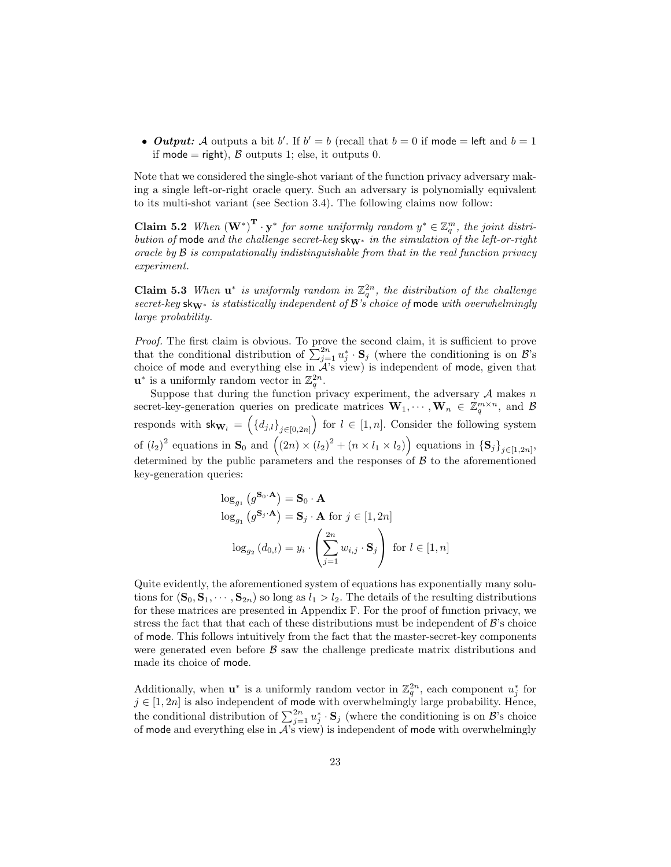• Output: A outputs a bit b'. If  $b' = b$  (recall that  $b = 0$  if mode = left and  $b = 1$ if mode = right),  $\beta$  outputs 1; else, it outputs 0.

Note that we considered the single-shot variant of the function privacy adversary making a single left-or-right oracle query. Such an adversary is polynomially equivalent to its multi-shot variant (see Section 3.4). The following claims now follow:

**Claim 5.2** When  $(\mathbf{W}^*)^T \cdot \mathbf{y}^*$  for some uniformly random  $y^* \in \mathbb{Z}_q^m$ , the joint distribution of mode and the challenge secret-key skW<sup>∗</sup> in the simulation of the left-or-right oracle by  $\beta$  is computationally indistinguishable from that in the real function privacy experiment.

**Claim 5.3** When  $\mathbf{u}^*$  is uniformly random in  $\mathbb{Z}_q^{2n}$ , the distribution of the challenge secret-key sk $w^*$  is statistically independent of B's choice of mode with overwhelmingly large probability.

Proof. The first claim is obvious. To prove the second claim, it is sufficient to prove that the conditional distribution of  $\sum_{j=1}^{2n} u_j^* \cdot \mathbf{S}_j$  (where the conditioning is on  $\mathcal{B}$ 's choice of mode and everything else in  $A$ 's view) is independent of mode, given that  $\mathbf{u}^*$  is a uniformly random vector in  $\mathbb{Z}_q^{2n}$ .

Suppose that during the function privacy experiment, the adversary  $A$  makes  $n$ secret-key-generation queries on predicate matrices  $\mathbf{W}_1, \cdots, \mathbf{W}_n \in \mathbb{Z}_q^{m \times n}$ , and B responds with  $\mathsf{skw}_l = \left( \{d_{j,l}\}_{j \in [0,2n]} \right)$  for  $l \in [1,n]$ . Consider the following system of  $(l_2)^2$  equations in  $\mathbf{S}_0$  and  $((2n) \times (l_2)^2 + (n \times l_1 \times l_2))$  equations in  $\{\mathbf{S}_j\}_{j \in [1, 2n]},$ determined by the public parameters and the responses of  $\beta$  to the aforementioned key-generation queries:

$$
\log_{g_1} (g^{\mathbf{S}_0 \cdot \mathbf{A}}) = \mathbf{S}_0 \cdot \mathbf{A}
$$
  

$$
\log_{g_1} (g^{\mathbf{S}_j \cdot \mathbf{A}}) = \mathbf{S}_j \cdot \mathbf{A} \text{ for } j \in [1, 2n]
$$
  

$$
\log_{g_2} (d_{0,l}) = y_i \cdot \left(\sum_{j=1}^{2n} w_{i,j} \cdot \mathbf{S}_j\right) \text{ for } l \in [1, n]
$$

Quite evidently, the aforementioned system of equations has exponentially many solutions for  $(\mathbf{S}_0, \mathbf{S}_1, \cdots, \mathbf{S}_{2n})$  so long as  $l_1 > l_2$ . The details of the resulting distributions for these matrices are presented in Appendix F. For the proof of function privacy, we stress the fact that that each of these distributions must be independent of  $\mathcal{B}'$ 's choice of mode. This follows intuitively from the fact that the master-secret-key components were generated even before  $\beta$  saw the challenge predicate matrix distributions and made its choice of mode.

Additionally, when  $\mathbf{u}^*$  is a uniformly random vector in  $\mathbb{Z}_q^{2n}$ , each component  $u_j^*$  for  $j \in [1, 2n]$  is also independent of mode with overwhelmingly large probability. Hence, the conditional distribution of  $\sum_{j=1}^{2n} u_j^* \cdot \mathbf{S}_j$  (where the conditioning is on  $\mathcal{B}$ 's choice of mode and everything else in  $\mathcal{A}$ 's view) is independent of mode with overwhelmingly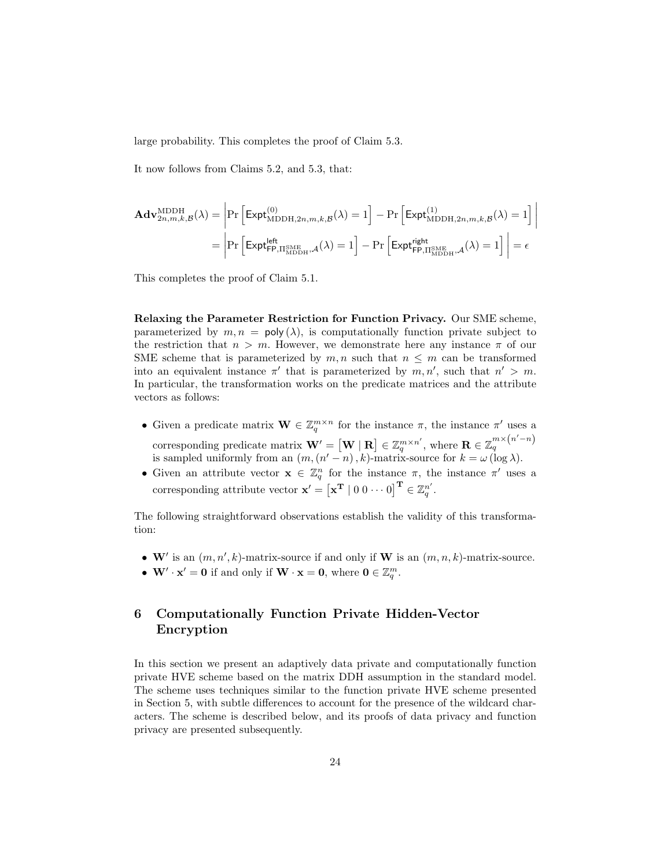large probability. This completes the proof of Claim 5.3.

It now follows from Claims 5.2, and 5.3, that:

$$
\begin{aligned} \mathbf{Adv}_{2n,m,k,\mathcal{B}}^{\mathrm{MDDH}}(\lambda) &= \left| \Pr\left[ \mathsf{Expt}_{\mathrm{MDDH},2n,m,k,\mathcal{B}}^{(0)}(\lambda) = 1 \right] - \Pr\left[ \mathsf{Expt}_{\mathrm{MDDH},2n,m,k,\mathcal{B}}^{(1)}(\lambda) = 1 \right] \right| \\ &= \left| \Pr\left[ \mathsf{Expt}_{\mathsf{FP},\Pi_{\mathrm{MDDH}}^{\mathrm{SME}},\mathcal{A}}^{\mathrm{lefth}}(\lambda) = 1 \right] - \Pr\left[ \mathsf{Expt}_{\mathsf{FP},\Pi_{\mathrm{MDDH}}^{\mathrm{SME}},\mathcal{A}}^{\mathrm{lefth}}(\lambda) = 1 \right] \right| = \epsilon \end{aligned}
$$

This completes the proof of Claim 5.1.

Relaxing the Parameter Restriction for Function Privacy. Our SME scheme, parameterized by  $m, n = \text{poly}(\lambda)$ , is computationally function private subject to the restriction that  $n > m$ . However, we demonstrate here any instance  $\pi$  of our SME scheme that is parameterized by  $m, n$  such that  $n \leq m$  can be transformed into an equivalent instance  $\pi'$  that is parameterized by  $m, n'$ , such that  $n' > m$ . In particular, the transformation works on the predicate matrices and the attribute vectors as follows:

- Given a predicate matrix  $\mathbf{W} \in \mathbb{Z}_q^{m \times n}$  for the instance  $\pi$ , the instance  $\pi'$  uses a corresponding predicate matrix  $\mathbf{W}' = \begin{bmatrix} \mathbf{W} \mid \mathbf{R} \end{bmatrix} \in \mathbb{Z}_q^{m \times n'}$ , where  $\mathbf{R} \in \mathbb{Z}_q^{m \times (n'-n)}$ is sampled uniformly from an  $(m, (n'-n), k)$ -matrix-source for  $k = \omega(\log \lambda)$ .
- Given an attribute vector  $\mathbf{x} \in \mathbb{Z}_q^n$  for the instance  $\pi$ , the instance  $\pi'$  uses a corresponding attribute vector  $\mathbf{x}' = [\mathbf{x}^T \mid 0 \mid 0 \cdots 0]^T \in \mathbb{Z}_q^{n'}$ .

The following straightforward observations establish the validity of this transformation:

- W' is an  $(m, n', k)$ -matrix-source if and only if W is an  $(m, n, k)$ -matrix-source.
- $\mathbf{W}' \cdot \mathbf{x}' = \mathbf{0}$  if and only if  $\mathbf{W} \cdot \mathbf{x} = \mathbf{0}$ , where  $\mathbf{0} \in \mathbb{Z}_q^m$ .

# 6 Computationally Function Private Hidden-Vector Encryption

In this section we present an adaptively data private and computationally function private HVE scheme based on the matrix DDH assumption in the standard model. The scheme uses techniques similar to the function private HVE scheme presented in Section 5, with subtle differences to account for the presence of the wildcard characters. The scheme is described below, and its proofs of data privacy and function privacy are presented subsequently.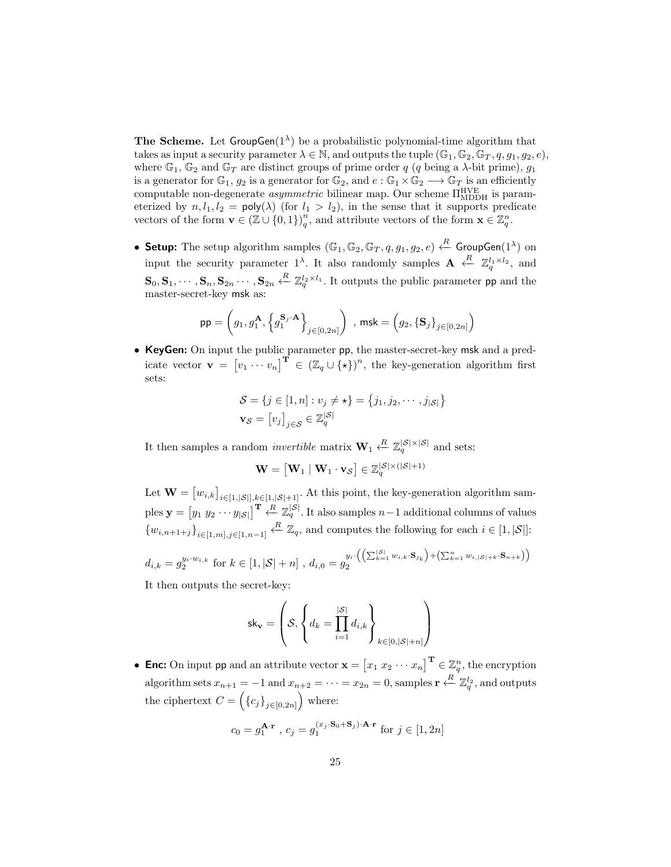**The Scheme.** Let  $GroupGen(1^{\lambda})$  be a probabilistic polynomial-time algorithm that takes as input a security parameter  $\lambda \in \mathbb{N}$ , and outputs the tuple  $(\mathbb{G}_1, \mathbb{G}_2, \mathbb{G}_T, q, q_1, q_2, e)$ , where  $\mathbb{G}_1$ ,  $\mathbb{G}_2$  and  $\mathbb{G}_T$  are distinct groups of prime order q (q being a  $\lambda$ -bit prime),  $g_1$ is a generator for  $\mathbb{G}_1$ ,  $g_2$  is a generator for  $\mathbb{G}_2$ , and  $e : \mathbb{G}_1 \times \mathbb{G}_2 \longrightarrow \mathbb{G}_T$  is an efficiently computable non-degenerate *asymmetric* bilinear map. Our scheme  $\Pi_{\text{MDDH}}^{\text{HVE}}$  is parameterized by  $n, l_1, l_2 = \text{poly}(\lambda)$  (for  $l_1 > l_2$ ), in the sense that it supports predicate vectors of the form  $\mathbf{v} \in (\mathbb{Z} \cup \{0,1\})_q^n$ , and attribute vectors of the form  $\mathbf{x} \in \mathbb{Z}_q^n$ .

• Setup: The setup algorithm samples  $(\mathbb{G}_1, \mathbb{G}_2, \mathbb{G}_T, q, g_1, g_2, e) \stackrel{R}{\leftarrow}$  GroupGen $(1^{\lambda})$  on input the security parameter 1<sup> $\lambda$ </sup>. It also randomly samples  $\mathbf{A} \leftarrow \mathbb{Z}_q^{l_1 \times l_2}$ , and  $\mathbf{S}_0, \mathbf{S}_1, \cdots, \mathbf{S}_n, \mathbf{S}_{2n} \cdots, \mathbf{S}_{2n} \stackrel{R}{\leftarrow} \mathbb{Z}_q^{l_2 \times l_1}$ . It outputs the public parameter pp and the master-secret-key msk as:

$$
\mathsf{pp} = \left(g_1, g_1^{\mathbf{A}}, \left\{g_1^{\mathbf{S}_j \cdot \mathbf{A}}\right\}_{j \in [0, 2n]}\right) \text{ , } \mathsf{msk} = \left(g_2, \left\{\mathbf{S}_j\right\}_{j \in [0, 2n]}\right)
$$

• KeyGen: On input the public parameter pp, the master-secret-key msk and a predicate vector  $\mathbf{v} = [v_1 \cdots v_n]^\mathbf{T} \in (\mathbb{Z}_q \cup {\{\star\}})^n$ , the key-generation algorithm first sets:

$$
S = \{j \in [1, n] : v_j \neq \star\} = \{j_1, j_2, \cdots, j_{|S|}\}
$$

$$
\mathbf{v}_{S} = [v_j]_{j \in S} \in \mathbb{Z}_q^{|S|}
$$

It then samples a random *invertible* matrix  $\mathbf{W}_1 \stackrel{R}{\leftarrow} \mathbb{Z}_q^{|\mathcal{S}| \times |\mathcal{S}|}$  and sets:

$$
\mathbf{W} = \begin{bmatrix} \mathbf{W}_1 \mid \mathbf{W}_1 \cdot \mathbf{v}_\mathcal{S} \end{bmatrix} \in \mathbb{Z}_q^{|\mathcal{S}|\times (|\mathcal{S}|+1)}
$$

Let  $\mathbf{W} = [w_{i,k}]_{i \in [1,|\mathcal{S}|], k \in [1,|\mathcal{S}|+1]}$ . At this point, the key-generation algorithm samples  $\mathbf{y} = \begin{bmatrix} y_1 & y_2 & \cdots & y_{|\mathcal{S}|} \end{bmatrix}^{\mathbf{T}} \leftarrow \mathbb{Z}_q^{|\mathcal{S}|}$ . It also samples  $n-1$  additional columns of values  $\{w_{i,n+1+j}\}_{i\in[1,m],j\in[1,n-1]}$   $\stackrel{R}{\leftarrow}\mathbb{Z}_q$ , and computes the following for each  $i\in[1,|\mathcal{S}|]$ :

$$
d_{i,k} = g_2^{y_i \cdot w_{i,k}} \text{ for } k \in [1, |\mathcal{S}| + n], d_{i,0} = g_2^{y_i \cdot \left( \left( \sum_{k=1}^{|\mathcal{S}|} w_{i,k} \cdot \mathbf{S}_{j_k} \right) + \left( \sum_{k=1}^n w_{i,|\mathcal{S}|+k} \cdot \mathbf{S}_{n+k} \right) \right)}
$$

It then outputs the secret-key:

$$
\mathsf{sk}_{\mathbf{v}} = \left( \mathcal{S}, \left\{ d_k = \prod_{i=1}^{|\mathcal{S}|} d_{i,k} \right\}_{k \in [0,|\mathcal{S}|+n]} \right)
$$

• Enc: On input pp and an attribute vector  $\mathbf{x} = \begin{bmatrix} x_1 & x_2 & \cdots & x_n \end{bmatrix}^{\mathrm{T}} \in \mathbb{Z}_q^n$ , the encryption algorithm sets  $x_{n+1} = -1$  and  $x_{n+2} = \cdots = x_{2n} = 0$ , samples  $\mathbf{r} \leftarrow R \mathbb{Z}_q^{l_2}$ , and outputs the ciphertext  $C = (\{c_j\}_{j \in [0,2n]})$  where:

$$
c_0 = g_1^{\mathbf{A} \cdot \mathbf{r}}
$$
,  $c_j = g_1^{(x_j \cdot \mathbf{S}_0 + \mathbf{S}_j) \cdot \mathbf{A} \cdot \mathbf{r}}$  for  $j \in [1, 2n]$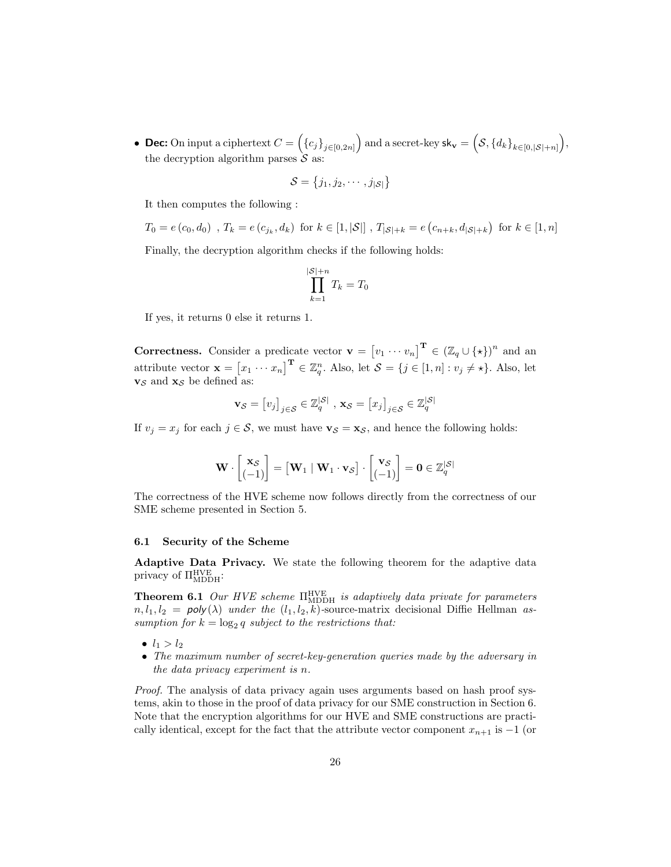• Dec: On input a ciphertext  $C = \left(\{c_j\}_{j\in[0,2n]}\right)$  and a secret-key  $\mathsf{sk_v} = \left(\mathcal{S}, \{d_k\}_{k\in[0,|\mathcal{S}|+n]}\right)$ , the decryption algorithm parses  $\mathcal S$  as:

$$
\mathcal{S} = \{j_1, j_2, \cdots, j_{|\mathcal{S}|}\}
$$

It then computes the following :

$$
T_0 = e(c_0, d_0)
$$
,  $T_k = e(c_{j_k}, d_k)$  for  $k \in [1, |\mathcal{S}|]$ ,  $T_{|\mathcal{S}|+k} = e(c_{n+k}, d_{|\mathcal{S}|+k})$  for  $k \in [1, n]$ 

Finally, the decryption algorithm checks if the following holds:

$$
\prod_{k=1}^{|\mathcal{S}|+n} T_k = T_0
$$

If yes, it returns 0 else it returns 1.

**Correctness.** Consider a predicate vector  $\mathbf{v} = [v_1 \cdots v_n]^\mathbf{T} \in (\mathbb{Z}_q \cup \{ \star \})^n$  and an attribute vector  $\mathbf{x} = [x_1 \cdots x_n]^\mathbf{T} \in \mathbb{Z}_q^n$ . Also, let  $\mathcal{S} = \{j \in [1, n] : v_j \neq \star\}$ . Also, let  $\mathbf{v}_\mathcal{S}$  and  $\mathbf{x}_\mathcal{S}$  be defined as:

$$
\mathbf{v}_{\mathcal{S}} = [v_j]_{j \in \mathcal{S}} \in \mathbb{Z}_q^{|\mathcal{S}|}, \ \mathbf{x}_{\mathcal{S}} = [x_j]_{j \in \mathcal{S}} \in \mathbb{Z}_q^{|\mathcal{S}|}
$$

If  $v_j = x_j$  for each  $j \in \mathcal{S}$ , we must have  $\mathbf{v}_{\mathcal{S}} = \mathbf{x}_{\mathcal{S}}$ , and hence the following holds:

$$
\mathbf{W} \cdot \begin{bmatrix} \mathbf{x}_{\mathcal{S}} \\ (-1) \end{bmatrix} = \begin{bmatrix} \mathbf{W}_1 \mid \mathbf{W}_1 \cdot \mathbf{v}_{\mathcal{S}} \end{bmatrix} \cdot \begin{bmatrix} \mathbf{v}_{\mathcal{S}} \\ (-1) \end{bmatrix} = \mathbf{0} \in \mathbb{Z}_q^{|\mathcal{S}|}
$$

The correctness of the HVE scheme now follows directly from the correctness of our SME scheme presented in Section 5.

#### 6.1 Security of the Scheme

Adaptive Data Privacy. We state the following theorem for the adaptive data privacy of  $\Pi_{\text{MDDH}}^{\text{HVE}}$ :

**Theorem 6.1** Our HVE scheme  $\Pi_{\text{MDDH}}^{\text{HVE}}$  is adaptively data private for parameters  $n, l_1, l_2 = \text{poly}(\lambda)$  under the  $(l_1, l_2, k)$ -source-matrix decisional Diffie Hellman assumption for  $k = \log_2 q$  subject to the restrictions that:

- $l_1 > l_2$
- The maximum number of secret-key-generation queries made by the adversary in the data privacy experiment is n.

Proof. The analysis of data privacy again uses arguments based on hash proof systems, akin to those in the proof of data privacy for our SME construction in Section 6. Note that the encryption algorithms for our HVE and SME constructions are practically identical, except for the fact that the attribute vector component  $x_{n+1}$  is  $-1$  (or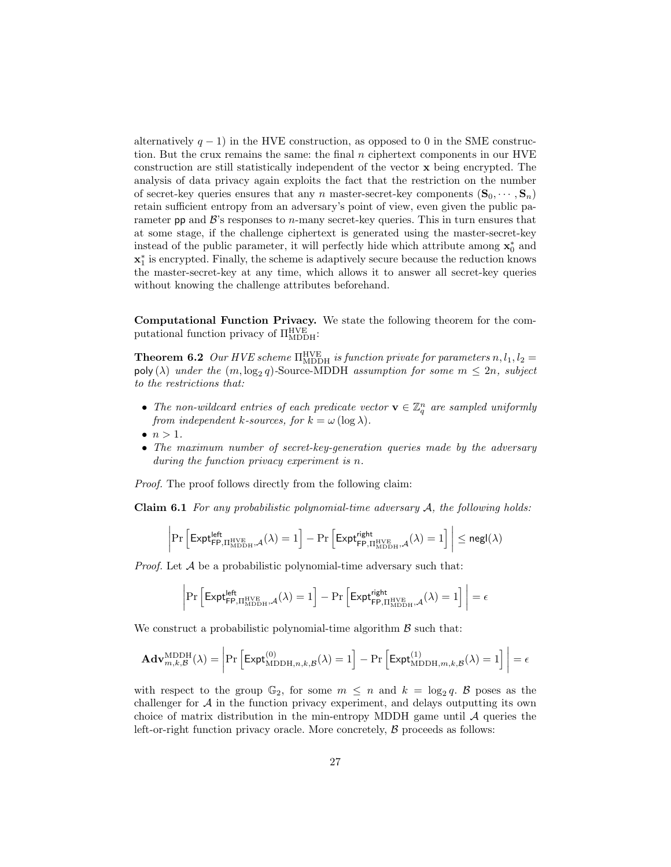alternatively  $q - 1$ ) in the HVE construction, as opposed to 0 in the SME construction. But the crux remains the same: the final  $n$  ciphertext components in our HVE construction are still statistically independent of the vector  $\bf{x}$  being encrypted. The analysis of data privacy again exploits the fact that the restriction on the number of secret-key queries ensures that any n master-secret-key components  $({\bf S}_0, \dots, {\bf S}_n)$ retain sufficient entropy from an adversary's point of view, even given the public parameter pp and  $\mathcal{B}$ 's responses to *n*-many secret-key queries. This in turn ensures that at some stage, if the challenge ciphertext is generated using the master-secret-key instead of the public parameter, it will perfectly hide which attribute among  $\mathbf{x}_0^*$  and  $\mathbf{x}_1^*$  is encrypted. Finally, the scheme is adaptively secure because the reduction knows the master-secret-key at any time, which allows it to answer all secret-key queries without knowing the challenge attributes beforehand.

Computational Function Privacy. We state the following theorem for the computational function privacy of  $\Pi_{\text{MDDH}}^{\text{HVE}}$ :

**Theorem 6.2** Our HVE scheme  $\Pi_{\text{MDDH}}^{\text{HVE}}$  is function private for parameters  $n, l_1, l_2 =$  $\mathsf{poly}(\lambda)$  under the  $(m, \log_2 q)$ -Source-MDDH assumption for some  $m \leq 2n$ , subject to the restrictions that:

- The non-wildcard entries of each predicate vector  $\mathbf{v} \in \mathbb{Z}_q^n$  are sampled uniformly from independent k-sources, for  $k = \omega (\log \lambda)$ .
- $\bullet$   $n > 1$ .
- The maximum number of secret-key-generation queries made by the adversary during the function privacy experiment is n.

Proof. The proof follows directly from the following claim:

**Claim 6.1** For any probabilistic polynomial-time adversary  $A$ , the following holds:

$$
\left|\Pr\left[\mathsf{Expt}_{\mathsf{FP},\Pi^\mathrm{HVE}_{\mathrm{MDDH}},\mathcal{A}}^{\mathsf{left}}(\lambda)=1\right]-\Pr\left[\mathsf{Expt}_{\mathsf{FP},\Pi^\mathrm{HVE}_{\mathrm{MDDH}},\mathcal{A}}^{\mathsf{right}}(\lambda)=1\right]\right|\leq \mathsf{negl}(\lambda)
$$

*Proof.* Let  $A$  be a probabilistic polynomial-time adversary such that:

$$
\left|\Pr\left[\mathsf{Expt}^{\mathsf{left}}_{\mathsf{FP},\Pi^{\mathrm{HVE}}_{\mathrm{MDDH}},\mathcal{A}}(\lambda)=1\right]-\Pr\left[\mathsf{Expt}^{\mathsf{right}}_{\mathsf{FP},\Pi^{\mathrm{HVE}}_{\mathrm{MDDH}},\mathcal{A}}(\lambda)=1\right]\right|=\epsilon
$$

We construct a probabilistic polynomial-time algorithm  $\beta$  such that:

$$
\mathbf{Adv}_{m,k,\mathcal{B}}^{\mathrm{MDDH}}(\lambda) = \left| \mathrm{Pr}\left[ \mathsf{Expt}_{\mathrm{MDDH},n,k,\mathcal{B}}^{(0)}(\lambda) = 1 \right] - \mathrm{Pr}\left[ \mathsf{Expt}_{\mathrm{MDDH},m,k,\mathcal{B}}^{(1)}(\lambda) = 1 \right] \right| = \epsilon
$$

with respect to the group  $\mathbb{G}_2$ , for some  $m \leq n$  and  $k = \log_2 q$ . B poses as the challenger for  $A$  in the function privacy experiment, and delays outputting its own choice of matrix distribution in the min-entropy MDDH game until  $A$  queries the left-or-right function privacy oracle. More concretely,  $\beta$  proceeds as follows: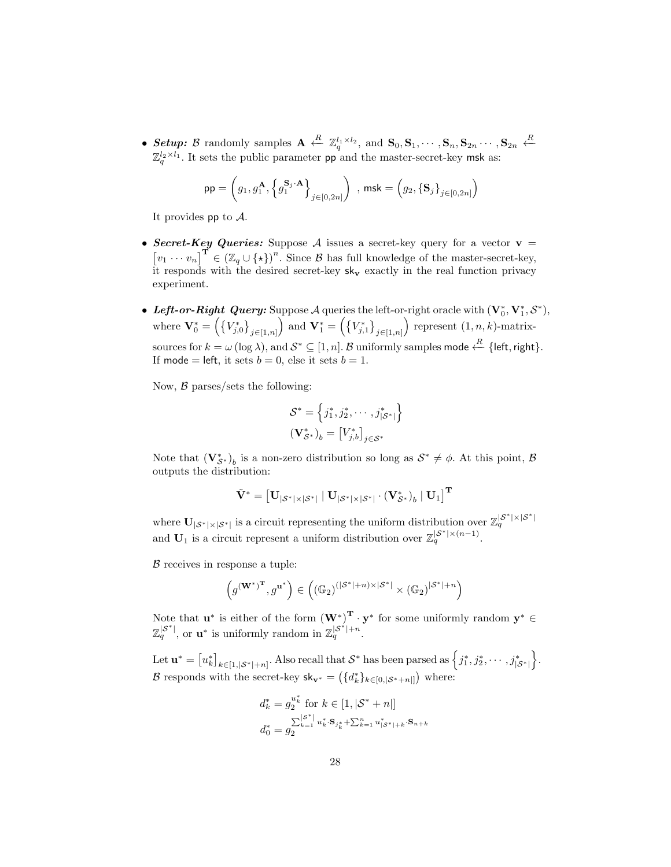• Setup: B randomly samples  $\mathbf{A} \stackrel{R}{\leftarrow} \mathbb{Z}_q^{l_1 \times l_2}$ , and  $\mathbf{S}_0, \mathbf{S}_1, \cdots, \mathbf{S}_n, \mathbf{S}_{2n} \cdots, \mathbf{S}_{2n} \stackrel{R}{\leftarrow}$  $\mathbb{Z}_q^{l_2 \times l_1}$ . It sets the public parameter pp and the master-secret-key msk as:

$$
\mathsf{pp} = \left(g_1, g_1^\mathbf{A}, \left\{ g_1^{\mathbf{S}_j \cdot \mathbf{A}} \right\}_{j \in [0,2n]} \right) \text{ , } \mathsf{msk} = \left(g_2, \left\{ \mathbf{S}_j \right\}_{j \in [0,2n]} \right)
$$

It provides  $pp$  to  $A$ .

- Secret-Key Queries: Suppose A issues a secret-key query for a vector  $v =$  $[v_1 \cdots v_n]^\mathbf{T} \in (\mathbb{Z}_q \cup \{ \star \})^n$ . Since  $\mathcal B$  has full knowledge of the master-secret-key, it responds with the desired secret-key  $sk_v$  exactly in the real function privacy experiment.
- Left-or-Right Query: Suppose A queries the left-or-right oracle with  $(\mathbf{V}_0^*, \mathbf{V}_1^*, \mathcal{S}^*),$ where  $\mathbf{V}_0^* = \left( \{V_{j,0}^*\}_{j\in[1,n]}\right)$  and  $\mathbf{V}_1^* = \left( \{V_{j,1}^*\}_{j\in[1,n]}\right)$  represent  $(1,n,k)$ -matrixsources for  $k = \omega(\log \lambda)$ , and  $S^* \subseteq [1, n]$ . B uniformly samples mode  $\stackrel{R}{\leftarrow} \{\textsf{left}, \textsf{right}\}.$ If mode = left, it sets  $b = 0$ , else it sets  $b = 1$ .

Now,  $\beta$  parses/sets the following:

$$
\mathcal{S}^* = \left\{ j_1^*, j_2^*, \cdots, j_{|\mathcal{S}^*|}^* \right\}
$$

$$
(\mathbf{V}_{\mathcal{S}^*}^*)_b = [V_{j,b}^*]_{j \in \mathcal{S}^*}
$$

Note that  $(\mathbf{V}_{\mathcal{S}^*}^*)_b$  is a non-zero distribution so long as  $\mathcal{S}^* \neq \emptyset$ . At this point,  $\mathcal{B}$ outputs the distribution:

$$
\tilde{\mathbf{V}}^* = \left[\mathbf{U}_{|\mathcal{S}^*| \times |\mathcal{S}^*|} \mid \mathbf{U}_{|\mathcal{S}^*| \times |\mathcal{S}^*|} \cdot \left(\mathbf{V}_{\mathcal{S}^*}^*\right)_b \mid \mathbf{U}_1\right]^\mathbf{T}
$$

where  $U_{|S^*| \times |S^*|}$  is a circuit representing the uniform distribution over  $\mathbb{Z}_q^{|S^*| \times |S^*|}$ and  $U_1$  is a circuit represent a uniform distribution over  $\mathbb{Z}_q^{|S^*| \times (n-1)}$ .

 $\beta$  receives in response a tuple:

$$
\left(g^{(\mathbf{W}^*)^\mathbf{T}},g^{\mathbf{u}^*}\right)\in\left((\mathbb{G}_2)^{(|\mathcal{S}^*|+n)\times|\mathcal{S}^*|}\times(\mathbb{G}_2)^{|\mathcal{S}^*|+n}\right)
$$

Note that  $\mathbf{u}^*$  is either of the form  $(\mathbf{W}^*)^{\mathbf{T}} \cdot \mathbf{y}^*$  for some uniformly random  $\mathbf{y}^* \in$  $\mathbb{Z}_q^{|S^*|}$ , or  $\mathbf{u}^*$  is uniformly random in  $\mathbb{Z}_q^{|S^*|+n}$ .

Let  $\mathbf{u}^* = \begin{bmatrix} u_k^* \end{bmatrix}_{k \in [1, |\mathcal{S}^*| + n]}$ . Also recall that  $\mathcal{S}^*$  has been parsed as  $\left\{ j_1^*, j_2^*, \cdots, j_{|\mathcal{S}^*|}^* \right\}$ . B responds with the secret-key  $\mathsf{sk}_{\mathbf{v}^*} = (\{d_k^*\}_{k \in [0, |\mathcal{S}^*+n|]})$  where:

$$
\begin{aligned} d_k^* &= g_2^{u_k^*} \text{ for } k \in [1, |\mathcal{S}^* + n|] \\ d_0^* &= g_2^{\sum_{k=1}^{|\mathcal{S}^*|} u_k^* \cdot \mathbf{S}_{j_k^*} + \sum_{k=1}^n u_{|\mathcal{S}^*|+k}^* \cdot \mathbf{S}_{n+k}} \end{aligned}
$$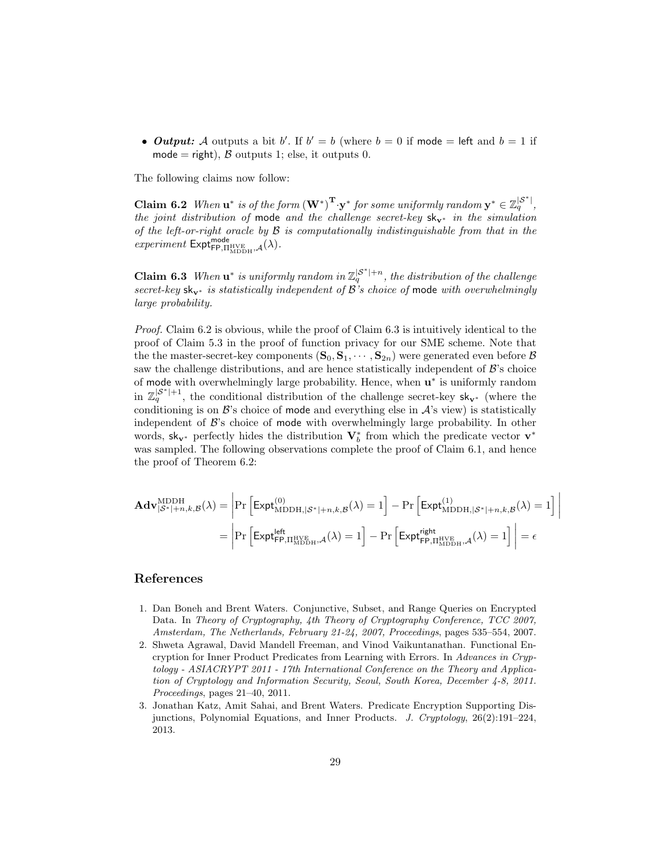• *Output:* A outputs a bit b'. If  $b' = b$  (where  $b = 0$  if mode = left and  $b = 1$  if mode = right),  $\beta$  outputs 1; else, it outputs 0.

The following claims now follow:

**Claim 6.2** When  $\mathbf{u}^*$  is of the form  $(\mathbf{W}^*)^{\mathbf{T}} \cdot \mathbf{y}^*$  for some uniformly random  $\mathbf{y}^* \in \mathbb{Z}_q^{|S^*|}$ , the joint distribution of mode and the challenge secret-key  $sk_{v*}$  in the simulation of the left-or-right oracle by  $\mathcal B$  is computationally indistinguishable from that in the  $experiment$   ${\sf Expt}^{\sf mode}_{\sf FP, \Pi_{\rm MDDH}^{\sf HVE},\mathcal{A}}(\lambda).$ 

**Claim 6.3** When  $\mathbf{u}^*$  is uniformly random in  $\mathbb{Z}_q^{|\mathcal{S}^*|+n}$ , the distribution of the challenge secret-key sk<sub>v<sup>∗</sup></sub> is statistically independent of  $\mathcal{B}'$ 's choice of mode with overwhelmingly large probability.

Proof. Claim 6.2 is obvious, while the proof of Claim 6.3 is intuitively identical to the proof of Claim 5.3 in the proof of function privacy for our SME scheme. Note that the the master-secret-key components  $(\mathbf{S}_0, \mathbf{S}_1, \cdots, \mathbf{S}_{2n})$  were generated even before  $\mathcal{B}$ saw the challenge distributions, and are hence statistically independent of  $\mathcal{B}$ 's choice of mode with overwhelmingly large probability. Hence, when  $\mathbf{u}^*$  is uniformly random in  $\mathbb{Z}_q^{|\mathcal{S}^*|+1}$ , the conditional distribution of the challenge secret-key sk<sub>v<sup>∗</sup></sub> (where the conditioning is on  $\mathcal{B}$ 's choice of mode and everything else in  $\mathcal{A}$ 's view) is statistically independent of  $\mathcal{B}$ 's choice of mode with overwhelmingly large probability. In other words, sk<sub>v</sub>∗ perfectly hides the distribution  $V_b^*$  from which the predicate vector  $v^*$ was sampled. The following observations complete the proof of Claim 6.1, and hence the proof of Theorem 6.2:

$$
\mathbf{Adv}_{|\mathcal{S}^*|+n,k,\mathcal{B}}^{\mathrm{MDDH}}(\lambda) = \left| \Pr \left[ \mathsf{Expt}_{\mathrm{MDDH},|\mathcal{S}^*|+n,k,\mathcal{B}}^{(0)}(\lambda) = 1 \right] - \Pr \left[ \mathsf{Expt}_{\mathrm{MDDH},|\mathcal{S}^*|+n,k,\mathcal{B}}^{(1)}(\lambda) = 1 \right] \right|
$$

$$
= \left| \Pr \left[ \mathsf{Expt}_{\mathsf{FP},\Pi_{\mathrm{MDDH}}^{\mathrm{HVE}},\mathcal{A}}^{(0)}(\lambda) = 1 \right] - \Pr \left[ \mathsf{Expt}_{\mathsf{FP},\Pi_{\mathrm{MDDH}}^{\mathrm{HVE}},\mathcal{A}}^{(1)}(\lambda) = 1 \right] \right| = \epsilon
$$

# References

- 1. Dan Boneh and Brent Waters. Conjunctive, Subset, and Range Queries on Encrypted Data. In Theory of Cryptography, 4th Theory of Cryptography Conference, TCC 2007, Amsterdam, The Netherlands, February 21-24, 2007, Proceedings, pages 535–554, 2007.
- 2. Shweta Agrawal, David Mandell Freeman, and Vinod Vaikuntanathan. Functional Encryption for Inner Product Predicates from Learning with Errors. In Advances in Cryptology - ASIACRYPT 2011 - 17th International Conference on the Theory and Application of Cryptology and Information Security, Seoul, South Korea, December 4-8, 2011. Proceedings, pages 21–40, 2011.
- 3. Jonathan Katz, Amit Sahai, and Brent Waters. Predicate Encryption Supporting Disjunctions, Polynomial Equations, and Inner Products. J. Cryptology, 26(2):191–224, 2013.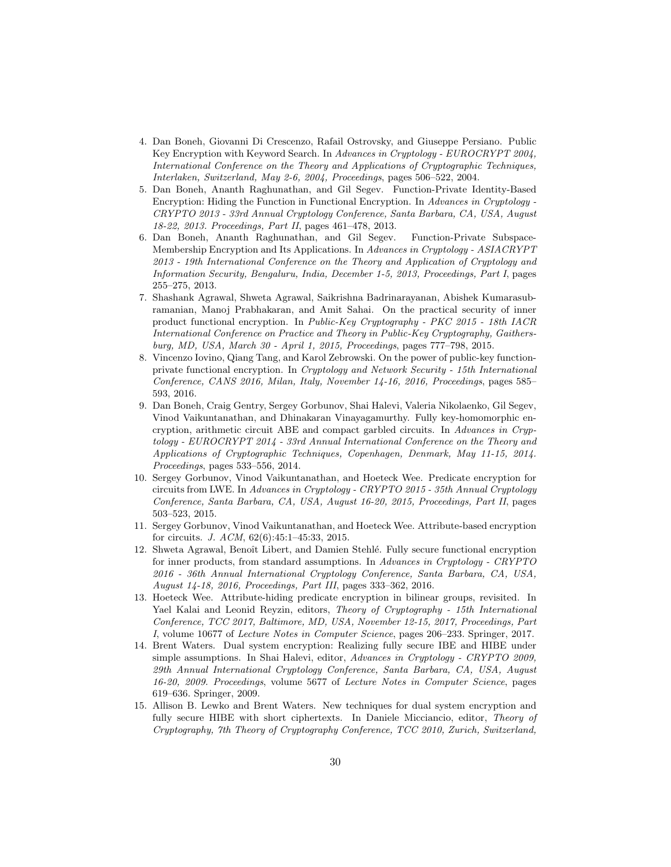- 4. Dan Boneh, Giovanni Di Crescenzo, Rafail Ostrovsky, and Giuseppe Persiano. Public Key Encryption with Keyword Search. In Advances in Cryptology - EUROCRYPT 2004, International Conference on the Theory and Applications of Cryptographic Techniques, Interlaken, Switzerland, May 2-6, 2004, Proceedings, pages 506–522, 2004.
- 5. Dan Boneh, Ananth Raghunathan, and Gil Segev. Function-Private Identity-Based Encryption: Hiding the Function in Functional Encryption. In Advances in Cryptology -CRYPTO 2013 - 33rd Annual Cryptology Conference, Santa Barbara, CA, USA, August 18-22, 2013. Proceedings, Part II, pages 461–478, 2013.
- 6. Dan Boneh, Ananth Raghunathan, and Gil Segev. Function-Private Subspace-Membership Encryption and Its Applications. In Advances in Cryptology - ASIACRYPT 2013 - 19th International Conference on the Theory and Application of Cryptology and Information Security, Bengaluru, India, December 1-5, 2013, Proceedings, Part I, pages 255–275, 2013.
- 7. Shashank Agrawal, Shweta Agrawal, Saikrishna Badrinarayanan, Abishek Kumarasubramanian, Manoj Prabhakaran, and Amit Sahai. On the practical security of inner product functional encryption. In Public-Key Cryptography - PKC 2015 - 18th IACR International Conference on Practice and Theory in Public-Key Cryptography, Gaithersburg, MD, USA, March 30 - April 1, 2015, Proceedings, pages 777–798, 2015.
- 8. Vincenzo Iovino, Qiang Tang, and Karol Zebrowski. On the power of public-key functionprivate functional encryption. In Cryptology and Network Security - 15th International Conference, CANS 2016, Milan, Italy, November 14-16, 2016, Proceedings, pages 585– 593, 2016.
- 9. Dan Boneh, Craig Gentry, Sergey Gorbunov, Shai Halevi, Valeria Nikolaenko, Gil Segev, Vinod Vaikuntanathan, and Dhinakaran Vinayagamurthy. Fully key-homomorphic encryption, arithmetic circuit ABE and compact garbled circuits. In Advances in Cryptology - EUROCRYPT 2014 - 33rd Annual International Conference on the Theory and Applications of Cryptographic Techniques, Copenhagen, Denmark, May 11-15, 2014. Proceedings, pages 533–556, 2014.
- 10. Sergey Gorbunov, Vinod Vaikuntanathan, and Hoeteck Wee. Predicate encryption for circuits from LWE. In Advances in Cryptology - CRYPTO 2015 - 35th Annual Cryptology Conference, Santa Barbara, CA, USA, August 16-20, 2015, Proceedings, Part II, pages 503–523, 2015.
- 11. Sergey Gorbunov, Vinod Vaikuntanathan, and Hoeteck Wee. Attribute-based encryption for circuits. J. ACM, 62(6):45:1–45:33, 2015.
- 12. Shweta Agrawal, Benoît Libert, and Damien Stehlé. Fully secure functional encryption for inner products, from standard assumptions. In Advances in Cryptology - CRYPTO 2016 - 36th Annual International Cryptology Conference, Santa Barbara, CA, USA, August 14-18, 2016, Proceedings, Part III, pages 333–362, 2016.
- 13. Hoeteck Wee. Attribute-hiding predicate encryption in bilinear groups, revisited. In Yael Kalai and Leonid Reyzin, editors, Theory of Cryptography - 15th International Conference, TCC 2017, Baltimore, MD, USA, November 12-15, 2017, Proceedings, Part I, volume 10677 of Lecture Notes in Computer Science, pages 206–233. Springer, 2017.
- 14. Brent Waters. Dual system encryption: Realizing fully secure IBE and HIBE under simple assumptions. In Shai Halevi, editor, Advances in Cryptology - CRYPTO 2009, 29th Annual International Cryptology Conference, Santa Barbara, CA, USA, August 16-20, 2009. Proceedings, volume 5677 of Lecture Notes in Computer Science, pages 619–636. Springer, 2009.
- 15. Allison B. Lewko and Brent Waters. New techniques for dual system encryption and fully secure HIBE with short ciphertexts. In Daniele Micciancio, editor, Theory of Cryptography, 7th Theory of Cryptography Conference, TCC 2010, Zurich, Switzerland,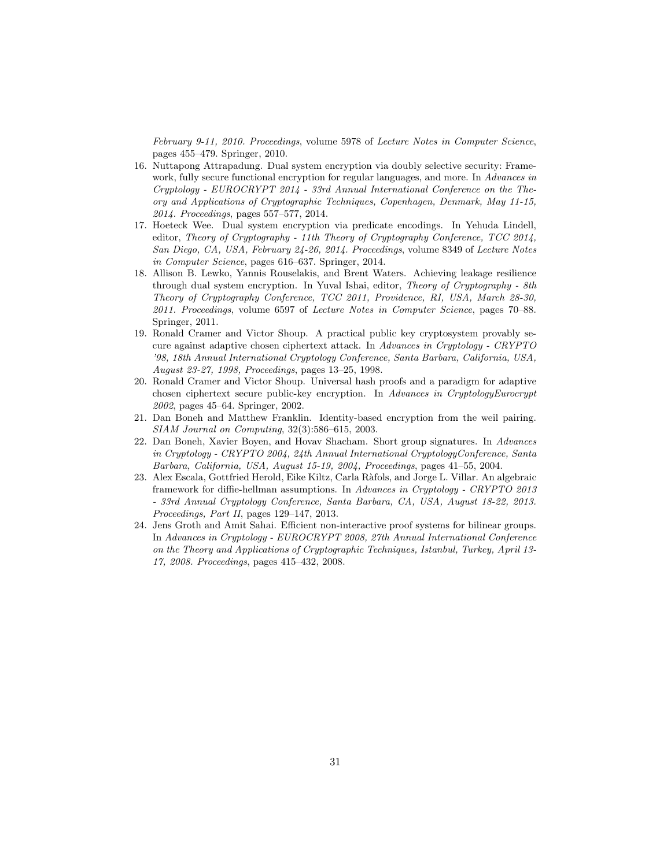February 9-11, 2010. Proceedings, volume 5978 of Lecture Notes in Computer Science, pages 455–479. Springer, 2010.

- 16. Nuttapong Attrapadung. Dual system encryption via doubly selective security: Framework, fully secure functional encryption for regular languages, and more. In Advances in Cryptology - EUROCRYPT 2014 - 33rd Annual International Conference on the Theory and Applications of Cryptographic Techniques, Copenhagen, Denmark, May 11-15, 2014. Proceedings, pages 557–577, 2014.
- 17. Hoeteck Wee. Dual system encryption via predicate encodings. In Yehuda Lindell, editor, Theory of Cryptography - 11th Theory of Cryptography Conference, TCC 2014, San Diego, CA, USA, February 24-26, 2014. Proceedings, volume 8349 of Lecture Notes in Computer Science, pages 616–637. Springer, 2014.
- 18. Allison B. Lewko, Yannis Rouselakis, and Brent Waters. Achieving leakage resilience through dual system encryption. In Yuval Ishai, editor, Theory of Cryptography - 8th Theory of Cryptography Conference, TCC 2011, Providence, RI, USA, March 28-30, 2011. Proceedings, volume 6597 of Lecture Notes in Computer Science, pages 70–88. Springer, 2011.
- 19. Ronald Cramer and Victor Shoup. A practical public key cryptosystem provably secure against adaptive chosen ciphertext attack. In Advances in Cryptology - CRYPTO '98, 18th Annual International Cryptology Conference, Santa Barbara, California, USA, August 23-27, 1998, Proceedings, pages 13–25, 1998.
- 20. Ronald Cramer and Victor Shoup. Universal hash proofs and a paradigm for adaptive chosen ciphertext secure public-key encryption. In Advances in CryptologyEurocrypt 2002, pages 45–64. Springer, 2002.
- 21. Dan Boneh and Matthew Franklin. Identity-based encryption from the weil pairing. SIAM Journal on Computing, 32(3):586–615, 2003.
- 22. Dan Boneh, Xavier Boyen, and Hovav Shacham. Short group signatures. In Advances in Cryptology - CRYPTO 2004, 24th Annual International CryptologyConference, Santa Barbara, California, USA, August 15-19, 2004, Proceedings, pages 41–55, 2004.
- 23. Alex Escala, Gottfried Herold, Eike Kiltz, Carla Ràfols, and Jorge L. Villar. An algebraic framework for diffie-hellman assumptions. In Advances in Cryptology - CRYPTO 2013 - 33rd Annual Cryptology Conference, Santa Barbara, CA, USA, August 18-22, 2013. Proceedings, Part II, pages 129–147, 2013.
- 24. Jens Groth and Amit Sahai. Efficient non-interactive proof systems for bilinear groups. In Advances in Cryptology - EUROCRYPT 2008, 27th Annual International Conference on the Theory and Applications of Cryptographic Techniques, Istanbul, Turkey, April 13- 17, 2008. Proceedings, pages 415–432, 2008.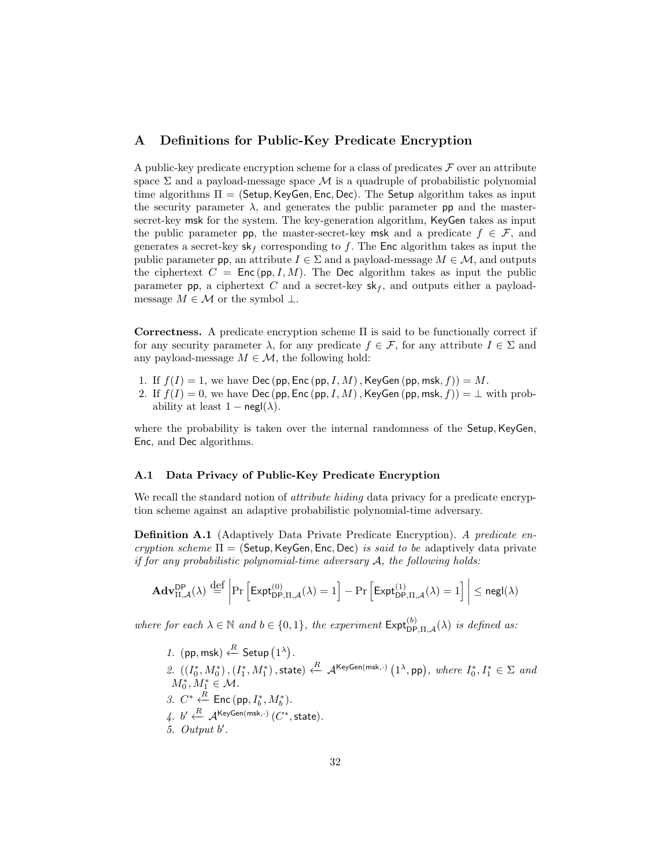### A Definitions for Public-Key Predicate Encryption

A public-key predicate encryption scheme for a class of predicates  $\mathcal F$  over an attribute space  $\Sigma$  and a payload-message space M is a quadruple of probabilistic polynomial time algorithms  $\Pi = (Setup, KeyGen, Enc, Dec)$ . The Setup algorithm takes as input the security parameter  $\lambda$ , and generates the public parameter pp and the mastersecret-key msk for the system. The key-generation algorithm, KeyGen takes as input the public parameter pp, the master-secret-key msk and a predicate  $f \in \mathcal{F}$ , and generates a secret-key  $sk_f$  corresponding to f. The Enc algorithm takes as input the public parameter pp, an attribute  $I \in \Sigma$  and a payload-message  $M \in \mathcal{M}$ , and outputs the ciphertext  $C = \text{Enc}(\text{pp}, I, M)$ . The Dec algorithm takes as input the public parameter pp, a ciphertext C and a secret-key  $sk_f$ , and outputs either a payloadmessage  $M \in \mathcal{M}$  or the symbol  $\perp$ .

Correctness. A predicate encryption scheme Π is said to be functionally correct if for any security parameter  $\lambda$ , for any predicate  $f \in \mathcal{F}$ , for any attribute  $I \in \Sigma$  and any payload-message  $M \in \mathcal{M}$ , the following hold:

- 1. If  $f(I) = 1$ , we have Dec (pp, Enc (pp, I, M), KeyGen (pp, msk, f)) = M.
- 2. If  $f(I) = 0$ , we have Dec (pp, Enc (pp, I, M), KeyGen (pp, msk, f)) =  $\perp$  with probability at least  $1 - \text{negl}(\lambda)$ .

where the probability is taken over the internal randomness of the Setup, KeyGen, Enc, and Dec algorithms.

#### A.1 Data Privacy of Public-Key Predicate Encryption

We recall the standard notion of *attribute hiding* data privacy for a predicate encryption scheme against an adaptive probabilistic polynomial-time adversary.

Definition A.1 (Adaptively Data Private Predicate Encryption). A predicate encryption scheme  $\Pi =$  (Setup, KeyGen, Enc, Dec) is said to be adaptively data private if for any probabilistic polynomial-time adversary  $A$ , the following holds:

$$
\mathbf{Adv}_{\Pi,\mathcal{A}}^{DP}(\lambda)\overset{def}{=}\left|\Pr\left[\mathsf{Expt}_{\mathsf{DP},\Pi,\mathcal{A}}^{(0)}(\lambda)=1\right]-\Pr\left[\mathsf{Expt}_{\mathsf{DP},\Pi,\mathcal{A}}^{(1)}(\lambda)=1\right]\right|\le {\mathsf{negl}}(\lambda)
$$

where for each  $\lambda \in \mathbb{N}$  and  $b \in \{0,1\}$ , the experiment  $\mathsf{Expt}_{\mathsf{DP},\Pi,\mathcal{A}}^{(b)}(\lambda)$  is defined as:

1. (pp, msk)  $\stackrel{R}{\leftarrow}$  Setup  $(1^{\lambda})$ . 2.  $((I_0^*, M_0^*), (I_1^*, M_1^*)$ , state)  $\xleftarrow{R} \mathcal{A}^{\text{KeyGen(msk,.)}} (1^{\lambda}, \text{pp}),$  where  $I_0^*, I_1^* \in \Sigma$  and  $M_0^*, M_1^* \in \mathcal{M}.$ 3.  $C^* \xleftarrow{R} \text{Enc}(\text{pp}, I_b^*, M_b^*).$  $4.~b' \xleftarrow{R} \mathcal{A}^{\sf KeyGen(msk,·)}$   $(C^*,$  state). 5. Output b'.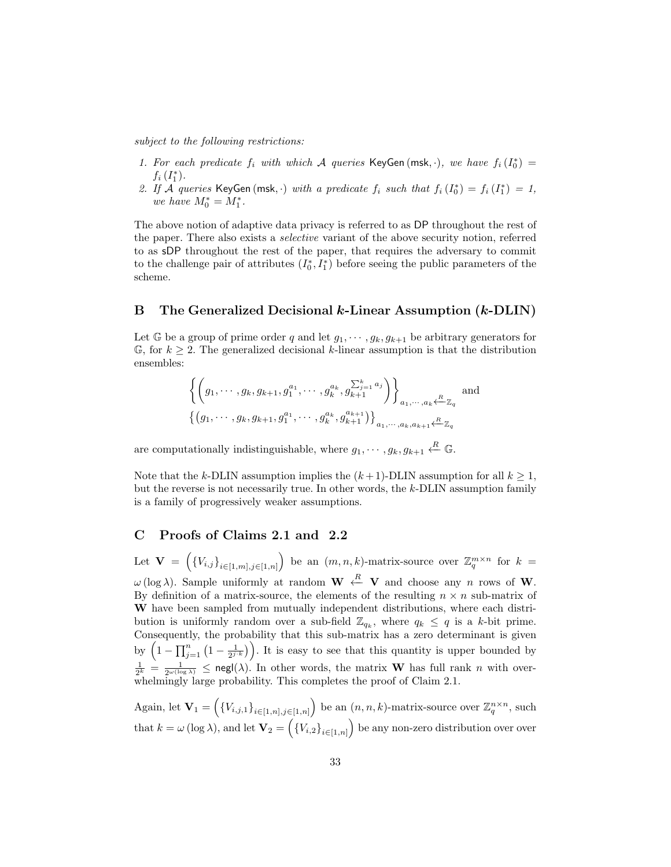subject to the following restrictions:

- 1. For each predicate  $f_i$  with which A queries KeyGen (msk, ·), we have  $f_i(I_0^*)$  =  $f_i(I_1^*)$ .
- 2. If A queries KeyGen (msk, ·) with a predicate  $f_i$  such that  $f_i(I_0^*) = f_i(I_1^*) = 1$ , we have  $M_0^* = M_1^*$ .

The above notion of adaptive data privacy is referred to as DP throughout the rest of the paper. There also exists a selective variant of the above security notion, referred to as sDP throughout the rest of the paper, that requires the adversary to commit to the challenge pair of attributes  $(I_0^*, I_1^*)$  before seeing the public parameters of the scheme.

### B The Generalized Decisional k-Linear Assumption (k-DLIN)

Let G be a group of prime order q and let  $g_1, \dots, g_k, g_{k+1}$  be arbitrary generators for  $\mathbb{G}$ , for  $k \geq 2$ . The generalized decisional k-linear assumption is that the distribution ensembles:

$$
\left\{ \left(g_1, \dots, g_k, g_{k+1}, g_1^{a_1}, \dots, g_k^{a_k}, g_{k+1}^{\sum_{j=1}^k a_j} \right) \right\}_{a_1, \dots, a_k \leftarrow \mathbb{Z}_q} \text{ and}
$$
  

$$
\left\{ \left(g_1, \dots, g_k, g_{k+1}, g_1^{a_1}, \dots, g_k^{a_k}, g_{k+1}^{a_{k+1}}\right) \right\}_{a_1, \dots, a_k, a_{k+1} \leftarrow \mathbb{Z}_q}
$$

are computationally indistinguishable, where  $g_1, \dots, g_k, g_{k+1} \stackrel{R}{\leftarrow} \mathbb{G}$ .

Note that the k-DLIN assumption implies the  $(k+1)$ -DLIN assumption for all  $k \geq 1$ , but the reverse is not necessarily true. In other words, the k-DLIN assumption family is a family of progressively weaker assumptions.

# C Proofs of Claims 2.1 and 2.2

Let  $\mathbf{V} = \left( \{V_{i,j}\}_{i \in [1,m],j \in [1,n]} \right)$  be an  $(m,n,k)$ -matrix-source over  $\mathbb{Z}_q^{m \times n}$  for  $k =$  $\omega$  (log  $\lambda$ ). Sample uniformly at random  $\mathbf{W} \stackrel{R}{\leftarrow} \mathbf{V}$  and choose any n rows of W. By definition of a matrix-source, the elements of the resulting  $n \times n$  sub-matrix of W have been sampled from mutually independent distributions, where each distribution is uniformly random over a sub-field  $\mathbb{Z}_{q_k}$ , where  $q_k \leq q$  is a k-bit prime. Consequently, the probability that this sub-matrix has a zero determinant is given by  $\left(1-\prod_{j=1}^n\left(1-\frac{1}{2^{j-k}}\right)\right)$ . It is easy to see that this quantity is upper bounded by  $\frac{1}{2^k} = \frac{1}{2^{\omega(\log \lambda)}} \leq \text{negl}(\lambda)$ . In other words, the matrix **W** has full rank *n* with overwhelmingly large probability. This completes the proof of Claim 2.1.

Again, let  $\mathbf{V}_1 = \left( \{V_{i,j,1}\}_{i \in [1,n],j \in [1,n]} \right)$  be an  $(n,n,k)$ -matrix-source over  $\mathbb{Z}_q^{n \times n}$ , such that  $k = \omega(\log \lambda)$ , and let  $\mathbf{V}_2 = \left( \{V_{i,2}\}_{i \in [1,n]} \right)$  be any non-zero distribution over over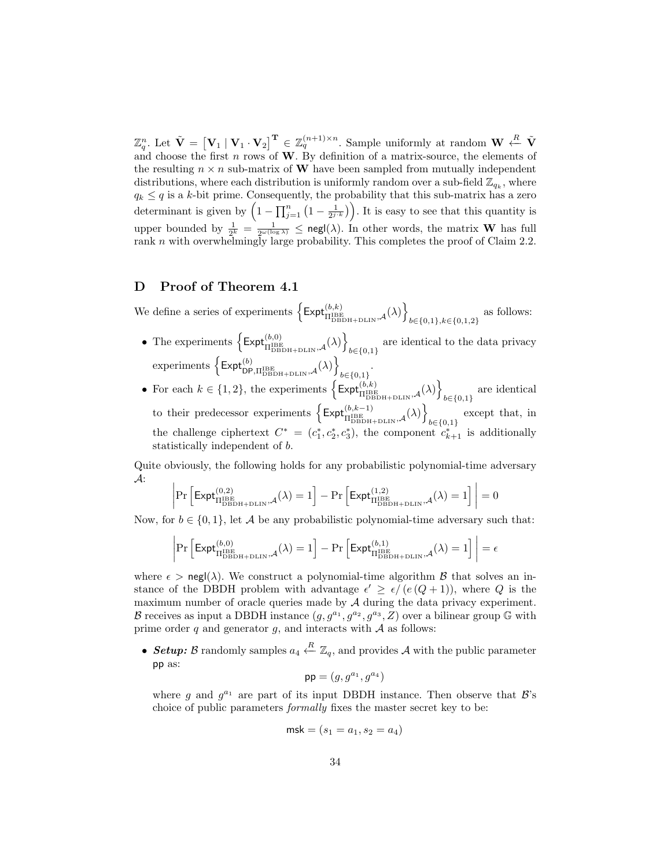$\mathbb{Z}_q^n$ . Let  $\tilde{\mathbf{V}} = [\mathbf{V}_1 \mid \mathbf{V}_1 \cdot \mathbf{V}_2]^{\mathbf{T}} \in \mathbb{Z}_q^{(n+1)\times n}$ . Sample uniformly at random  $\mathbf{W} \stackrel{R}{\leftarrow} \tilde{\mathbf{V}}$ and choose the first n rows of  $W$ . By definition of a matrix-source, the elements of the resulting  $n \times n$  sub-matrix of W have been sampled from mutually independent distributions, where each distribution is uniformly random over a sub-field  $\mathbb{Z}_{q_k}$ , where  $q_k \leq q$  is a k-bit prime. Consequently, the probability that this sub-matrix has a zero determinant is given by  $\left(1 - \prod_{j=1}^n \left(1 - \frac{1}{2^{j \cdot k}}\right)\right)$ . It is easy to see that this quantity is upper bounded by  $\frac{1}{2^k} = \frac{1}{2^{\omega(\log \lambda)}} \leq \text{negl}(\lambda)$ . In other words, the matrix **W** has full rank n with overwhelmingly large probability. This completes the proof of Claim 2.2.

### D Proof of Theorem 4.1

We define a series of experiments  $\left\{ \mathsf{Expt}^{(b,k)}_{\Pi_{\text{DBDH+DLIN}}^{\text{BBE}},\mathcal{A}}(\lambda) \right\}$  $b \in \{0,1\}, k \in \{0,1,2\}$  as follows:

- The experiments  $\left\{ \mathsf{Expt}^{(b,0)}_{\Pi^\mathrm{BEBH+DLIN},\mathcal{A}}(\lambda) \right\}$ are identical to the data privacy  $b \in \{0,1\}$  $\exp \left\{ \mathsf{Expt}_{\mathsf{DP},\Pi_{\mathsf{DBDH}+\mathsf{DLIN}}^{(\boldsymbol{b})},\mathcal{A}}(\lambda) \right\}$  $b \in \{0,1\}$ .
- For each  $k \in \{1, 2\}$ , the experiments  $\left\{\text{Expt}_{\Pi_{\text{DBBH+DLIN}}^{(b,k)},\mathcal{A}}^{(b,k)}(\lambda)\right\}$ are identical<br> $b \in \{0,1\}$ to their predecessor experiments  $\left\{\text{Expt}_{\Pi_{\text{DBBH+DLIN}}^{(b,k-1)},\mathcal{A}}^{(b,k)})\right\}$ except that, in  $b \in \{0,1\}$ the challenge ciphertext  $C^* = (c_1^*, c_2^*, c_3^*)$ , the component  $c_{k+1}^*$  is additionally statistically independent of b.

Quite obviously, the following holds for any probabilistic polynomial-time adversary <sup>A</sup>: 

$$
\left|\Pr\left[\mathsf{Expt}_{\Pi^\mathrm{IBE}_\mathrm{DBDH+DLIN},\mathcal{A}}^{(0,2)}(\lambda)=1\right]-\Pr\left[\mathsf{Expt}_{\Pi^\mathrm{IBE}_\mathrm{DBDH+DLIN},\mathcal{A}}^{(1,2)}(\lambda)=1\right]\right|=0
$$

Now, for  $b \in \{0,1\}$ , let A be any probabilistic polynomial-time adversary such that:

$$
\left|\Pr\left[\mathsf{Expt}_{\Pi^\mathrm{IBE}_\mathrm{DBDH+DLIN},\mathcal{A}}^{(b,0)}(\lambda)=1\right]-\Pr\left[\mathsf{Expt}_{\Pi^\mathrm{IBE}_\mathrm{DBDH+DLIN},\mathcal{A}}^{(b,1)}(\lambda)=1\right]\right|=\epsilon
$$

where  $\epsilon > \text{negl}(\lambda)$ . We construct a polynomial-time algorithm  $\beta$  that solves an instance of the DBDH problem with advantage  $\epsilon' \geq \epsilon/(e(Q+1))$ , where Q is the maximum number of oracle queries made by  $A$  during the data privacy experiment. B receives as input a DBDH instance  $(g, g^{a_1}, g^{a_2}, g^{a_3}, Z)$  over a bilinear group G with prime order  $q$  and generator  $q$ , and interacts with  $A$  as follows:

• Setup: B randomly samples  $a_4 \stackrel{R}{\leftarrow} \mathbb{Z}_q$ , and provides A with the public parameter pp as:

$$
\mathsf{pp}=(g,g^{a_1},g^{a_4})
$$

where g and  $g^{a_1}$  are part of its input DBDH instance. Then observe that  $\mathcal{B}$ 's choice of public parameters formally fixes the master secret key to be:

$$
\mathsf{msk} = (s_1 = a_1, s_2 = a_4)
$$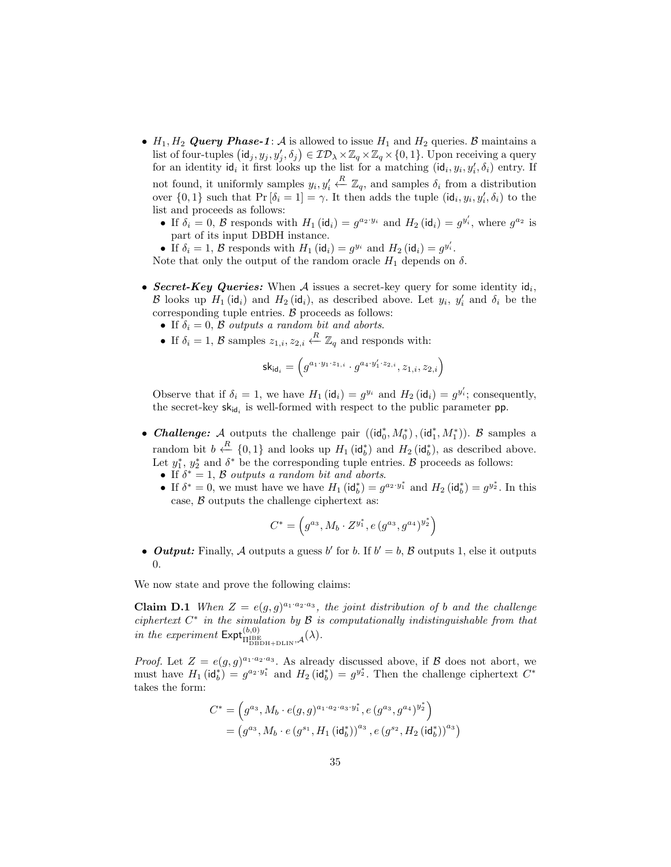- $H_1, H_2$  Query Phase-1: A is allowed to issue  $H_1$  and  $H_2$  queries. B maintains a list of four-tuples  $(\mathsf{id}_j, y_j, y_j', \delta_j) \in \mathcal{ID}_\lambda \times \mathbb{Z}_q \times \mathbb{Z}_q \times \{0, 1\}$ . Upon receiving a query for an identity  $\mathsf{id}_i$  it first looks up the list for a matching  $(\mathsf{id}_i, y_i, y'_i, \delta_i)$  entry. If not found, it uniformly samples  $y_i, y_i'$  $\overset{R}{\leftarrow} \mathbb{Z}_q$ , and samples  $δ_i$  from a distribution over  $\{0,1\}$  such that  $Pr[\delta_i = 1] = \gamma$ . It then adds the tuple  $(id_i, y_i, y'_i, \delta_i)$  to the list and proceeds as follows:
	- If  $\delta_i = 0$ ,  $\beta$  responds with  $H_1$  (id<sub>i</sub>) =  $g^{a_2 \cdot y_i}$  and  $H_2$  (id<sub>i</sub>) =  $g^{y'_i}$ , where  $g^{a_2}$  is part of its input DBDH instance.

• If  $\delta_i = 1$ ,  $\beta$  responds with  $H_1(\text{id}_i) = g^{y_i}$  and  $H_2(\text{id}_i) = g^{y'_i}$ . Note that only the output of the random oracle  $H_1$  depends on  $\delta$ .

- Secret-Key Queries: When A issues a secret-key query for some identity  $\mathsf{id}_i$ , B looks up  $H_1(\mathsf{id}_i)$  and  $H_2(\mathsf{id}_i)$ , as described above. Let  $y_i$ ,  $y'_i$  and  $\delta_i$  be the corresponding tuple entries.  $B$  proceeds as follows:
	- If  $\delta_i = 0$ ,  $\beta$  outputs a random bit and aborts.
	- If  $\delta_i = 1, \mathcal{B}$  samples  $z_{1,i}, z_{2,i} \stackrel{R}{\leftarrow} \mathbb{Z}_q$  and responds with:

$$
{\sf sk}_{{\sf id}_i} = \left(g^{a_1 \cdot y_1 \cdot z_{1,i}} \cdot g^{a_4 \cdot y'_1 \cdot z_{2,i}} , z_{1,i}, z_{2,i} \right)
$$

Observe that if  $\delta_i = 1$ , we have  $H_1(\text{id}_i) = g^{y_i}$  and  $H_2(\text{id}_i) = g^{y_i}$ ; consequently, the secret-key  $sk_{id_i}$  is well-formed with respect to the public parameter **pp**.

- Challenge: A outputs the challenge pair  $((id_0^*, M_0^*), (id_1^*, M_1^*))$ . B samples a random bit  $b \stackrel{R}{\leftarrow} \{0,1\}$  and looks up  $H_1(\mathsf{id}_b^*)$  and  $H_2(\mathsf{id}_b^*)$ , as described above. Let  $y_1^*, y_2^*$  and  $\delta^*$  be the corresponding tuple entries. B proceeds as follows:
	- If  $\delta^* = 1$ ,  $\beta$  outputs a random bit and aborts.
	- If  $\delta^* = 0$ , we must have we have  $H_1(\text{id}_b^*) = g^{a_2 \cdot y_1^*}$  and  $H_2(\text{id}_b^*) = g^{y_2^*}$ . In this case,  $\beta$  outputs the challenge ciphertext as:

$$
C^* = \left(g^{a_3}, M_b \cdot Z^{y_1^*}, e(g^{a_3}, g^{a_4})^{y_2^*}\right)
$$

• **Output:** Finally, A outputs a guess b' for b. If  $b' = b$ , B outputs 1, else it outputs 0.

We now state and prove the following claims:

**Claim D.1** When  $Z = e(g, g)^{a_1 \cdot a_2 \cdot a_3}$ , the joint distribution of b and the challenge ciphertext  $C^*$  in the simulation by  $\mathcal B$  is computationally indistinguishable from that in the experiment  $\mathsf{Expt}^{(b,0)}_{\Pi_{\text{DBDH+DLIN}}^{\text{BBE}},\mathcal{A}}(\lambda)$ .

*Proof.* Let  $Z = e(g, g)^{a_1 \cdot a_2 \cdot a_3}$ . As already discussed above, if B does not abort, we must have  $H_1(\text{id}_b^*) = g^{a_2 \cdot y_1^*}$  and  $H_2(\text{id}_b^*) = g^{y_2^*}$ . Then the challenge ciphertext  $C^*$ takes the form:

$$
C^* = \left(g^{a_3}, M_b \cdot e(g, g)^{a_1 \cdot a_2 \cdot a_3 \cdot y_1^*}, e(g^{a_3}, g^{a_4})^{y_2^*}\right)
$$
  
= 
$$
\left(g^{a_3}, M_b \cdot e(g^{s_1}, H_1(\mathrm{id}_b^*))^{a_3}, e(g^{s_2}, H_2(\mathrm{id}_b^*))^{a_3}\right)
$$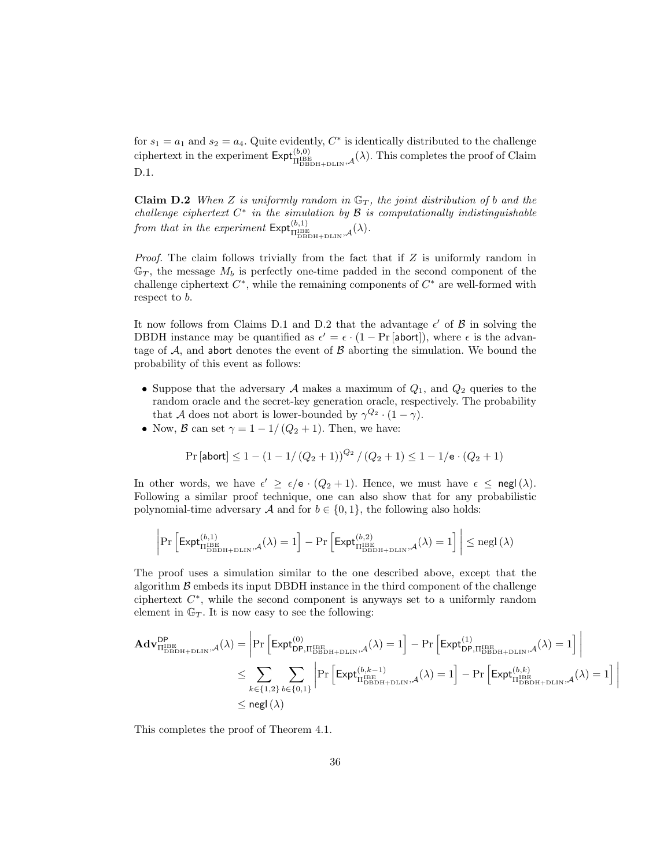for  $s_1 = a_1$  and  $s_2 = a_4$ . Quite evidently,  $C^*$  is identically distributed to the challenge ciphertext in the experiment  $\text{Expt}_{\Pi_{\text{DBBH+DLIN}}^{\text{(b,0)}},\mathcal{A}}^{\text{(b,0)}}(\lambda)$ . This completes the proof of Claim D.1.

**Claim D.2** When Z is uniformly random in  $\mathbb{G}_T$ , the joint distribution of b and the challenge ciphertext  $C^*$  in the simulation by  $\mathcal B$  is computationally indistinguishable from that in the experiment  $\mathsf{Expt}^{(b,1)}_{\text{IBBBH+DLIN},\mathcal{A}}(\lambda)$ .

*Proof.* The claim follows trivially from the fact that if  $Z$  is uniformly random in  $\mathbb{G}_T$ , the message  $M_b$  is perfectly one-time padded in the second component of the challenge ciphertext  $C^*$ , while the remaining components of  $C^*$  are well-formed with respect to b.

It now follows from Claims D.1 and D.2 that the advantage  $\epsilon'$  of  $\beta$  in solving the DBDH instance may be quantified as  $\epsilon' = \epsilon \cdot (1 - \Pr[\text{abort}])$ , where  $\epsilon$  is the advantage of  $A$ , and abort denotes the event of  $B$  aborting the simulation. We bound the probability of this event as follows:

- Suppose that the adversary  $A$  makes a maximum of  $Q_1$ , and  $Q_2$  queries to the random oracle and the secret-key generation oracle, respectively. The probability that A does not abort is lower-bounded by  $\gamma^{Q_2} \cdot (1 - \gamma)$ .
- Now, B can set  $\gamma = 1 1/(Q_2 + 1)$ . Then, we have:

$$
\Pr\left[\mathsf{abort}\right] \le 1 - (1 - 1/(Q_2 + 1))^{Q_2} / (Q_2 + 1) \le 1 - 1/\mathsf{e} \cdot (Q_2 + 1)
$$

In other words, we have  $\epsilon' \geq \epsilon/\mathsf{e} \cdot (Q_2 + 1)$ . Hence, we must have  $\epsilon \leq \mathsf{negl}(\lambda)$ . Following a similar proof technique, one can also show that for any probabilistic polynomial-time adversary A and for  $b \in \{0, 1\}$ , the following also holds:

$$
\left|\Pr\left[\mathsf{Expt}_{\Pi^\mathrm{IBE}_\mathrm{DBDH+DLIN},\mathcal{A}}^{(b,1)}(\lambda)=1\right]-\Pr\left[\mathsf{Expt}_{\Pi^\mathrm{IBE}_\mathrm{DBDH+DLIN},\mathcal{A}}^{(b,2)}(\lambda)=1\right]\right|\le \mathrm{negl}\left(\lambda\right)
$$

The proof uses a simulation similar to the one described above, except that the algorithm  $\beta$  embeds its input DBDH instance in the third component of the challenge ciphertext  $C^*$ , while the second component is anyways set to a uniformly random element in  $\mathbb{G}_T$ . It is now easy to see the following:

$$
\begin{aligned} \mathbf{Adv}_{\Pi_{\mathrm{DBDH}+\mathrm{DLIN}}^{DP},\mathcal{A}}^{\mathrm{DP}}(\lambda)=&\left|\Pr\left[\mathsf{Expt}_{\mathrm{DP},\Pi_{\mathrm{DBDH}+\mathrm{DLIN}}^{I \mathrm{BE}},\mathcal{A}}^{(0)}( \lambda)=1\right]-\Pr\left[\mathsf{Expt}_{\mathrm{DP},\Pi_{\mathrm{DBDH}+\mathrm{DLIN}}^{I \mathrm{BE}},\mathcal{A}}^{(1)}( \lambda)=1\right]\right|\\ &\leq \sum_{k\in\{1,2\}}\sum_{b\in\{0,1\}}\left|\Pr\left[\mathsf{Expt}_{\Pi_{\mathrm{DBDH}+\mathrm{DLIN}}^{(b,k-1)},\mathcal{A}}^{(h,k-1)}( \lambda)=1\right]-\Pr\left[\mathsf{Expt}_{\Pi_{\mathrm{DBDH}+\mathrm{DLIN}}^{(b,k)},\mathcal{A}}^{(h,k)}( \lambda)=1\right]\right|\\ &\leq \mathsf{negl}\left(\lambda\right)\end{aligned}
$$

This completes the proof of Theorem 4.1.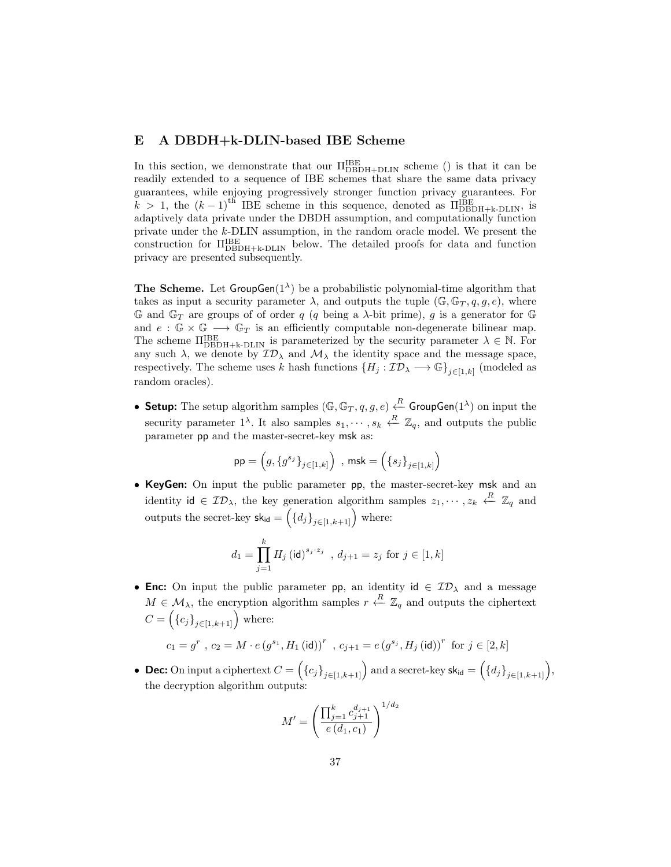# E A DBDH+k-DLIN-based IBE Scheme

In this section, we demonstrate that our  $\Pi_{\rm DBDH+DLIN}^{\rm IBE}$  scheme () is that it can be readily extended to a sequence of IBE schemes that share the same data privacy guarantees, while enjoying progressively stronger function privacy guarantees. For  $k > 1$ , the  $(k-1)$ <sup>th</sup> IBE scheme in this sequence, denoted as  $\Pi_{\text{DBDH+k-DLIN}}^{\text{B}}$ , is adaptively data private under the DBDH assumption, and computationally function private under the k-DLIN assumption, in the random oracle model. We present the construction for  $\Pi_{\mathrm{DBDH+k-DLIN}}^{\mathrm{B}}$  below. The detailed proofs for data and function privacy are presented subsequently.

**The Scheme.** Let  $GroupGen(1^{\lambda})$  be a probabilistic polynomial-time algorithm that takes as input a security parameter  $\lambda$ , and outputs the tuple (G, G<sub>T</sub>, q, g, e), where G and  $\mathbb{G}_T$  are groups of of order q (q being a  $\lambda$ -bit prime), g is a generator for G and  $e : \mathbb{G} \times \mathbb{G} \longrightarrow \mathbb{G}_T$  is an efficiently computable non-degenerate bilinear map. The scheme  $\Pi_{\text{DBDH+k-DLIN}}^{\text{IBE}}$  is parameterized by the security parameter  $\lambda \in \mathbb{N}$ . For any such  $\lambda$ , we denote by  $\mathcal{ID}_{\lambda}$  and  $\mathcal{M}_{\lambda}$  the identity space and the message space, respectively. The scheme uses k hash functions  ${H_j : \mathcal{ID}_\lambda \longrightarrow \mathbb{G}}_{j \in [1,k]}$  (modeled as random oracles).

• Setup: The setup algorithm samples  $(\mathbb{G}, \mathbb{G}_T, q, g, e) \stackrel{R}{\leftarrow}$  GroupGen $(1^{\lambda})$  on input the security parameter  $1^{\lambda}$ . It also samples  $s_1, \dots, s_k \stackrel{R}{\leftarrow} \mathbb{Z}_q$ , and outputs the public parameter pp and the master-secret-key msk as:

$$
\mathsf{pp} = \left(g, \left\{g^{s_j}\right\}_{j \in [1,k]}\right) \text{ , } \mathsf{msk} = \left(\left\{s_j\right\}_{j \in [1,k]}\right)
$$

• KeyGen: On input the public parameter pp, the master-secret-key msk and an identity id  $\in \mathcal{ID}_\lambda$ , the key generation algorithm samples  $z_1, \dots, z_k \stackrel{R}{\leftarrow} \mathbb{Z}_q$  and outputs the secret-key  $\mathsf{sk}_{\mathsf{id}} = \left( \{d_j\}_{j \in [1, k+1]} \right)$  where:

$$
d_1=\prod_{j=1}^k H_j\left(\mathsf{id}\right)^{s_j\cdot z_j}\;,\,d_{j+1}=z_j\text{ for }j\in[1,k]
$$

• Enc: On input the public parameter pp, an identity  $id \in \mathcal{ID}_{\lambda}$  and a message  $M \in \mathcal{M}_{\lambda}$ , the encryption algorithm samples  $r \stackrel{R}{\leftarrow} \mathbb{Z}_q$  and outputs the ciphertext  $C = (\{c_j\}_{j \in [1, k+1]})$  where:

$$
c_1 = g^r , c_2 = M \cdot e \left(g^{s_1}, H_1(\text{id})\right)^r , c_{j+1} = e \left(g^{s_j}, H_j(\text{id})\right)^r \text{ for } j \in [2, k]
$$

• Dec: On input a ciphertext  $C = \left(\{c_j\}_{j\in[1,k+1]}\right)$  and a secret-key  $\mathsf{sk}_\mathsf{id} = \left(\{d_j\}_{j\in[1,k+1]}\right)$ , the decryption algorithm outputs:

$$
M' = \left(\frac{\prod_{j=1}^{k} c_{j+1}^{d_{j+1}}}{e(d_1, c_1)}\right)^{1/d_2}
$$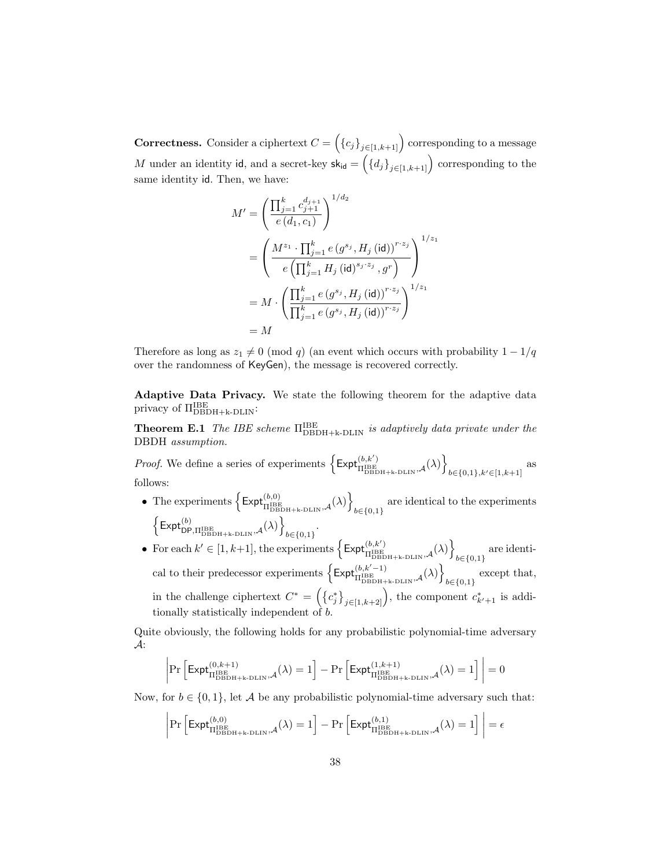**Correctness.** Consider a ciphertext  $C = (\{c_j\}_{j \in [1, k+1]})$  corresponding to a message M under an identity id, and a secret-key  $sk_{id} = \left( \{d_j\}_{j \in [1, k+1]} \right)$  corresponding to the same identity id. Then, we have:

$$
M' = \left(\frac{\prod_{j=1}^{k} c_{j+1}^{d_{j+1}}}{e(d_1, c_1)}\right)^{1/d_2}
$$
  
= 
$$
\left(\frac{M^{z_1} \cdot \prod_{j=1}^{k} e(g^{s_j}, H_j (\text{id}))^{r \cdot z_j}}{e(\prod_{j=1}^{k} H_j (\text{id})^{s_j \cdot z_j}, g^r)}\right)^{1/z_1}
$$
  
= 
$$
M \cdot \left(\frac{\prod_{j=1}^{k} e(g^{s_j}, H_j (\text{id}))^{r \cdot z_j}}{\prod_{j=1}^{k} e(g^{s_j}, H_j (\text{id}))^{r \cdot z_j}}\right)^{1/z_1}
$$
  
= 
$$
M
$$

Therefore as long as  $z_1 \neq 0 \pmod{q}$  (an event which occurs with probability  $1 - 1/q$ over the randomness of KeyGen), the message is recovered correctly.

Adaptive Data Privacy. We state the following theorem for the adaptive data privacy of ΠIBE DBDH+k-DLIN:

**Theorem E.1** The IBE scheme  $\Pi_{\rm DBDH+k-DLIN}^{IBE}$  is adaptively data private under the DBDH assumption.

*Proof.* We define a series of experiments  $\left\{\mathsf{Expt}_{\Pi^{\rm IBE}}^{(b,k')}\right\}$  $\left\{\stackrel{(b,k')}{\Pi^{\rm IBE}_{\rm DBDH+k-DLIN},\mathcal{A}}(\lambda)\right\}$  $b \in \{0,1\}, k' \in [1, k+1]$ as follows:

- The experiments  $\left\{ \mathsf{Expt}_{\Pi \text{DBBH} + \mathsf{k}\text{-DLIN},\mathcal{A}}^{(b,0)}(\lambda) \right\}$ are identical to the experiments  $b \in \{0,1\}$  $\left\{\mathsf{Expt}_{\mathsf{DP},\Pi^{\mathrm{IBE}}_{\mathrm{DBDH+k-DLIN}},\mathcal{A}}^{(b)}(\lambda)\right\}$  $_{b \in \{0,1\}}$ .
- For each  $k' \in [1, k+1]$ , the experiments  $\left\{\text{Expt}_{\Pi^{\text{B}} E}^{(b, k')}\right\}$  $\left\{\stackrel{(b,k')}{\Pi^{\rm IBE}_{\rm DBDH+k-DLIN},\mathcal{A}}(\lambda)\right\}$ are identi-<br> $b \in \{0,1\}$ cal to their predecessor experiments  $\left\{\text{Expt}_{\Pi_{\text{DBBH+k-DLIN}}^{IBE},\mathcal{A}}^{(b,k'-1)}(\lambda)\right\}$ except that,  $b \in \{0,1\}$ in the challenge ciphertext  $C^* = \left(\left\{c_j^*\right\}_{j \in [1, k+2]} \right)$ , the component  $c_{k'+1}^*$  is additionally statistically independent of  $b$ .

Quite obviously, the following holds for any probabilistic polynomial-time adversary A:

$$
\left|\Pr\left[\mathsf{Expt}_{\Pi_{\mathsf{DBDH+k}\text{-DLIN}}^{(0,k+1)},\mathcal{A}}^{(0,k+1)}(\lambda)=1\right]-\Pr\left[\mathsf{Expt}_{\Pi_{\mathsf{DBDH+k}\text{-DLIN}}^{(1,k+1)},\mathcal{A}}^{(1,k+1)}(\lambda)=1\right]\right|=0
$$

Now, for  $b \in \{0, 1\}$ , let A be any probabilistic polynomial-time adversary such that:

$$
\left|\Pr\left[\mathsf{Expt}_{\Pi_{\mathsf{DBDH+k}\text{-}\mathsf{DLIN}}^{(b,0)},\mathcal{A}}^{(b,0)}(\lambda)=1\right]-\Pr\left[\mathsf{Expt}_{\Pi_{\mathsf{DBDH+k}\text{-}\mathsf{DLIN}}^{(b,1)},\mathcal{A}}^{(b,1)}(\lambda)=1\right]\right|=\epsilon
$$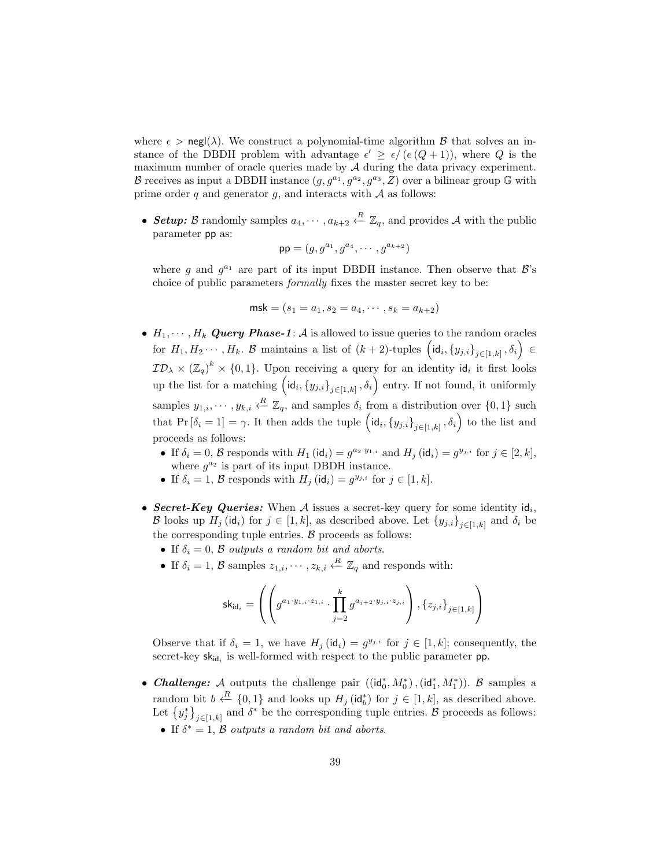where  $\epsilon > \text{negl}(\lambda)$ . We construct a polynomial-time algorithm  $\beta$  that solves an instance of the DBDH problem with advantage  $\epsilon' \geq \epsilon/(e(Q+1))$ , where Q is the maximum number of oracle queries made by  $A$  during the data privacy experiment. B receives as input a DBDH instance  $(g, g^{a_1}, g^{a_2}, g^{a_3}, Z)$  over a bilinear group G with prime order q and generator q, and interacts with  $A$  as follows:

• Setup: B randomly samples  $a_4, \dots, a_{k+2} \stackrel{R}{\leftarrow} \mathbb{Z}_q$ , and provides A with the public parameter pp as:

$$
\mathsf{pp} = (g, g^{a_1}, g^{a_4}, \cdots, g^{a_{k+2}})
$$

where g and  $g^{a_1}$  are part of its input DBDH instance. Then observe that  $\mathcal{B}$ 's choice of public parameters formally fixes the master secret key to be:

$$
\mathsf{msk} = (s_1 = a_1, s_2 = a_4, \cdots, s_k = a_{k+2})
$$

- $H_1, \dots, H_k$  Query Phase-1: A is allowed to issue queries to the random oracles for  $H_1, H_2 \cdots, H_k$ . B maintains a list of  $(k+2)$ -tuples  $\left(\mathsf{id}_i, \{y_{j,i}\}_{j\in[1,k]}, \delta_i\right) \in$  $\mathcal{ID}_\lambda \times (\mathbb{Z}_q)^k \times \{0,1\}$ . Upon receiving a query for an identity id<sub>i</sub> it first looks up the list for a matching  $\left(\mathsf{id}_i, \{y_{j,i}\}_{j\in[1,k]}, \delta_i\right)$  entry. If not found, it uniformly samples  $y_{1,i}, \dots, y_{k,i} \stackrel{R}{\leftarrow} \mathbb{Z}_q$ , and samples  $\delta_i$  from a distribution over  $\{0,1\}$  such that  $Pr[\delta_i = 1] = \gamma$ . It then adds the tuple  $\left(id_i, \{y_{j,i}\}_{j \in [1,k]}, \delta_i\right)$  to the list and proceeds as follows:
	- If  $\delta_i = 0$ ,  $\mathcal{B}$  responds with  $H_1(\text{id}_i) = g^{a_2 \cdot y_{1,i}}$  and  $H_j(\text{id}_i) = g^{y_{j,i}}$  for  $j \in [2, k]$ , where  $g^{a_2}$  is part of its input DBDH instance.
	- If  $\delta_i = 1$ ,  $\beta$  responds with  $H_j$  (id<sub>i</sub>) =  $g^{y_{j,i}}$  for  $j \in [1, k]$ .
- Secret-Key Queries: When A issues a secret-key query for some identity  $\mathsf{id}_i$ , B looks up  $H_j(\mathsf{id}_i)$  for  $j \in [1, k]$ , as described above. Let  $\{y_{j,i}\}_{j \in [1, k]}$  and  $\delta_i$  be the corresponding tuple entries.  $\beta$  proceeds as follows:
	- If  $\delta_i = 0$ ,  $\beta$  outputs a random bit and aborts.
	- If  $\delta_i = 1, \mathcal{B}$  samples  $z_{1,i}, \cdots, z_{k,i} \stackrel{R}{\leftarrow} \mathbb{Z}_q$  and responds with:

$$
\mathsf{sk}_{\mathsf{id}_i} = \left( \left( g^{a_1 \cdot y_{1,i} \cdot z_{1,i}} \cdot \prod_{j=2}^k g^{a_{j+2} \cdot y_{j,i} \cdot z_{j,i}} \right), \{z_{j,i}\}_{j \in [1,k]} \right)
$$

Observe that if  $\delta_i = 1$ , we have  $H_j(\text{id}_i) = g^{y_{j,i}}$  for  $j \in [1, k]$ ; consequently, the secret-key  $sk_{id_i}$  is well-formed with respect to the public parameter pp.

- Challenge: A outputs the challenge pair  $((id_0^*, M_0^*), (id_1^*, M_1^*))$ . B samples a random bit  $b \stackrel{R}{\leftarrow} \{0,1\}$  and looks up  $H_j(\mathsf{id}_b^*)$  for  $j \in [1,k]$ , as described above. Let  $\{y_j^*\}_{j\in[1,k]}$  and  $\delta^*$  be the corresponding tuple entries. B proceeds as follows:
	- If  $\delta^* = 1$ ,  $\beta$  outputs a random bit and aborts.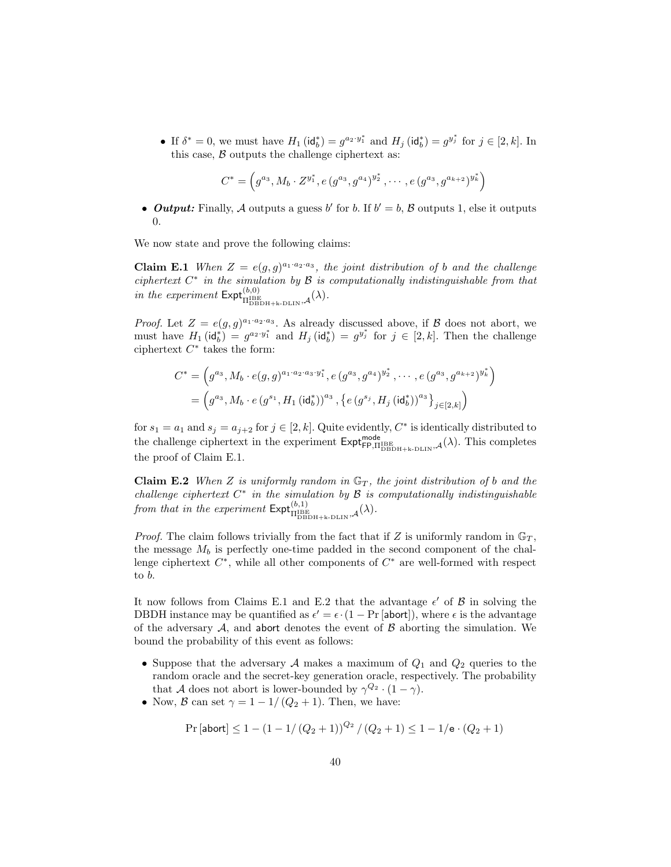• If  $\delta^* = 0$ , we must have  $H_1(\text{id}_b^*) = g^{a_2 \cdot y_1^*}$  and  $H_j(\text{id}_b^*) = g^{y_j^*}$  for  $j \in [2, k]$ . In this case,  $\beta$  outputs the challenge ciphertext as:

$$
C^* = \left(g^{a_3}, M_b \cdot Z^{y_1^*}, e(g^{a_3}, g^{a_4})^{y_2^*}, \cdots, e(g^{a_3}, g^{a_{k+2}})^{y_k^*}\right)
$$

• **Output:** Finally, A outputs a guess b' for b. If  $b' = b$ , B outputs 1, else it outputs 0.

We now state and prove the following claims:

**Claim E.1** When  $Z = e(g, g)^{a_1 \cdot a_2 \cdot a_3}$ , the joint distribution of b and the challenge ciphertext  $C^*$  in the simulation by  $\mathcal B$  is computationally indistinguishable from that in the experiment  $\mathsf{Expt}^{(b,0)}_{\Pi_{\text{DBDH+k-DLIN}},\mathcal{A}}(\lambda)$ .

*Proof.* Let  $Z = e(g, g)^{a_1 \cdot a_2 \cdot a_3}$ . As already discussed above, if B does not abort, we must have  $H_1(\text{id}_b^*) = g^{a_2 \cdot y_1^*}$  and  $H_j(\text{id}_b^*) = g^{y_j^*}$  for  $j \in [2, k]$ . Then the challenge ciphertext  $C^*$  takes the form:

$$
C^* = \left(g^{a_3}, M_b \cdot e(g, g)^{a_1 \cdot a_2 \cdot a_3 \cdot y_1^*}, e(g^{a_3}, g^{a_4})^{y_2^*}, \cdots, e(g^{a_3}, g^{a_{k+2}})^{y_k^*}\right)
$$
  
=  $\left(g^{a_3}, M_b \cdot e(g^{s_1}, H_1(\mathsf{id}_b^*))^{a_3}, \left\{e(g^{s_j}, H_j(\mathsf{id}_b^*))^{a_3}\right\}_{j \in [2,k]}\right)$ 

for  $s_1 = a_1$  and  $s_j = a_{j+2}$  for  $j \in [2, k]$ . Quite evidently,  $C^*$  is identically distributed to the challenge ciphertext in the experiment  $\text{Expt}_{\text{FP},\Pi_{\text{DBDH+k-DLIN}}^{model},\mathcal{A}}^{model}(\lambda)$ . This completes the proof of Claim E.1.

Claim E.2 When Z is uniformly random in  $\mathbb{G}_T$ , the joint distribution of b and the challenge ciphertext  $C^*$  in the simulation by  $\mathcal B$  is computationally indistinguishable from that in the experiment  $\mathsf{Expt}^{(b,1)}_{\Pi_{\text{DBDH+k-DLIN}}^{\text{BEB}},\mathcal{A}}(\lambda)$ .

*Proof.* The claim follows trivially from the fact that if Z is uniformly random in  $\mathbb{G}_T$ , the message  $M_b$  is perfectly one-time padded in the second component of the challenge ciphertext  $C^*$ , while all other components of  $C^*$  are well-formed with respect to b.

It now follows from Claims E.1 and E.2 that the advantage  $\epsilon'$  of  $\beta$  in solving the DBDH instance may be quantified as  $\epsilon' = \epsilon \cdot (1 - \Pr[\text{abort}])$ , where  $\epsilon$  is the advantage of the adversary  $A$ , and abort denotes the event of  $B$  aborting the simulation. We bound the probability of this event as follows:

- Suppose that the adversary  $A$  makes a maximum of  $Q_1$  and  $Q_2$  queries to the random oracle and the secret-key generation oracle, respectively. The probability that A does not abort is lower-bounded by  $\gamma^{Q_2} \cdot (1 - \gamma)$ .
- Now, B can set  $\gamma = 1 1/(Q_2 + 1)$ . Then, we have:

$$
\Pr\left[\mathsf{abort}\right] \le 1 - \left(1 - 1/\left(Q_2 + 1\right)\right)^{Q_2} / \left(Q_2 + 1\right) \le 1 - 1/\mathsf{e} \cdot (Q_2 + 1)
$$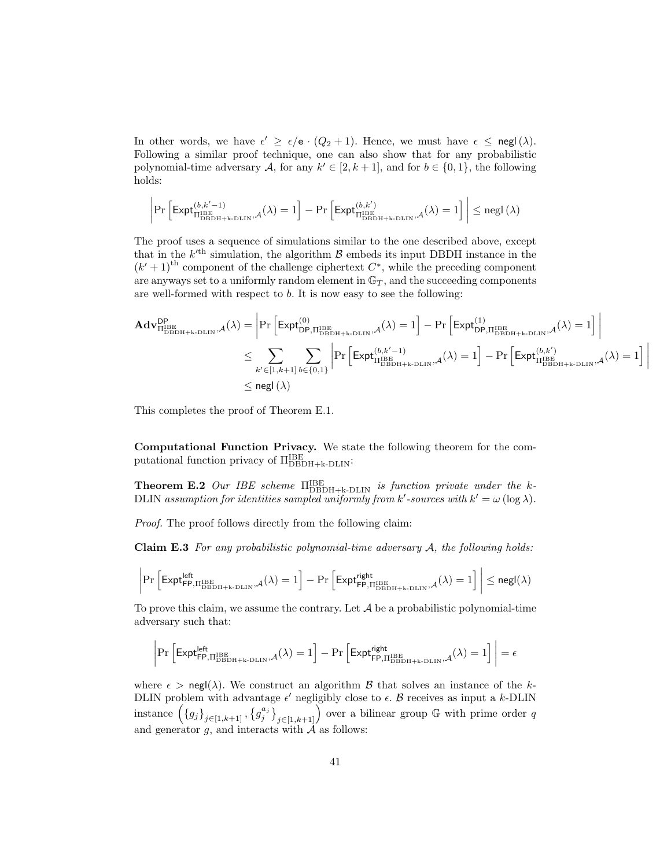In other words, we have  $\epsilon' \geq \epsilon/\mathsf{e} \cdot (Q_2 + 1)$ . Hence, we must have  $\epsilon \leq \mathsf{negl}(\lambda)$ . Following a similar proof technique, one can also show that for any probabilistic polynomial-time adversary A, for any  $k' \in [2, k+1]$ , and for  $b \in \{0, 1\}$ , the following holds:

$$
\left|\Pr\left[\mathsf{Expt}_{\Pi^\mathrm{IBE}_\mathrm{DBDH+k-DLIN},\mathcal{A}}^{(b,k'-1)}(\lambda)=1\right]-\Pr\left[\mathsf{Expt}_{\Pi^\mathrm{IBE}_\mathrm{DBDH+k-DLIN},\mathcal{A}}^{(b,k')}(\lambda)=1\right]\right|\le \mathrm{negl}\left(\lambda\right)
$$

The proof uses a sequence of simulations similar to the one described above, except that in the  $k<sup>{th}</sup>$  simulation, the algorithm  $\beta$  embeds its input DBDH instance in the  $(k' + 1)$ <sup>th</sup> component of the challenge ciphertext  $C^*$ , while the preceding component are anyways set to a uniformly random element in  $\mathbb{G}_T$ , and the succeeding components are well-formed with respect to  $b$ . It is now easy to see the following:

$$
\begin{aligned} \mathbf{Adv}_{\Pi^{\mathrm{IBE}}_{\mathrm{DBDH}+\mathrm{k}\text{-DLIN}},\mathcal{A}}^{\mathrm{DP}}(\lambda)=&\left|\Pr\left[\mathsf{Expt}^{(0)}_{\mathrm{DP},\Pi^{\mathrm{IBE}}_{\mathrm{DBDH}+\mathrm{k}\text{-DLIN}},\mathcal{A}}(\lambda)=1\right]-\Pr\left[\mathsf{Expt}^{(1)}_{\mathrm{DP},\Pi^{\mathrm{IBE}}_{\mathrm{DBDH}+\mathrm{k}\text{-DLIN}},\mathcal{A}}(\lambda)=1\right]\right|\\ &\leq\sum_{k'\in[1,k+1]}\sum_{b\in\{0,1\}}\left|\Pr\left[\mathsf{Expt}^{(b,k'-1)}_{\Pi^{\mathrm{IBE}}_{\mathrm{DBDH}+\mathrm{k}\text{-DLIN}},\mathcal{A}}(\lambda)=1\right]-\Pr\left[\mathsf{Expt}^{(b,k')}_{\Pi^{\mathrm{IBE}}_{\mathrm{DBDH}+\mathrm{k}\text{-DLIN}},\mathcal{A}}(\lambda)=1\right]\right|\\ &\leq\mathsf{negl}\left(\lambda\right)\end{aligned}
$$

This completes the proof of Theorem E.1.

Computational Function Privacy. We state the following theorem for the computational function privacy of  $\Pi_{\rm DBDH+k-DLIN}^{\rm IBE}$ :

**Theorem E.2** Our IBE scheme  $\Pi_{\text{DBDH+k-DLIN}}^{\text{IBE}}$  is function private under the k-DLIN assumption for identities sampled uniformly from k'-sources with  $k' = \omega(\log \lambda)$ .

Proof. The proof follows directly from the following claim:

**Claim E.3** For any probabilistic polynomial-time adversary  $A$ , the following holds:

$$
\left|\Pr\left[\mathsf{Expt}^{\mathsf{left}}_{\mathsf{FP},\Pi^{\mathsf{IBE}}_{\mathsf{DBDH}+\mathsf{k}\text{-}\mathsf{DLIN}},\mathcal{A}(\lambda)=1\right]-\Pr\left[\mathsf{Expt}^{\mathsf{right}}_{\mathsf{FP},\Pi^{\mathsf{IBE}}_{\mathsf{DBDH}+\mathsf{k}\text{-}\mathsf{DLIN}},\mathcal{A}(\lambda)=1\right]\right|\le {\mathsf{negl}}(\lambda)
$$

To prove this claim, we assume the contrary. Let  $A$  be a probabilistic polynomial-time adversary such that:

$$
\left|\Pr\left[\mathsf{Expt}^{\mathsf{left}}_{\mathsf{FP},\Pi^{\mathsf{IBE}}_{\mathsf{DBDH+k}\text{-}\mathsf{DLIN}},\mathcal{A}}(\lambda)=1\right]-\Pr\left[\mathsf{Expt}^{\mathsf{right}}_{\mathsf{FP},\Pi^{\mathsf{IBE}}_{\mathsf{DBDH+k}\text{-}\mathsf{DLIN}},\mathcal{A}}(\lambda)=1\right]\right|=\epsilon
$$

where  $\epsilon > \text{negl}(\lambda)$ . We construct an algorithm  $\beta$  that solves an instance of the k-DLIN problem with advantage  $\epsilon'$  negligibly close to  $\epsilon$ . B receives as input a k-DLIN instance  $(\{g_j\}_{j\in[1,k+1]}, \{g_j^{a_j}\}_{j\in[1,k+1]})$  over a bilinear group G with prime order q and generator g, and interacts with  $\tilde{A}$  as follows: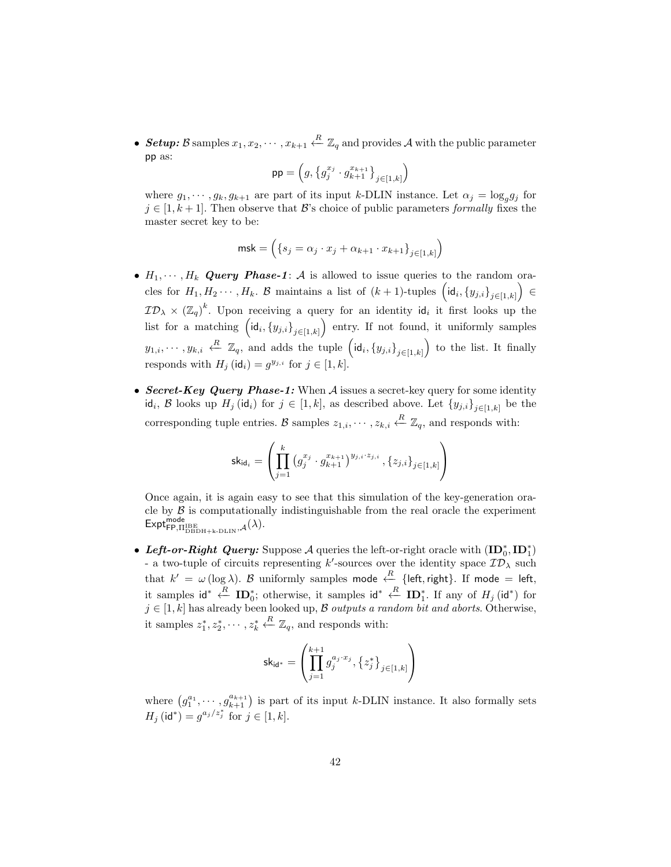• Setup: B samples  $x_1, x_2, \cdots, x_{k+1} \stackrel{R}{\leftarrow} \mathbb{Z}_q$  and provides A with the public parameter pp as:

$$
\mathsf{pp} = \left( g, \left\{ g_j^{x_j} \cdot g_{k+1}^{x_{k+1}} \right\}_{j \in [1,k]} \right)
$$

where  $g_1, \dots, g_k, g_{k+1}$  are part of its input k-DLIN instance. Let  $\alpha_j = \log_g g_j$  for  $j \in [1, k+1]$ . Then observe that B's choice of public parameters formally fixes the master secret key to be:

$$
\mathsf{msk} = \left( \{ s_j = \alpha_j \cdot x_j + \alpha_{k+1} \cdot x_{k+1} \}_{j \in [1,k]} \right)
$$

- $H_1, \dots, H_k$  Query Phase-1: A is allowed to issue queries to the random oracles for  $H_1, H_2 \cdots, H_k$ . B maintains a list of  $(k+1)$ -tuples  $\left(\mathrm{id}_i, \{y_{j,i}\}_{j\in [1,k]}\right) \in$  $ID_{\lambda} \times (\mathbb{Z}_q)^k$ . Upon receiving a query for an identity  $\mathsf{id}_i$  it first looks up the list for a matching  $\left(\mathsf{id}_{i}, \{y_{j,i}\}_{j\in[1,k]}\right)$  entry. If not found, it uniformly samples  $y_{1,i},\cdots,y_{k,i} \stackrel{R}{\leftarrow} \mathbb{Z}_q$ , and adds the tuple  $\left(\mathsf{id}_i,\{y_{j,i}\}_{j\in[1,k]}\right)$  to the list. It finally responds with  $H_j(\text{id}_i) = g^{y_{j,i}}$  for  $j \in [1, k]$ .
- Secret-Key Query Phase-1: When  $A$  issues a secret-key query for some identity id<sub>i</sub>, B looks up  $H_j(\mathsf{id}_i)$  for  $j \in [1, k]$ , as described above. Let  $\{y_{j,i}\}_{j \in [1, k]}$  be the corresponding tuple entries. B samples  $z_{1,i}, \dots, z_{k,i} \stackrel{R}{\leftarrow} \mathbb{Z}_q$ , and responds with:

$$
\mathsf{sk}_{\mathsf{id}_i} = \left(\prod_{j=1}^k \left(g_j^{x_j} \cdot g_{k+1}^{x_{k+1}}\right)^{y_{j,i} \cdot z_{j,i}}, \left\{z_{j,i}\right\}_{j \in [1,k]}\right)
$$

Once again, it is again easy to see that this simulation of the key-generation oracle by  $\beta$  is computationally indistinguishable from the real oracle the experiment  $\mathsf{Expt}^{\mathsf{mode}}_{\mathsf{FP},\Pi^{\mathrm{IBE}}_{\mathrm{DBDH+k-DLIN}},\mathcal{A}}(\lambda).$ 

• Left-or-Right Query: Suppose A queries the left-or-right oracle with  $(ID_0^*, ID_1^*)$ - a two-tuple of circuits representing k'-sources over the identity space  $\mathcal{ID}_\lambda$  such that  $k' = \omega(\log \lambda)$ . B uniformly samples mode  $\stackrel{R}{\leftarrow}$  {left, right}. If mode = left, it samples  $\mathsf{id}^* \leftarrow {\mathbf{ID}_0^*}$ ; otherwise, it samples  $\mathsf{id}^* \leftarrow {\mathbf{ID}_1^*}$ . If any of  $H_j(\mathsf{id}^*)$  for  $j \in [1, k]$  has already been looked up, B outputs a random bit and aborts. Otherwise, it samples  $z_1^*, z_2^*, \cdots, z_k^*$  $\stackrel{R}{\leftarrow} \mathbb{Z}_q$ , and responds with:

$$
\mathsf{sk}_{\mathsf{id}^*} = \left( \prod_{j=1}^{k+1} g_j^{a_j \cdot x_j}, \left\{ z_j^* \right\}_{j \in [1, k]} \right)
$$

where  $(g_1^{a_1}, \cdots, g_{k+1}^{a_{k+1}})$  is part of its input k-DLIN instance. It also formally sets  $H_j(\mathsf{id}^*) = g^{a_j/z_j^*}$  for  $j \in [1, k]$ .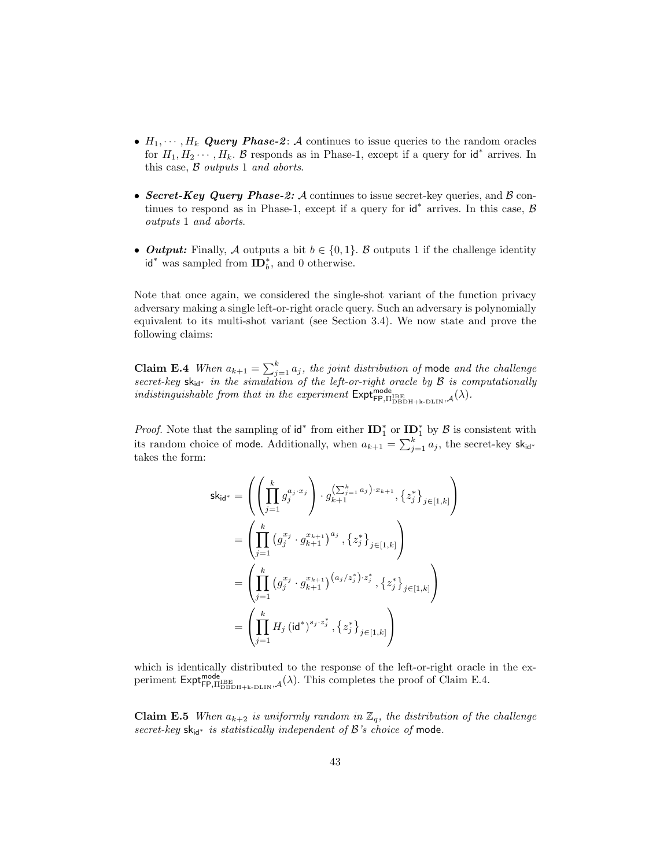- $H_1, \dots, H_k$  Query Phase-2: A continues to issue queries to the random oracles for  $H_1, H_2 \cdots, H_k$ . B responds as in Phase-1, except if a query for  $\mathsf{id}^*$  arrives. In this case,  $\beta$  outputs 1 and aborts.
- Secret-Key Query Phase-2: A continues to issue secret-key queries, and  $\beta$  continues to respond as in Phase-1, except if a query for  $\mathsf{id}^*$  arrives. In this case,  $\mathcal B$ outputs 1 and aborts.
- Output: Finally, A outputs a bit  $b \in \{0,1\}$ . B outputs 1 if the challenge identity  $id^*$  was sampled from  $ID_b^*$ , and 0 otherwise.

Note that once again, we considered the single-shot variant of the function privacy adversary making a single left-or-right oracle query. Such an adversary is polynomially equivalent to its multi-shot variant (see Section 3.4). We now state and prove the following claims:

**Claim E.4** When  $a_{k+1} = \sum_{j=1}^{k} a_j$ , the joint distribution of mode and the challenge secret-key  $sk_{id}$ <sup>\*</sup> in the simulation of the left-or-right oracle by  $\beta$  is computationally indistinguishable from that in the experiment  $\text{Expt}_{\text{FP},\Pi_{\text{DBDH+k-DLIN}}^{\text{node}},\mathcal{A}}(\lambda)$ .

*Proof.* Note that the sampling of  $\mathbf{id}^*$  from either  $\mathbf{ID}_1^*$  or  $\mathbf{ID}_1^*$  by  $\mathcal{B}$  is consistent with its random choice of mode. Additionally, when  $a_{k+1} = \sum_{j=1}^{k} a_j$ , the secret-key sk<sub>id\*</sub> takes the form:

$$
\mathsf{sk}_{\mathsf{id}^{*}} = \left( \left( \prod_{j=1}^{k} g_{j}^{a_{j} \cdot x_{j}} \right) \cdot g_{k+1}^{\left( \sum_{j=1}^{k} a_{j} \right) \cdot x_{k+1}}, \left\{ z_{j}^{*} \right\}_{j \in [1,k]} \right)
$$
\n
$$
= \left( \prod_{j=1}^{k} \left( g_{j}^{x_{j}} \cdot g_{k+1}^{x_{k+1}} \right)^{a_{j}}, \left\{ z_{j}^{*} \right\}_{j \in [1,k]} \right)
$$
\n
$$
= \left( \prod_{j=1}^{k} \left( g_{j}^{x_{j}} \cdot g_{k+1}^{x_{k+1}} \right)^{\left( a_{j}/z_{j}^{*} \right) \cdot z_{j}^{*}}, \left\{ z_{j}^{*} \right\}_{j \in [1,k]} \right)
$$
\n
$$
= \left( \prod_{j=1}^{k} H_{j} \left( \mathsf{id}^{*} \right)^{s_{j} \cdot z_{j}^{*}}, \left\{ z_{j}^{*} \right\}_{j \in [1,k]} \right)
$$

which is identically distributed to the response of the left-or-right oracle in the experiment  $\text{Expt}_{\text{FP},\Pi_{\text{DBDH+k-DLIN}}^{model},\mathcal{A}}^{model}(\lambda)$ . This completes the proof of Claim E.4.

**Claim E.5** When  $a_{k+2}$  is uniformly random in  $\mathbb{Z}_q$ , the distribution of the challenge secret-key  $sk_{id}$ <sup>\*</sup> is statistically independent of B's choice of mode.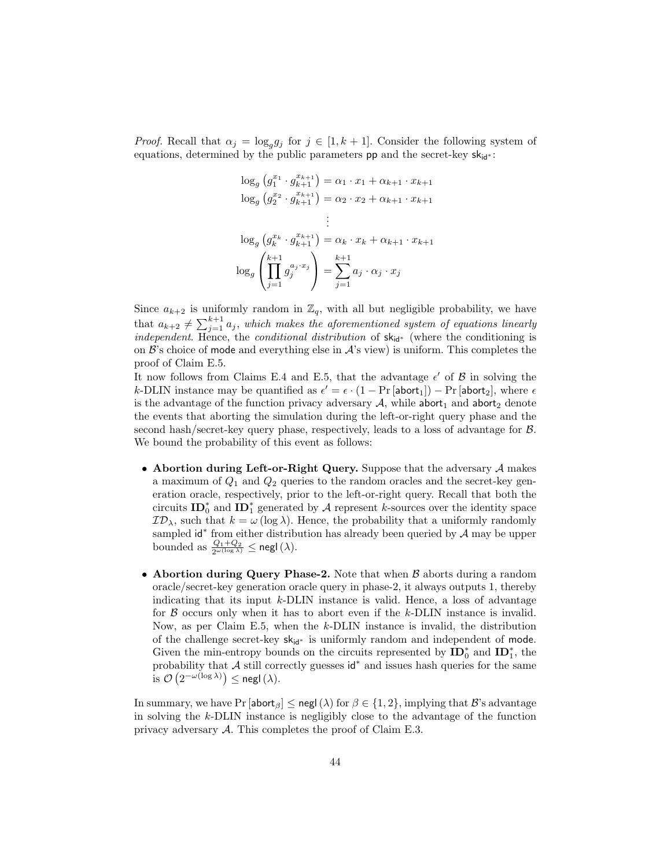*Proof.* Recall that  $\alpha_j = \log_g g_j$  for  $j \in [1, k+1]$ . Consider the following system of equations, determined by the public parameters **pp** and the secret-key  $sk_{id}$  :

$$
\log_g \left( g_1^{x_1} \cdot g_{k+1}^{x_{k+1}} \right) = \alpha_1 \cdot x_1 + \alpha_{k+1} \cdot x_{k+1}
$$
  
\n
$$
\log_g \left( g_2^{x_2} \cdot g_{k+1}^{x_{k+1}} \right) = \alpha_2 \cdot x_2 + \alpha_{k+1} \cdot x_{k+1}
$$
  
\n
$$
\vdots
$$
  
\n
$$
\log_g \left( g_k^{x_k} \cdot g_{k+1}^{x_{k+1}} \right) = \alpha_k \cdot x_k + \alpha_{k+1} \cdot x_{k+1}
$$
  
\n
$$
\log_g \left( \prod_{j=1}^{k+1} g_j^{a_j \cdot x_j} \right) = \sum_{j=1}^{k+1} a_j \cdot \alpha_j \cdot x_j
$$

Since  $a_{k+2}$  is uniformly random in  $\mathbb{Z}_q$ , with all but negligible probability, we have that  $a_{k+2} \neq \sum_{j=1}^{k+1} a_j$ , which makes the aforementioned system of equations linearly *independent*. Hence, the *conditional distribution* of  $sk_{id*}$  (where the conditioning is on  $\mathcal{B}$ 's choice of mode and everything else in  $\mathcal{A}$ 's view) is uniform. This completes the proof of Claim E.5.

It now follows from Claims E.4 and E.5, that the advantage  $\epsilon'$  of  $\beta$  in solving the k-DLIN instance may be quantified as  $\epsilon' = \epsilon \cdot (1 - \Pr[\text{abort}_1]) - \Pr[\text{abort}_2]$ , where  $\epsilon$ is the advantage of the function privacy adversary  $A$ , while abort<sub>1</sub> and abort<sub>2</sub> denote the events that aborting the simulation during the left-or-right query phase and the second hash/secret-key query phase, respectively, leads to a loss of advantage for B. We bound the probability of this event as follows:

- Abortion during Left-or-Right Query. Suppose that the adversary  $A$  makes a maximum of  $Q_1$  and  $Q_2$  queries to the random oracles and the secret-key generation oracle, respectively, prior to the left-or-right query. Recall that both the circuits  $\mathbf{ID}_0^*$  and  $\mathbf{ID}_1^*$  generated by A represent k-sources over the identity space  $\mathcal{ID}_{\lambda}$ , such that  $k = \omega \left( \log \lambda \right)$ . Hence, the probability that a uniformly randomly sampled  $\mathsf{id}^*$  from either distribution has already been queried by  $\mathcal A$  may be upper bounded as  $\frac{Q_1+Q_2}{2^{\omega(\log \lambda)}} \leq \mathsf{negl}(\lambda)$ .
- Abortion during Query Phase-2. Note that when  $\beta$  aborts during a random oracle/secret-key generation oracle query in phase-2, it always outputs 1, thereby indicating that its input  $k$ -DLIN instance is valid. Hence, a loss of advantage for  $\beta$  occurs only when it has to abort even if the  $k$ -DLIN instance is invalid. Now, as per Claim E.5, when the  $k$ -DLIN instance is invalid, the distribution of the challenge secret-key  $sk_{id*}$  is uniformly random and independent of mode. Given the min-entropy bounds on the circuits represented by  $\mathbf{ID}_0^*$  and  $\mathbf{ID}_1^*$ , the probability that  $A$  still correctly guesses  $\mathsf{id}^*$  and issues hash queries for the same is  $\mathcal{O}\left(2^{-\omega(\log \lambda)}\right) \leq$  negl $(\lambda)$ .

In summary, we have Pr [abort<sub>β</sub>]  $\leq$  negl( $\lambda$ ) for  $\beta \in \{1, 2\}$ , implying that  $\mathcal{B}'$ 's advantage in solving the k-DLIN instance is negligibly close to the advantage of the function privacy adversary  $\mathcal A$ . This completes the proof of Claim E.3.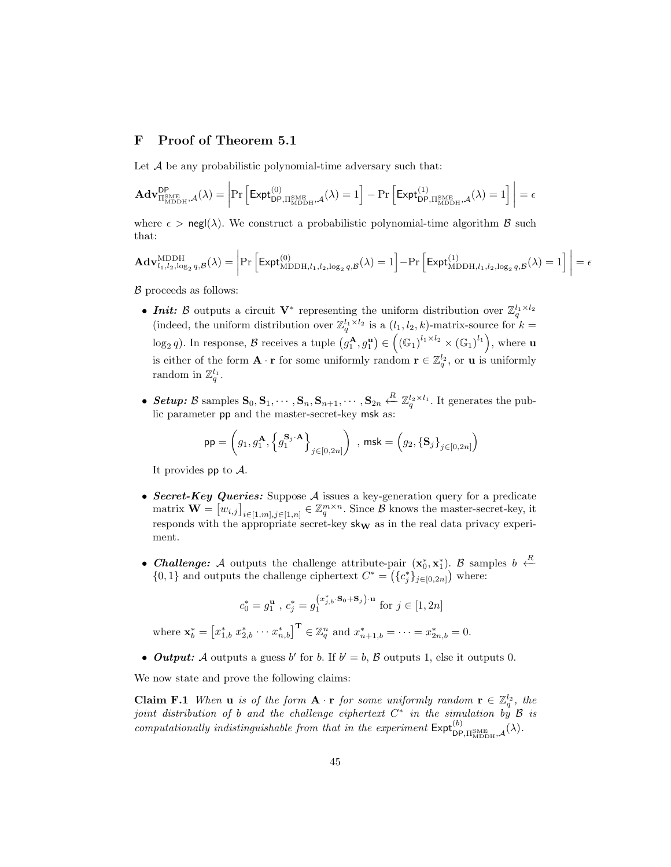# F Proof of Theorem 5.1

Let  $A$  be any probabilistic polynomial-time adversary such that:

$$
\mathbf{Adv}_{\Pi_{\text{MDDH}}^{\text{SME}},\mathcal{A}}^{\text{DP}}(\lambda) = \left| \Pr\left[ \text{Expt}_{\text{DP},\Pi_{\text{MDDH}}^{\text{SME}},\mathcal{A}}^{(0)}(\lambda) = 1 \right] - \Pr\left[ \text{Expt}_{\text{DP},\Pi_{\text{MDDH}}^{\text{SME}},\mathcal{A}}^{(1)}(\lambda) = 1 \right] \right| = \epsilon
$$

where  $\epsilon > \text{negl}(\lambda)$ . We construct a probabilistic polynomial-time algorithm  $\beta$  such that:

$$
\mathbf{Adv}_{l_1,l_2,\log_2 q,\mathcal{B}}^{\mathrm{MDDH}}(\lambda) = \left| \Pr\left[ \mathsf{Expt}_{\mathrm{MDDH},l_1,l_2,\log_2 q,\mathcal{B}}^{(0)}(\lambda) = 1 \right] - \Pr\left[ \mathsf{Expt}_{\mathrm{MDDH},l_1,l_2,\log_2 q,\mathcal{B}}^{(1)}(\lambda) = 1 \right] \right| = \epsilon
$$

 $\beta$  proceeds as follows:

- **Init:** B outputs a circuit  $V^*$  representing the uniform distribution over  $\mathbb{Z}_q^{l_1 \times l_2}$  (indeed, the uniform distribution over  $\mathbb{Z}_q^{l_1 \times l_2}$  is a  $(l_1, l_2, k)$ -matrix-source for  $k =$  $\log_2 q$ ). In response,  $\mathcal{B}$  receives a tuple  $(g_1^{\mathbf{A}}, g_1^{\mathbf{u}}) \in ((\mathbb{G}_1)^{l_1 \times l_2} \times (\mathbb{G}_1)^{l_1})$ , where **u** is either of the form  $\mathbf{A} \cdot \mathbf{r}$  for some uniformly random  $\mathbf{r} \in \mathbb{Z}_q^{l_2}$ , or **u** is uniformly random in  $\mathbb{Z}_q^{l_1}$ .
- Setup: B samples  $\mathbf{S}_0, \mathbf{S}_1, \cdots, \mathbf{S}_n, \mathbf{S}_{n+1}, \cdots, \mathbf{S}_{2n} \stackrel{R}{\leftarrow} \mathbb{Z}_q^{l_2 \times l_1}$ . It generates the public parameter pp and the master-secret-key msk as:

$$
\mathsf{pp} = \left(g_1, g_1^{\mathbf{A}}, \left\{g_1^{\mathbf{S}_j \cdot \mathbf{A}}\right\}_{j \in [0, 2n]}\right) \text{ , } \mathsf{msk} = \left(g_2, \left\{\mathbf{S}_j\right\}_{j \in [0, 2n]}\right)
$$

It provides  $pp$  to  $A$ .

- Secret-Key Queries: Suppose A issues a key-generation query for a predicate matrix  $\mathbf{W} = \begin{bmatrix} w_{i,j} \end{bmatrix}_{i \in [1,m], j \in [1,n]} \in \mathbb{Z}_q^{m \times n}$ . Since  $\hat{\mathcal{B}}$  knows the master-secret-key, it responds with the appropriate secret-key  $\mathsf{sk}_\mathbf{W}$  as in the real data privacy experiment.
- Challenge: A outputs the challenge attribute-pair  $(x_0^*, x_1^*)$ . B samples  $b \leftarrow R$  ${0,1}$  and outputs the challenge ciphertext  $C^* = ({c_j^*}_{j \in [0,2n]})$  where:

$$
c_0^* = g_1^{\mathbf{u}} \text{ , } c_j^* = g_1^{(x_{j,b}^*, \mathbf{S}_0 + \mathbf{S}_j) \cdot \mathbf{u}} \text{ for } j \in [1, 2n]
$$
\n
$$
\text{where } \mathbf{x}_b^* = \begin{bmatrix} x_{1,b}^* & x_{2,b}^* & \cdots & x_{n,b}^* \end{bmatrix}^\mathbf{T} \in \mathbb{Z}_q^n \text{ and } x_{n+1,b}^* = \cdots = x_{2n,b}^* = 0.
$$

• **Output:** A outputs a guess b' for b. If  $b' = b$ , B outputs 1, else it outputs 0.

We now state and prove the following claims:

**Claim F.1** When **u** is of the form  $\mathbf{A} \cdot \mathbf{r}$  for some uniformly random  $\mathbf{r} \in \mathbb{Z}_q^{l_2}$ , the joint distribution of b and the challenge ciphertext  $C^*$  in the simulation by  $\mathcal B$  is computationally indistinguishable from that in the experiment  $\mathsf{Expt}_{\mathsf{DP},\Pi_{\text{MDDH}}^{\text{SME}},\mathcal{A}}^{(b)}(\lambda)$ .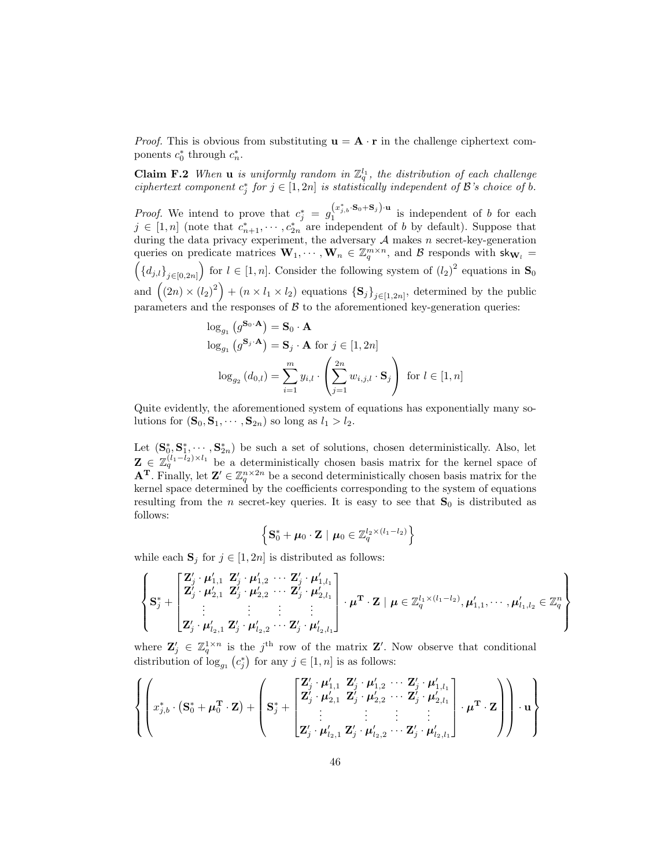*Proof.* This is obvious from substituting  $\mathbf{u} = \mathbf{A} \cdot \mathbf{r}$  in the challenge ciphertext components  $c_0^*$  through  $c_n^*$ .

**Claim F.2** When **u** is uniformly random in  $\mathbb{Z}_q^{l_1}$ , the distribution of each challenge ciphertext component  $c_j^*$  for  $j \in [1, 2n]$  is statistically independent of  $\mathcal B$ 's choice of b.

*Proof.* We intend to prove that  $c_j^* = g_1^{(x_{j,b}^*, \mathbf{S}_0 + \mathbf{S}_j) \cdot \mathbf{u}}$  is independent of b for each  $j \in [1, n]$  (note that  $c_{n+1}^*, \cdots, c_{2n}^*$  are independent of b by default). Suppose that during the data privacy experiment, the adversary  $A$  makes  $n$  secret-key-generation queries on predicate matrices  $\mathbf{W}_1, \cdots, \mathbf{W}_n \in \mathbb{Z}_q^{m \times n}$ , and  $\mathcal{B}$  responds with  $\mathsf{sk}_{\mathbf{W}_l} =$  $((d_{j,l})_{j\in[0,2n]})$  for  $l\in[1,n]$ . Consider the following system of  $(l_2)^2$  equations in  $S_0$ and  $((2n) \times (l_2)^2) + (n \times l_1 \times l_2)$  equations  $\{S_j\}_{j\in[1,2n]}$ , determined by the public parameters and the responses of  $\beta$  to the aforementioned key-generation queries:

$$
\log_{g_1} (g^{\mathbf{S}_0 \cdot \mathbf{A}}) = \mathbf{S}_0 \cdot \mathbf{A}
$$
  

$$
\log_{g_1} (g^{\mathbf{S}_j \cdot \mathbf{A}}) = \mathbf{S}_j \cdot \mathbf{A} \text{ for } j \in [1, 2n]
$$
  

$$
\log_{g_2} (d_{0,l}) = \sum_{i=1}^m y_{i,l} \cdot \left(\sum_{j=1}^{2n} w_{i,j,l} \cdot \mathbf{S}_j\right) \text{ for } l \in [1, n]
$$

Quite evidently, the aforementioned system of equations has exponentially many solutions for  $(\mathbf{S}_0, \mathbf{S}_1, \cdots, \mathbf{S}_{2n})$  so long as  $l_1 > l_2$ .

Let  $(\mathbf{S}_0^*, \mathbf{S}_1^*, \cdots, \mathbf{S}_{2n}^*)$  be such a set of solutions, chosen deterministically. Also, let  $\mathbf{Z} \in \mathbb{Z}_q^{(l_1-l_2)\times l_1}$  be a deterministically chosen basis matrix for the kernel space of **A<sup>T</sup>**. Finally, let  $\mathbf{Z}' \in \mathbb{Z}_q^{n \times 2n}$  be a second deterministically chosen basis matrix for the kernel space determined by the coefficients corresponding to the system of equations resulting from the *n* secret-key queries. It is easy to see that  $S_0$  is distributed as follows:

$$
\left\{ \mathbf{S}_{0}^{*} + \boldsymbol{\mu}_{0} \cdot \mathbf{Z} \mid \boldsymbol{\mu}_{0} \in \mathbb{Z}_{q}^{l_{2} \times (l_{1} - l_{2})} \right\}
$$

while each  $S_j$  for  $j \in [1, 2n]$  is distributed as follows:

$$
\left\{ \mathbf{S}_{j}^{*} + \begin{bmatrix} \mathbf{Z}_{j}' \cdot \boldsymbol{\mu}_{1,1}' & \mathbf{Z}_{j}' \cdot \boldsymbol{\mu}_{1,2}' & \cdots & \mathbf{Z}_{j}' \cdot \boldsymbol{\mu}_{1,l_1}' \\ \mathbf{Z}_{j}' \cdot \boldsymbol{\mu}_{2,1}' & \mathbf{Z}_{j}' \cdot \boldsymbol{\mu}_{2,2}' & \cdots & \mathbf{Z}_{j}' \cdot \boldsymbol{\mu}_{2,l_1}' \\ \vdots & \vdots & \vdots & \vdots \\ \mathbf{Z}_{j}' \cdot \boldsymbol{\mu}_{l_2,1}' & \mathbf{Z}_{j}' \cdot \boldsymbol{\mu}_{l_2,2}' & \cdots & \mathbf{Z}_{j}' \cdot \boldsymbol{\mu}_{l_2,l_1}' \end{bmatrix} \cdot \boldsymbol{\mu}^{\mathbf{T}} \cdot \mathbf{Z} \mid \boldsymbol{\mu} \in \mathbb{Z}_{q}^{l_1 \times (l_1 - l_2)}, \boldsymbol{\mu}_{1,1}', \cdots, \boldsymbol{\mu}_{l_1,l_2}' \in \mathbb{Z}_{q}^{n} \right\}
$$

where  $\mathbf{Z}'_j \in \mathbb{Z}_q^{1 \times n}$  is the j<sup>th</sup> row of the matrix  $\mathbf{Z}'$ . Now observe that conditional distribution of  $\log_{g_1}(c_j^*)$  for any  $j \in [1, n]$  is as follows:

$$
\left\{\left(x_{j,b}^*\cdot(\mathbf{S}_0^*+\boldsymbol{\mu}_0^{\mathbf{T}}\cdot\mathbf{Z})+\left(\mathbf{S}_j^*+\begin{bmatrix}\mathbf{Z}_j'\cdot\boldsymbol{\mu}_{1,1}'\ \mathbf{Z}_j'\cdot\boldsymbol{\mu}_{1,2}'\ \cdots\ \mathbf{Z}_j'\cdot\boldsymbol{\mu}_{2,2}'\ \vdots\ \mathbf{Z}_j'\cdot\boldsymbol{\mu}_{2,2}'\ \cdots\ \mathbf{Z}_j'\cdot\boldsymbol{\mu}_{2,l_1}'\ \vdots\ \vdots\ \vdots\ \vdots\ \vdots\ \vdots\ \vdots\ \mathbf{Z}_j'\cdot\boldsymbol{\mu}_{l_2,1}'\ \mathbf{Z}_j'\cdot\boldsymbol{\mu}_{l_2,2}'\ \cdots\ \mathbf{Z}_j'\cdot\boldsymbol{\mu}_{l_2,l_1}'\end{bmatrix}\cdot\boldsymbol{\mu}^{\mathbf{T}}\cdot\mathbf{Z}\right)\right\}\cdot\mathbf{u}\right\}
$$